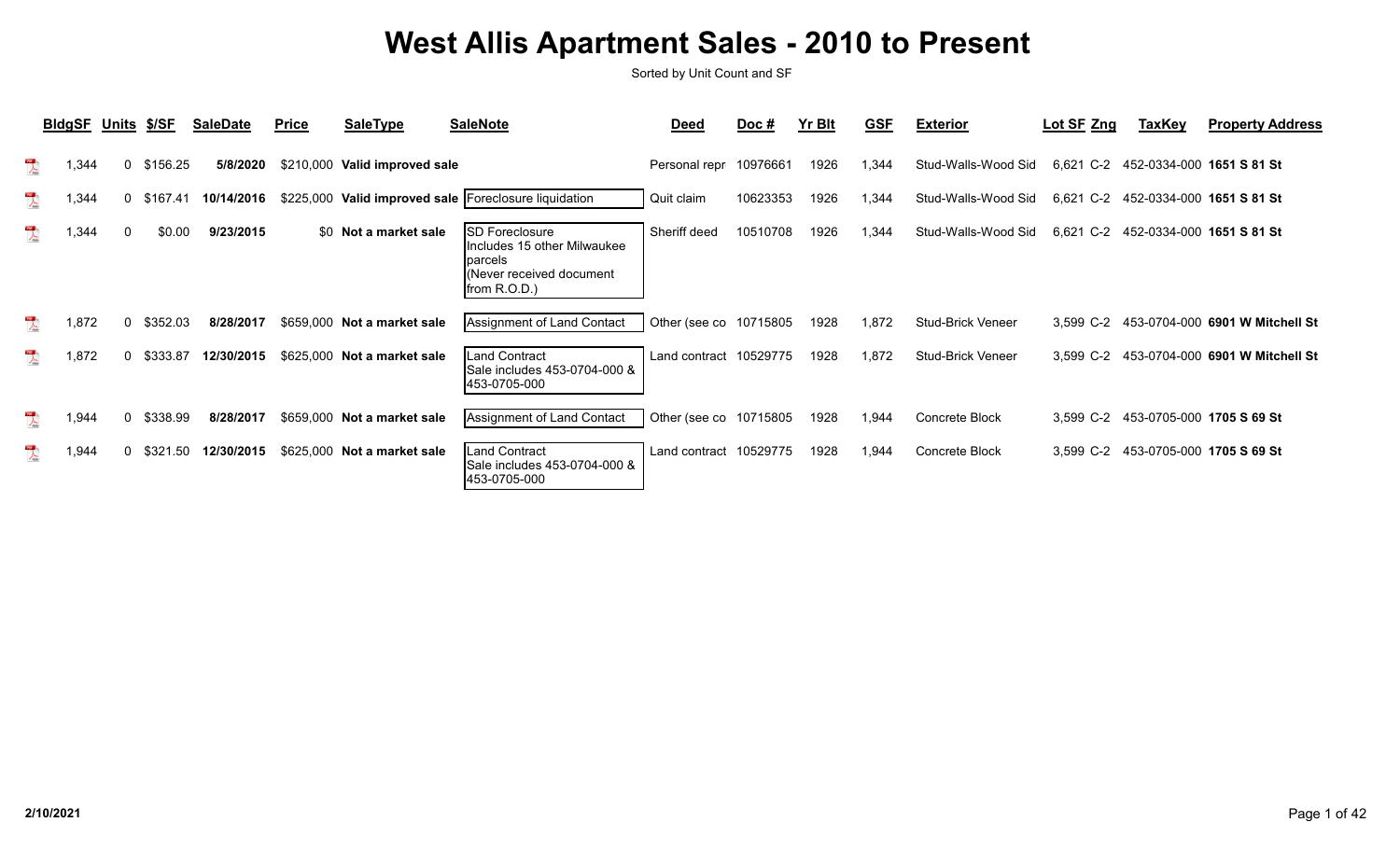|                                   | BldgSF Units \$/SF |              |          | <b>SaleDate</b> | <b>Price</b> | <b>SaleType</b>               | <b>SaleNote</b>                                                                                        | <b>Deed</b>            | Doc#     | Yr Blt | <b>GSF</b> | <b>Exterior</b>          | Lot SF Zng | <b>TaxKey</b>                       | <b>Property Address</b>                   |
|-----------------------------------|--------------------|--------------|----------|-----------------|--------------|-------------------------------|--------------------------------------------------------------------------------------------------------|------------------------|----------|--------|------------|--------------------------|------------|-------------------------------------|-------------------------------------------|
| $\frac{10}{\sqrt{25}}$            | ,344               | $\mathbf{0}$ | \$156.25 | 5/8/2020        |              | \$210,000 Valid improved sale |                                                                                                        | Personal repr 10976661 |          | 1926   | .344       | Stud-Walls-Wood Sid      | 6,621 C-2  | 452-0334-000 1651 S 81 St           |                                           |
| $\lambda$                         | .344               | $\mathbf{0}$ | \$167.41 | 10/14/2016      |              |                               | \$225,000 Valid improved sale   Foreclosure liquidation                                                | Quit claim             | 10623353 | 1926   | 1,344      | Stud-Walls-Wood Sid      | 6,621 C-2  | 452-0334-000 1651 S 81 St           |                                           |
| $\frac{10}{\sqrt{25}}$            | ,344               | $\mathbf{0}$ | \$0.00   | 9/23/2015       |              | \$0 Not a market sale         | SD Foreclosure<br>Includes 15 other Milwaukee<br>Iparcels<br>(Never received document)<br>from R.O.D.) | Sheriff deed           | 10510708 | 1926   | .344       | Stud-Walls-Wood Sid      | 6,621 C-2  | 452-0334-000 1651 S 81 St           |                                           |
| $\sum_{k=1}^{N}$                  | 1,872              | 0            | \$352.03 | 8/28/2017       |              | \$659,000 Not a market sale   | Assignment of Land Contact                                                                             | Other (see co 10715805 |          | 1928   | 1,872      | <b>Stud-Brick Veneer</b> |            |                                     | 3,599 C-2 453-0704-000 6901 W Mitchell St |
| $\frac{10}{\lambda_{\text{max}}}$ | 1,872              | 0            | \$333.87 | 12/30/2015      |              | \$625,000 Not a market sale   | <b>Land Contract</b><br>Sale includes 453-0704-000 &<br>453-0705-000                                   | Land contract          | 10529775 | 1928   | 1,872      | Stud-Brick Veneer        |            |                                     | 3,599 C-2 453-0704-000 6901 W Mitchell St |
| $\sum_{k=1}^{N}$                  | 1,944              | $\mathbf{0}$ | \$338.99 | 8/28/2017       |              | \$659,000 Not a market sale   | Assignment of Land Contact                                                                             | Other (see co 10715805 |          | 1928   | 1,944      | Concrete Block           |            | 3,599 C-2 453-0705-000 1705 S 69 St |                                           |
| $\sum_{k \in \mathbb{N}^n}$       | .944               | 0            | \$321.50 | 12/30/2015      |              | \$625,000 Not a market sale   | <b>Land Contract</b><br>Sale includes 453-0704-000 &<br>453-0705-000                                   | Land contract          | 10529775 | 1928   | 1,944      | Concrete Block           | 3,599 C-2  | 453-0705-000 1705 S 69 St           |                                           |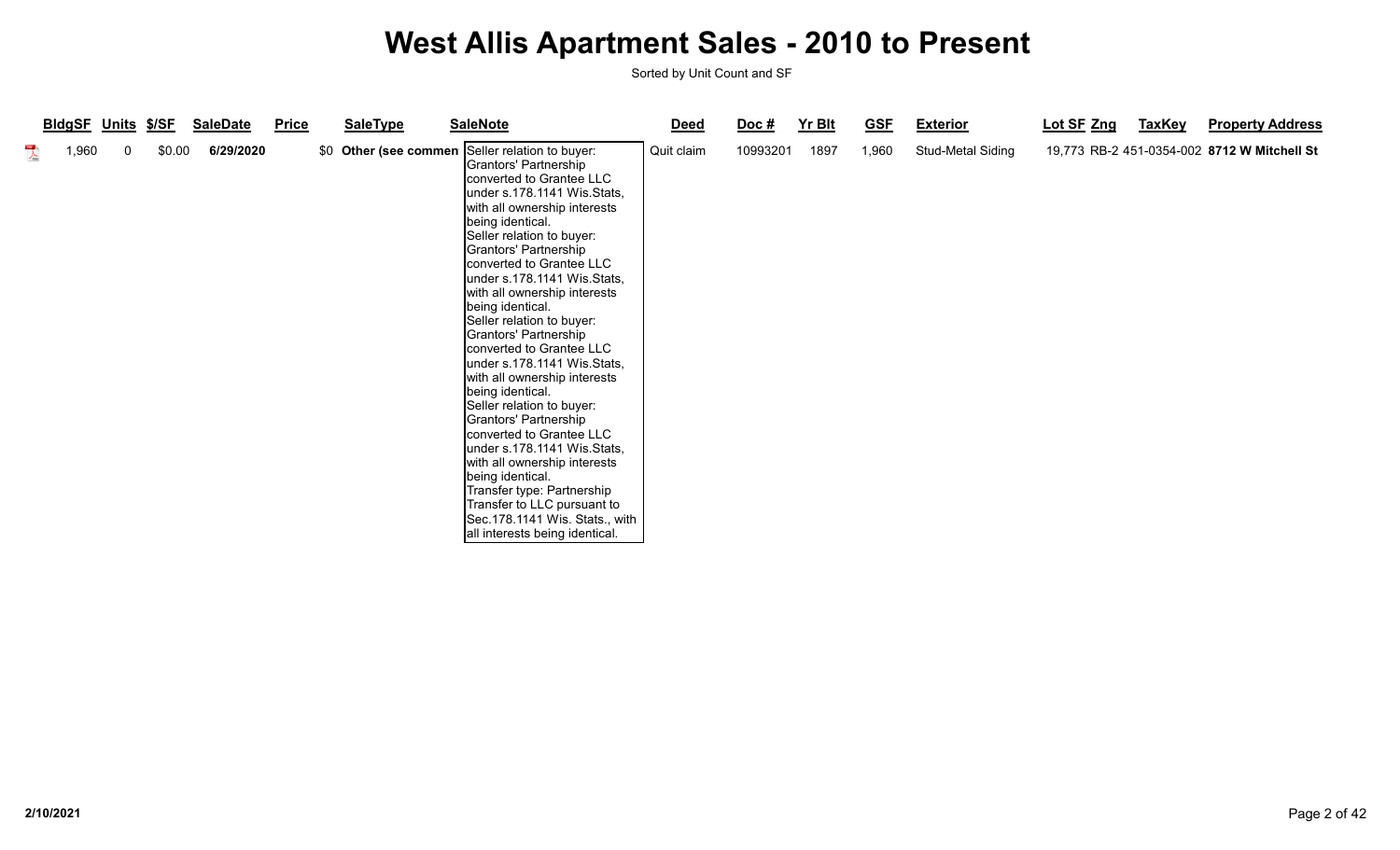|                         | <b>BIdgSF Units</b> |             | <u> \$/SF</u> | <b>SaleDate</b> | <b>Price</b> | <b>SaleType</b> | <b>SaleNote</b>                                                                                                                                                                                                                                                                                                                                                                                                                                                                                                                                                                                                                                                                                                                                                                                                                            | <b>Deed</b> | $\overline{Doc}$ # | Yr Blt | <b>GSF</b> | <b>Exterior</b>   | Lot SF Zng | <b>TaxKey</b> | <b>Property Address</b>                     |
|-------------------------|---------------------|-------------|---------------|-----------------|--------------|-----------------|--------------------------------------------------------------------------------------------------------------------------------------------------------------------------------------------------------------------------------------------------------------------------------------------------------------------------------------------------------------------------------------------------------------------------------------------------------------------------------------------------------------------------------------------------------------------------------------------------------------------------------------------------------------------------------------------------------------------------------------------------------------------------------------------------------------------------------------------|-------------|--------------------|--------|------------|-------------------|------------|---------------|---------------------------------------------|
| $\sum_{k\in\mathbb{N}}$ | 1,960               | $\mathbf 0$ | \$0.00        | 6/29/2020       |              |                 | \$0 Other (see commen Seller relation to buyer:<br>Grantors' Partnership<br>converted to Grantee LLC<br>under s.178.1141 Wis.Stats,<br>with all ownership interests<br>being identical.<br>Seller relation to buyer:<br>Grantors' Partnership<br>converted to Grantee LLC<br>under s.178.1141 Wis.Stats,<br>with all ownership interests<br>being identical.<br>Seller relation to buyer:<br>Grantors' Partnership<br>Iconverted to Grantee LLC<br>under s.178.1141 Wis.Stats,<br>with all ownership interests<br>being identical.<br>Seller relation to buyer:<br>Grantors' Partnership<br>converted to Grantee LLC<br>under s.178.1141 Wis.Stats,<br>with all ownership interests<br>being identical.<br>Transfer type: Partnership<br>Transfer to LLC pursuant to<br>Sec.178.1141 Wis. Stats., with  <br>all interests being identical. | Quit claim  | 10993201           | 1897   | 1,960      | Stud-Metal Siding |            |               | 19,773 RB-2 451-0354-002 8712 W Mitchell St |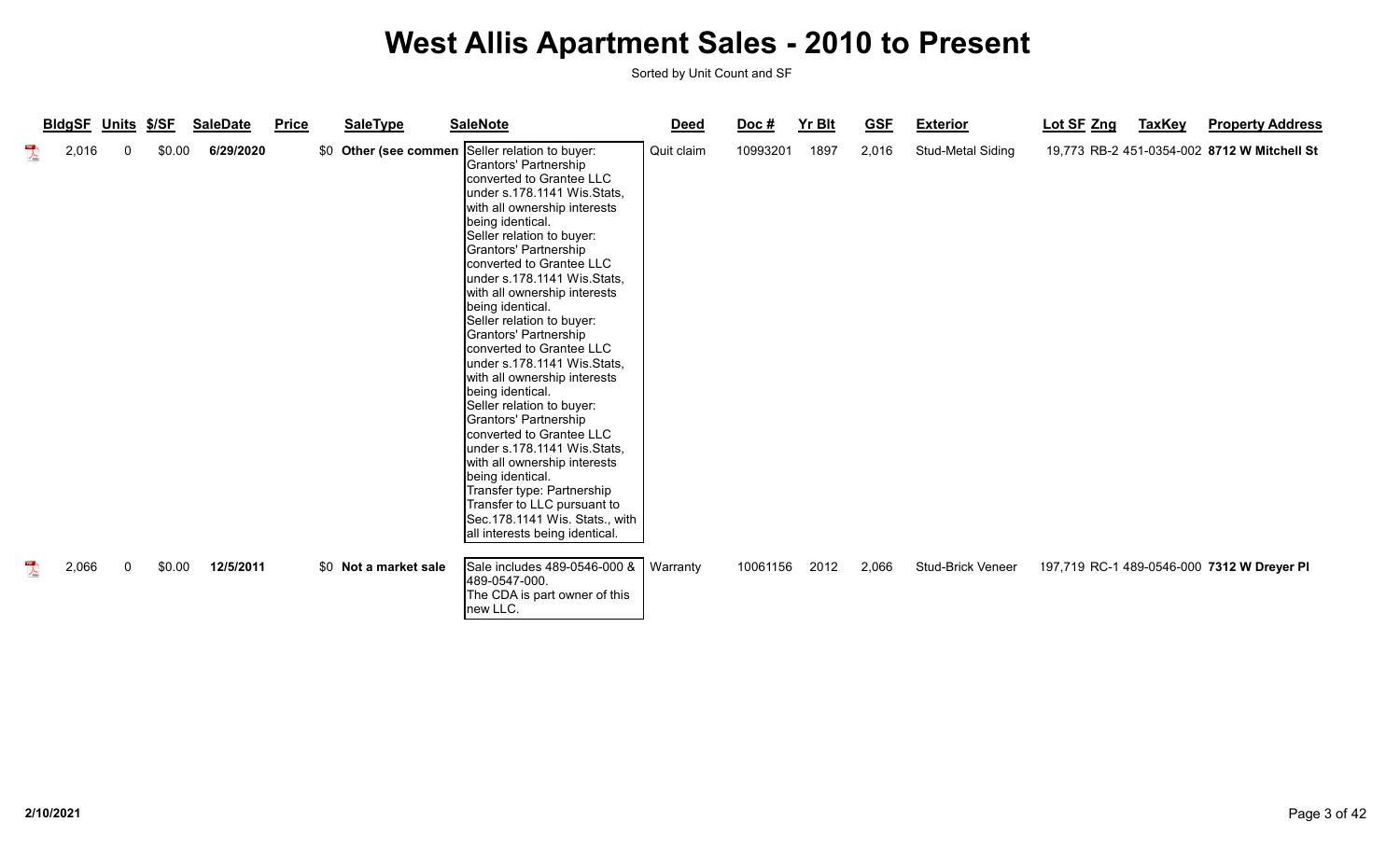|                                                  | <b>BldgSF Units</b> | \$/SF  | <b>SaleDate</b> | <b>Price</b> | <b>SaleType</b>       | <b>SaleNote</b>                                                                                                                                                                                                                                                                                                                                                                                                                                                                                                                                                                                                                                                                                                                                                                                                   | <b>Deed</b> | Doc#     | <b>Yr Blt</b> | <b>GSF</b> | <b>Exterior</b>          | Lot SF Zng | <b>TaxKey</b> | <b>Property Address</b>                     |
|--------------------------------------------------|---------------------|--------|-----------------|--------------|-----------------------|-------------------------------------------------------------------------------------------------------------------------------------------------------------------------------------------------------------------------------------------------------------------------------------------------------------------------------------------------------------------------------------------------------------------------------------------------------------------------------------------------------------------------------------------------------------------------------------------------------------------------------------------------------------------------------------------------------------------------------------------------------------------------------------------------------------------|-------------|----------|---------------|------------|--------------------------|------------|---------------|---------------------------------------------|
| $\begin{array}{c}\n\hline\n\end{array}$<br>2,016 | $\Omega$            | \$0.00 | 6/29/2020       |              | \$0 Other (see commen | Seller relation to buyer:<br>Grantors' Partnership<br>converted to Grantee LLC<br>under s.178.1141 Wis.Stats,<br>with all ownership interests<br>being identical.<br>Seller relation to buyer:<br>Grantors' Partnership<br>converted to Grantee LLC<br>under s.178.1141 Wis.Stats,<br>with all ownership interests<br>being identical.<br>Seller relation to buyer:<br>Grantors' Partnership<br>converted to Grantee LLC<br>under s.178.1141 Wis.Stats,<br>with all ownership interests<br>being identical.<br>Seller relation to buyer:<br>Grantors' Partnership<br>converted to Grantee LLC<br>under s.178.1141 Wis.Stats,<br>with all ownership interests<br>being identical.<br>Transfer type: Partnership<br>Transfer to LLC pursuant to<br>Sec.178.1141 Wis. Stats., with<br>all interests being identical. | Quit claim  | 10993201 | 1897          | 2,016      | Stud-Metal Siding        |            |               | 19,773 RB-2 451-0354-002 8712 W Mitchell St |
| $\sum_{k \in \mathbb{N}}$<br>2,066               | 0                   | \$0.00 | 12/5/2011       |              | \$0 Not a market sale | Sale includes 489-0546-000 &<br>489-0547-000.<br>The CDA is part owner of this<br>new LLC.                                                                                                                                                                                                                                                                                                                                                                                                                                                                                                                                                                                                                                                                                                                        | Warranty    | 10061156 | 2012          | 2,066      | <b>Stud-Brick Veneer</b> |            |               | 197,719 RC-1 489-0546-000 7312 W Dreyer PI  |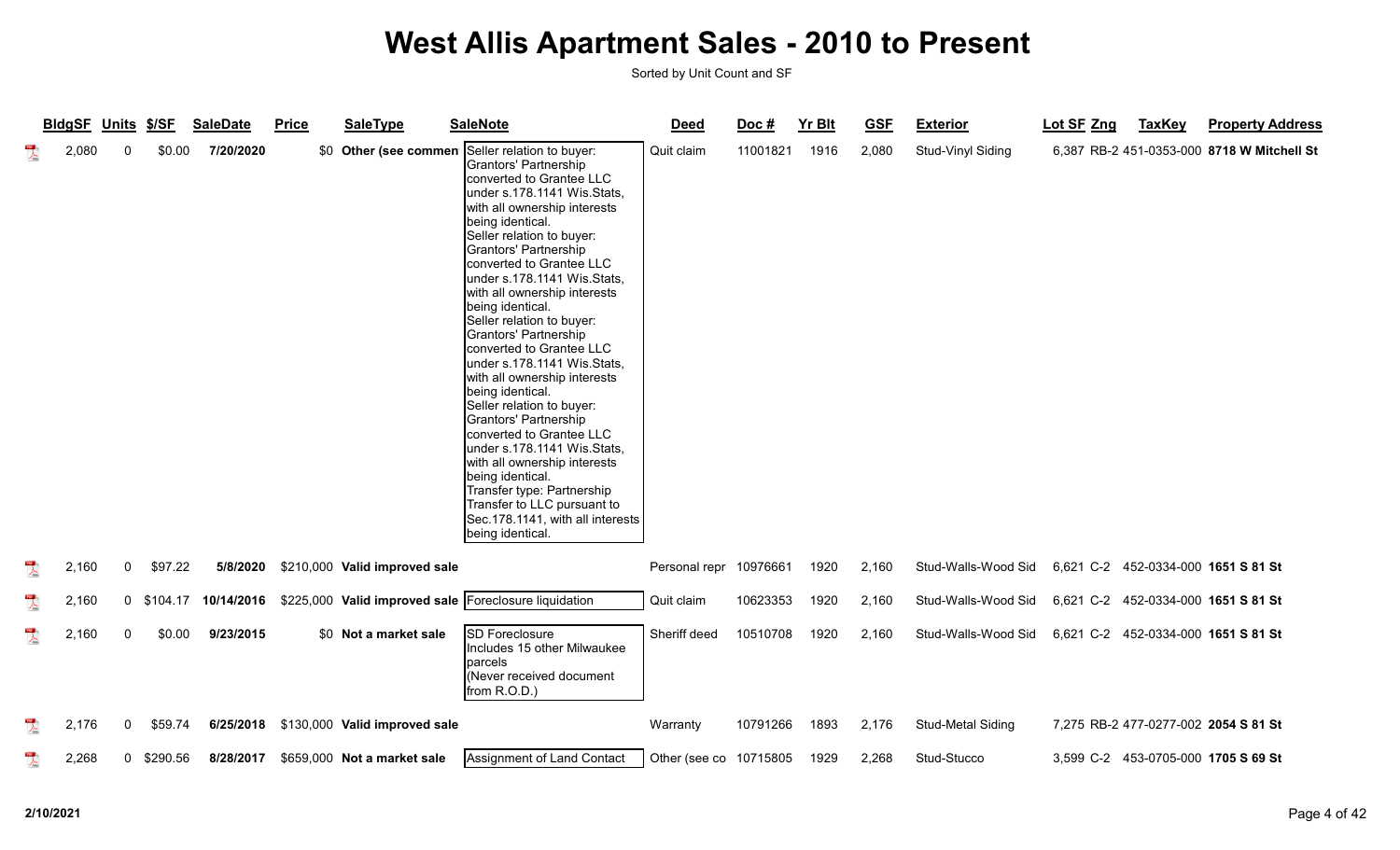|                         | <b>BldgSF</b> | Units        | \$/SF      | <b>SaleDate</b> | <b>Price</b> | <b>SaleType</b>                                       | <b>SaleNote</b>                                                                                                                                                                                                                                                                                                                                                                                                                                                                                                                                                                                                                                                                                                                                                                                       | <b>Deed</b>            | Doc#     | <b>Yr Blt</b> | <b>GSF</b> | <b>Exterior</b>     | Lot SF Zng | <b>TaxKey</b> | <b>Property Address</b>                    |
|-------------------------|---------------|--------------|------------|-----------------|--------------|-------------------------------------------------------|-------------------------------------------------------------------------------------------------------------------------------------------------------------------------------------------------------------------------------------------------------------------------------------------------------------------------------------------------------------------------------------------------------------------------------------------------------------------------------------------------------------------------------------------------------------------------------------------------------------------------------------------------------------------------------------------------------------------------------------------------------------------------------------------------------|------------------------|----------|---------------|------------|---------------------|------------|---------------|--------------------------------------------|
| $\overline{\mathbf{r}}$ | 2,080         | 0            | \$0.00     | 7/20/2020       |              | \$0 Other (see commen                                 | Seller relation to buyer:<br>Grantors' Partnership<br>converted to Grantee LLC<br>under s.178.1141 Wis.Stats,<br>with all ownership interests<br>being identical.<br>Seller relation to buyer:<br>Grantors' Partnership<br>converted to Grantee LLC<br>lunder s.178.1141 Wis.Stats,<br>with all ownership interests<br>being identical.<br>Seller relation to buyer:<br>Grantors' Partnership<br>converted to Grantee LLC<br>under s.178.1141 Wis.Stats,<br>with all ownership interests<br>being identical.<br>Seller relation to buyer:<br>Grantors' Partnership<br>converted to Grantee LLC<br>under s.178.1141 Wis.Stats,<br>with all ownership interests<br>being identical.<br>Transfer type: Partnership<br>Transfer to LLC pursuant to<br>Sec.178.1141, with all interests<br>being identical | Quit claim             | 11001821 | 1916          | 2,080      | Stud-Vinyl Siding   |            |               | 6,387 RB-2 451-0353-000 8718 W Mitchell St |
| $\lambda$               | 2,160         | $\mathbf{0}$ | \$97.22    | 5/8/2020        |              | \$210,000 Valid improved sale                         |                                                                                                                                                                                                                                                                                                                                                                                                                                                                                                                                                                                                                                                                                                                                                                                                       | Personal repr 10976661 |          | 1920          | 2,160      | Stud-Walls-Wood Sid |            |               | 6,621 C-2 452-0334-000 1651 S 81 St        |
| $\sum_{k\in\mathbb{N}}$ | 2,160         |              | 0 \$104.17 | 10/14/2016      |              | \$225,000 Valid improved sale Foreclosure liquidation |                                                                                                                                                                                                                                                                                                                                                                                                                                                                                                                                                                                                                                                                                                                                                                                                       | Quit claim             | 10623353 | 1920          | 2,160      | Stud-Walls-Wood Sid |            |               | 6,621 C-2 452-0334-000 1651 S 81 St        |
| $\sum_{k\in\mathbb{N}}$ | 2,160         | $\mathbf{0}$ | \$0.00     | 9/23/2015       |              | \$0 Not a market sale                                 | <b>SD Foreclosure</b><br>Includes 15 other Milwaukee<br><b>parcels</b><br>(Never received document<br>from R.O.D.)                                                                                                                                                                                                                                                                                                                                                                                                                                                                                                                                                                                                                                                                                    | Sheriff deed           | 10510708 | 1920          | 2,160      | Stud-Walls-Wood Sid |            |               | 6,621 C-2 452-0334-000 1651 S 81 St        |
| $\frac{1}{\sqrt{2}}$    | 2,176         | 0            | \$59.74    | 6/25/2018       |              | \$130,000 Valid improved sale                         |                                                                                                                                                                                                                                                                                                                                                                                                                                                                                                                                                                                                                                                                                                                                                                                                       | Warranty               | 10791266 | 1893          | 2,176      | Stud-Metal Siding   |            |               | 7,275 RB-2 477-0277-002 2054 S 81 St       |
| $\overline{\mathbf{r}}$ | 2,268         |              | 0 \$290.56 | 8/28/2017       |              | \$659,000 Not a market sale                           | Assignment of Land Contact                                                                                                                                                                                                                                                                                                                                                                                                                                                                                                                                                                                                                                                                                                                                                                            | Other (see co 10715805 |          | 1929          | 2,268      | Stud-Stucco         |            |               | 3,599 C-2 453-0705-000 1705 S 69 St        |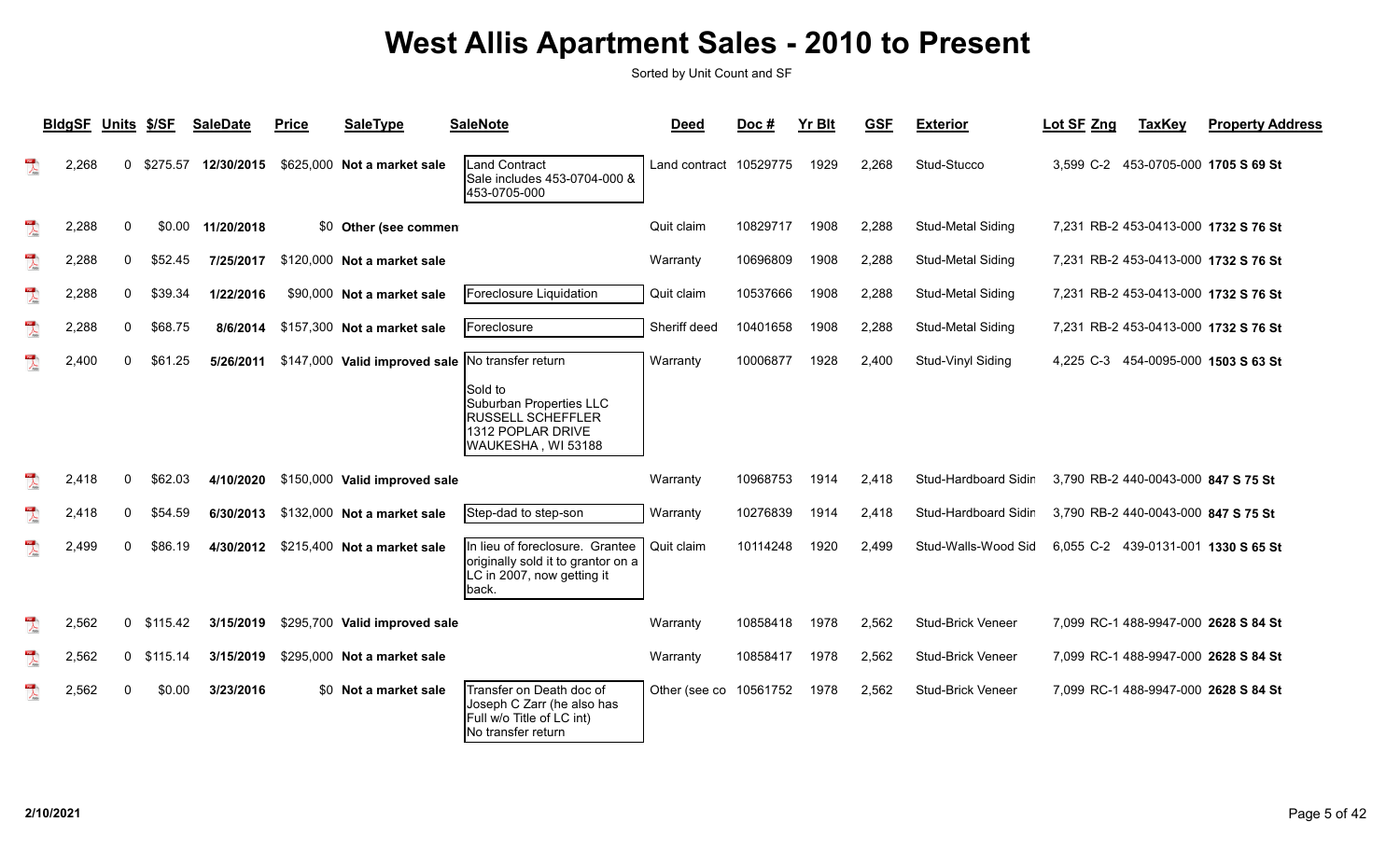|                         | <b>BIdgSF</b> | <b>Units</b> | \$/SF      | <b>SaleDate</b> | <b>Price</b> | <b>SaleType</b>                                  | <b>SaleNote</b>                                                                                              | <b>Deed</b>             | Doc#     | <b>Yr Blt</b> | <b>GSF</b> | <b>Exterior</b>          | Lot SF Zng | <b>TaxKey</b>                       | <b>Property Address</b>              |
|-------------------------|---------------|--------------|------------|-----------------|--------------|--------------------------------------------------|--------------------------------------------------------------------------------------------------------------|-------------------------|----------|---------------|------------|--------------------------|------------|-------------------------------------|--------------------------------------|
| $\overline{\mathbf{r}}$ | 2,268         | $\Omega$     | \$275.57   | 12/30/2015      |              | \$625,000 Not a market sale                      | <b>Land Contract</b><br>Sale includes 453-0704-000 &<br>453-0705-000                                         | Land contract 10529775  |          | 1929          | 2.268      | Stud-Stucco              |            |                                     | 3,599 C-2 453-0705-000 1705 S 69 St  |
| $\overline{\mathbf{r}}$ | 2,288         | 0            | \$0.00     | 11/20/2018      |              | \$0 Other (see commen                            |                                                                                                              | Quit claim              | 10829717 | 1908          | 2,288      | <b>Stud-Metal Siding</b> |            |                                     | 7.231 RB-2 453-0413-000 1732 S 76 St |
| $\frac{1}{\sqrt{2}}$    | 2,288         | $\mathbf 0$  | \$52.45    | 7/25/2017       |              | \$120,000 Not a market sale                      |                                                                                                              | Warranty                | 10696809 | 1908          | 2,288      | Stud-Metal Siding        |            |                                     | 7,231 RB-2 453-0413-000 1732 S 76 St |
| $\overline{\mathbf{r}}$ | 2,288         | $\mathbf 0$  | \$39.34    | 1/22/2016       |              | \$90,000 Not a market sale                       | Foreclosure Liquidation                                                                                      | Quit claim              | 10537666 | 1908          | 2,288      | <b>Stud-Metal Siding</b> |            |                                     | 7,231 RB-2 453-0413-000 1732 S 76 St |
| $\frac{1}{\sqrt{2}}$    | 2,288         | $\mathbf 0$  | \$68.75    | 8/6/2014        |              | \$157,300 Not a market sale                      | Foreclosure                                                                                                  | Sheriff deed            | 10401658 | 1908          | 2,288      | Stud-Metal Siding        |            |                                     | 7,231 RB-2 453-0413-000 1732 S 76 St |
| $\frac{1}{\sqrt{2}}$    | 2,400         | $\mathbf{0}$ | \$61.25    | 5/26/2011       |              | \$147,000 Valid improved sale No transfer return |                                                                                                              | Warranty                | 10006877 | 1928          | 2,400      | Stud-Vinyl Siding        |            |                                     | 4,225 C-3 454-0095-000 1503 S 63 St  |
|                         |               |              |            |                 |              |                                                  | Sold to<br>Suburban Properties LLC<br><b>RUSSELL SCHEFFLER</b><br>1312 POPLAR DRIVE<br>WAUKESHA, WI 53188    |                         |          |               |            |                          |            |                                     |                                      |
| $\mathbb{R}$            | 2,418         | $\mathbf{0}$ | \$62.03    | 4/10/2020       |              | \$150,000 Valid improved sale                    |                                                                                                              | Warranty                | 10968753 | 1914          | 2.418      | Stud-Hardboard Sidir     |            | 3,790 RB-2 440-0043-000 847 S 75 St |                                      |
| $\overline{\mathbf{r}}$ | 2,418         | 0            | \$54.59    | 6/30/2013       |              | \$132,000 Not a market sale                      | Step-dad to step-son                                                                                         | Warranty                | 10276839 | 1914          | 2,418      | Stud-Hardboard Sidir     |            | 3,790 RB-2 440-0043-000 847 S 75 St |                                      |
| $\overline{\mathbf{r}}$ | 2,499         | $\Omega$     | \$86.19    | 4/30/2012       |              | \$215,400 Not a market sale                      | In lieu of foreclosure. Grantee<br>originally sold it to grantor on a<br>LC in 2007, now getting it<br>back. | Quit claim              | 10114248 | 1920          | 2,499      | Stud-Walls-Wood Sid      |            |                                     | 6,055 C-2 439-0131-001 1330 S 65 St  |
| $\overline{\mathbf{r}}$ | 2,562         |              | 0 \$115.42 | 3/15/2019       |              | \$295,700 Valid improved sale                    |                                                                                                              | Warranty                | 10858418 | 1978          | 2,562      | Stud-Brick Veneer        |            |                                     | 7,099 RC-1 488-9947-000 2628 S 84 St |
| $\overline{\mathbf{r}}$ | 2,562         |              | 0 \$115.14 | 3/15/2019       |              | \$295,000 Not a market sale                      |                                                                                                              | Warranty                | 10858417 | 1978          | 2,562      | <b>Stud-Brick Veneer</b> |            |                                     | 7,099 RC-1 488-9947-000 2628 S 84 St |
| $\mathbb{R}$            | 2,562         | 0            | \$0.00     | 3/23/2016       |              | \$0 Not a market sale                            | Transfer on Death doc of<br>Joseph C Zarr (he also has<br>Full w/o Title of LC int)<br>No transfer return    | Other (see co 10561752) |          | 1978          | 2,562      | <b>Stud-Brick Veneer</b> |            |                                     | 7,099 RC-1 488-9947-000 2628 S 84 St |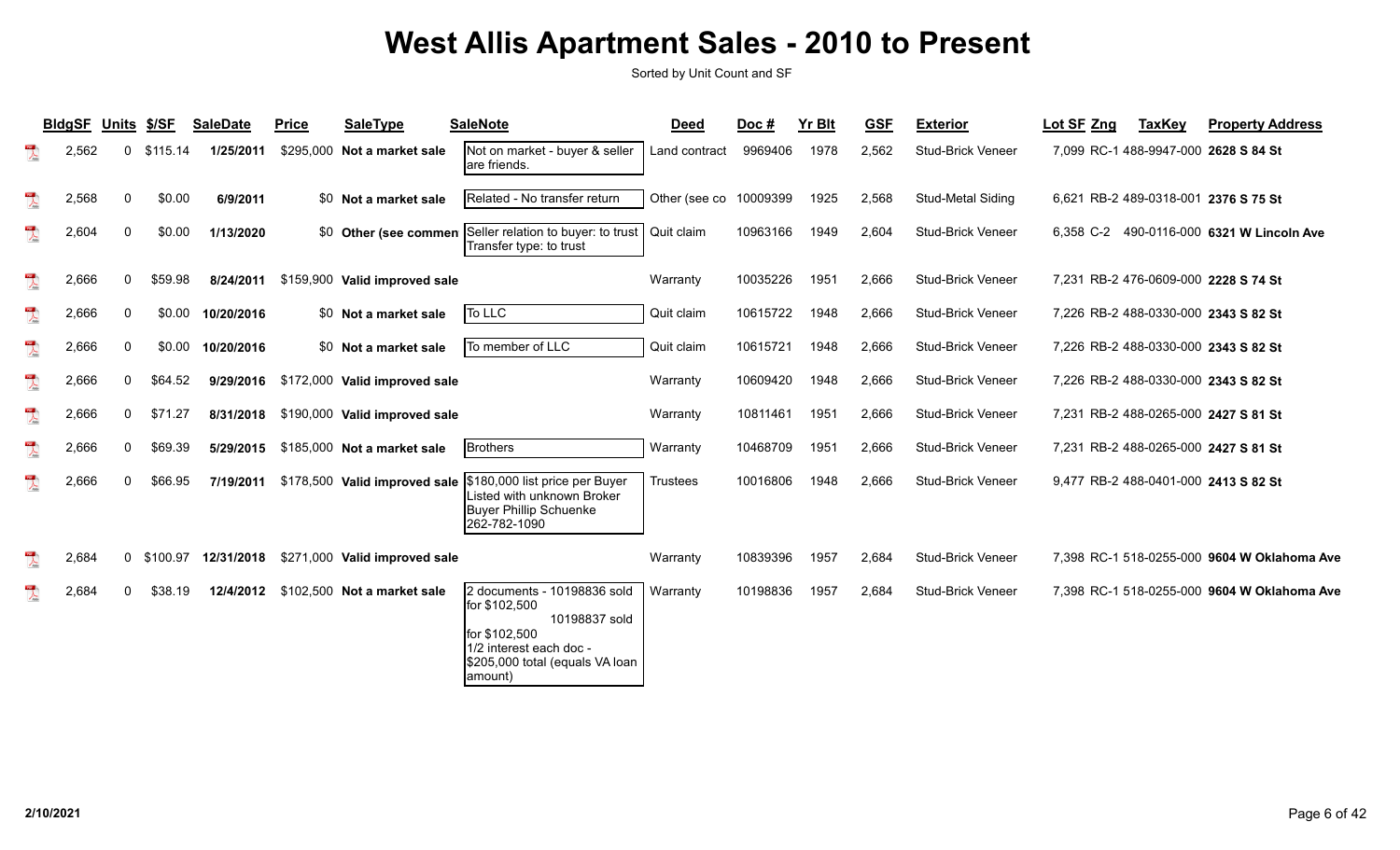|                           | <b>BldgSF</b> | Units        | \$/SF      | <b>SaleDate</b> | <b>Price</b> | <b>SaleType</b>               | <b>SaleNote</b>                                                                                                                                          | <b>Deed</b>     | Doc#     | <b>Yr Blt</b> | <b>GSF</b> | <b>Exterior</b>          | Lot SF Zng | <b>TaxKey</b> | <b>Property Address</b>                     |
|---------------------------|---------------|--------------|------------|-----------------|--------------|-------------------------------|----------------------------------------------------------------------------------------------------------------------------------------------------------|-----------------|----------|---------------|------------|--------------------------|------------|---------------|---------------------------------------------|
| $\sum_{i=1}^{n}$          | 2,562         | 0            | \$115.14   | 1/25/2011       | \$295.000    | Not a market sale             | Not on market - buyer & seller<br>lare friends.                                                                                                          | Land contract   | 9969406  | 1978          | 2,562      | <b>Stud-Brick Veneer</b> |            |               | 7.099 RC-1 488-9947-000 2628 S 84 St        |
| $\overline{\phantom{a}}$  | 2,568         | $\mathbf{0}$ | \$0.00     | 6/9/2011        |              | \$0 Not a market sale         | IRelated - No transfer return                                                                                                                            | Other (see co   | 10009399 | 1925          | 2,568      | Stud-Metal Siding        |            |               | 6,621 RB-2 489-0318-001 2376 S 75 St        |
| $\mathbb{Z}$              | 2,604         | 0            | \$0.00     | 1/13/2020       |              | \$0 Other (see commen         | Seller relation to buyer: to trust<br>Transfer type: to trust                                                                                            | Quit claim      | 10963166 | 1949          | 2,604      | Stud-Brick Veneer        |            |               | 6,358 C-2 490-0116-000 6321 W Lincoln Ave   |
| $\sum_{k\in\mathbb{N}}$   | 2,666         | $\mathbf{0}$ | \$59.98    | 8/24/2011       |              | \$159,900 Valid improved sale |                                                                                                                                                          | Warranty        | 10035226 | 1951          | 2,666      | <b>Stud-Brick Veneer</b> |            |               | 7,231 RB-2 476-0609-000 2228 S 74 St        |
| $\overline{\mathcal{L}}$  | 2,666         | 0            | \$0.00     | 10/20/2016      |              | \$0 Not a market sale         | To LLC                                                                                                                                                   | Quit claim      | 10615722 | 1948          | 2,666      | <b>Stud-Brick Veneer</b> |            |               | 7,226 RB-2 488-0330-000 2343 S 82 St        |
| $\sum_{i=1}^{n}$          | 2,666         | 0            | \$0.00     | 10/20/2016      |              | \$0 Not a market sale         | To member of LLC                                                                                                                                         | Quit claim      | 10615721 | 1948          | 2,666      | Stud-Brick Veneer        |            |               | 7,226 RB-2 488-0330-000 2343 S 82 St        |
| $\sum_{k \in \mathbb{N}}$ | 2,666         | 0            | \$64.52    | 9/29/2016       |              | \$172,000 Valid improved sale |                                                                                                                                                          | Warranty        | 10609420 | 1948          | 2,666      | <b>Stud-Brick Veneer</b> |            |               | 7,226 RB-2 488-0330-000 2343 S 82 St        |
| $\frac{1}{\sqrt{2}}$      | 2,666         | $\mathbf{0}$ | \$71.27    | 8/31/2018       |              | \$190,000 Valid improved sale |                                                                                                                                                          | Warranty        | 10811461 | 1951          | 2,666      | <b>Stud-Brick Veneer</b> |            |               | 7.231 RB-2 488-0265-000 2427 S 81 St        |
| $\frac{1}{\sqrt{2}}$      | 2,666         | $\mathbf{0}$ | \$69.39    | 5/29/2015       |              | \$185,000 Not a market sale   | <b>Brothers</b>                                                                                                                                          | Warranty        | 10468709 | 1951          | 2,666      | <b>Stud-Brick Veneer</b> |            |               | 7,231 RB-2 488-0265-000 2427 S 81 St        |
| $\frac{1}{\sqrt{2}}$      | 2,666         | $\Omega$     | \$66.95    | 7/19/2011       |              | \$178,500 Valid improved sale | \$180,000 list price per Buyer<br>Listed with unknown Broker<br>Buyer Phillip Schuenke<br>262-782-1090                                                   | <b>Trustees</b> | 10016806 | 1948          | 2,666      | <b>Stud-Brick Veneer</b> |            |               | 9,477 RB-2 488-0401-000 2413 S 82 St        |
| $\sum_{i=1}^{100}$        | 2,684         |              | 0 \$100.97 | 12/31/2018      |              | \$271,000 Valid improved sale |                                                                                                                                                          | Warranty        | 10839396 | 1957          | 2,684      | Stud-Brick Veneer        |            |               | 7,398 RC-1 518-0255-000 9604 W Oklahoma Ave |
| $\mathbb{Z}$              | 2,684         | $\mathbf{0}$ | \$38.19    | 12/4/2012       |              | \$102,500 Not a market sale   | 2 documents - 10198836 sold<br>for \$102,500<br>10198837 sold<br>for \$102,500<br>1/2 interest each doc -<br>\$205,000 total (equals VA loan<br>(lamount | Warranty        | 10198836 | 1957          | 2,684      | Stud-Brick Veneer        |            |               | 7,398 RC-1 518-0255-000 9604 W Oklahoma Ave |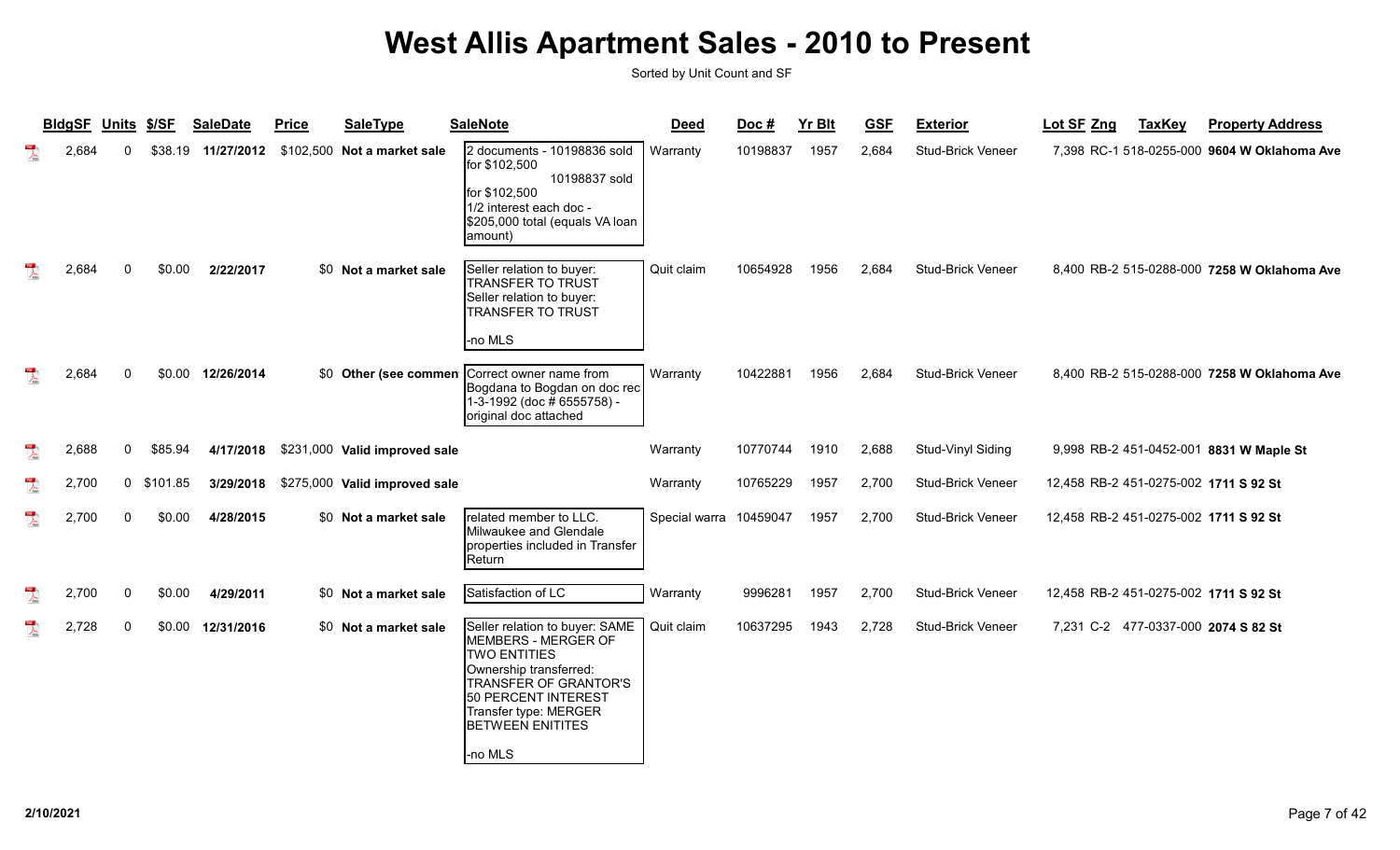|                         | <b>BIdgSF</b> | Units \$/SF |          | <b>SaleDate</b> | <b>Price</b> | <b>SaleType</b>               | <b>SaleNote</b>                                                                                                                                                                                                              | <b>Deed</b>   | Doc#     | <b>Yr Blt</b> | <b>GSF</b> | <b>Exterior</b>          | Lot SF Zng                            | <b>TaxKey</b> | <b>Property Address</b>                     |
|-------------------------|---------------|-------------|----------|-----------------|--------------|-------------------------------|------------------------------------------------------------------------------------------------------------------------------------------------------------------------------------------------------------------------------|---------------|----------|---------------|------------|--------------------------|---------------------------------------|---------------|---------------------------------------------|
| $\mathbb{R}$            | 2,684         | $\Omega$    | \$38.19  | 11/27/2012      | \$102,500    | Not a market sale             | 2 documents - 10198836 sold<br>for \$102,500<br>10198837 sold<br>for \$102,500<br>1/2 interest each doc -<br>\$205,000 total (equals VA loan<br>amount)                                                                      | Warranty      | 10198837 | 1957          | 2,684      | <b>Stud-Brick Veneer</b> |                                       |               | 7,398 RC-1 518-0255-000 9604 W Oklahoma Ave |
|                         | 2,684         | $\Omega$    | \$0.00   | 2/22/2017       |              | \$0 Not a market sale         | Seller relation to buyer:<br><b>TRANSFER TO TRUST</b><br>Seller relation to buyer:<br><b>TRANSFER TO TRUST</b><br>-no MLS                                                                                                    | Quit claim    | 10654928 | 1956          | 2,684      | <b>Stud-Brick Veneer</b> |                                       |               | 8,400 RB-2 515-0288-000 7258 W Oklahoma Ave |
| 乁                       | 2,684         | $\Omega$    | \$0.00   | 12/26/2014      |              |                               | \$0 Other (see commen Correct owner name from<br>Bogdana to Bogdan on doc rec<br>1-3-1992 (doc # 6555758) -<br>original doc attached                                                                                         | Warranty      | 10422881 | 1956          | 2,684      | Stud-Brick Veneer        |                                       |               | 8,400 RB-2 515-0288-000 7258 W Oklahoma Ave |
| $\overline{\mathbf{r}}$ | 2,688         | 0           | \$85.94  | 4/17/2018       |              | \$231,000 Valid improved sale |                                                                                                                                                                                                                              | Warranty      | 10770744 | 1910          | 2,688      | Stud-Vinyl Siding        |                                       |               | 9,998 RB-2 451-0452-001 8831 W Maple St     |
| $\mathbb{R}$            | 2,700         | $\mathbf 0$ | \$101.85 | 3/29/2018       |              | \$275,000 Valid improved sale |                                                                                                                                                                                                                              | Warranty      | 10765229 | 1957          | 2,700      | <b>Stud-Brick Veneer</b> | 12,458 RB-2 451-0275-002 1711 S 92 St |               |                                             |
| $\mathbb{R}$            | 2,700         | $\mathbf 0$ | \$0.00   | 4/28/2015       |              | \$0 Not a market sale         | related member to LLC.<br>Milwaukee and Glendale<br>properties included in Transfer<br>Return                                                                                                                                | Special warra | 10459047 | 1957          | 2,700      | Stud-Brick Veneer        | 12,458 RB-2 451-0275-002 1711 S 92 St |               |                                             |
| $\mathbb{R}$            | 2,700         | $\mathbf 0$ | \$0.00   | 4/29/2011       |              | \$0 Not a market sale         | Satisfaction of LC                                                                                                                                                                                                           | Warranty      | 9996281  | 1957          | 2,700      | Stud-Brick Veneer        | 12,458 RB-2 451-0275-002 1711 S 92 St |               |                                             |
| $\sum_{i=1}^{n}$        | 2,728         | 0           | \$0.00   | 12/31/2016      |              | \$0 Not a market sale         | Seller relation to buyer: SAME<br>MEMBERS - MERGER OF<br><b>TWO ENTITIES</b><br>Ownership transferred:<br><b>TRANSFER OF GRANTOR'S</b><br>50 PERCENT INTEREST<br>Transfer type: MERGER<br><b>BETWEEN ENITITES</b><br>-no MLS | Quit claim    | 10637295 | 1943          | 2,728      | Stud-Brick Veneer        | 7,231 C-2 477-0337-000 2074 S 82 St   |               |                                             |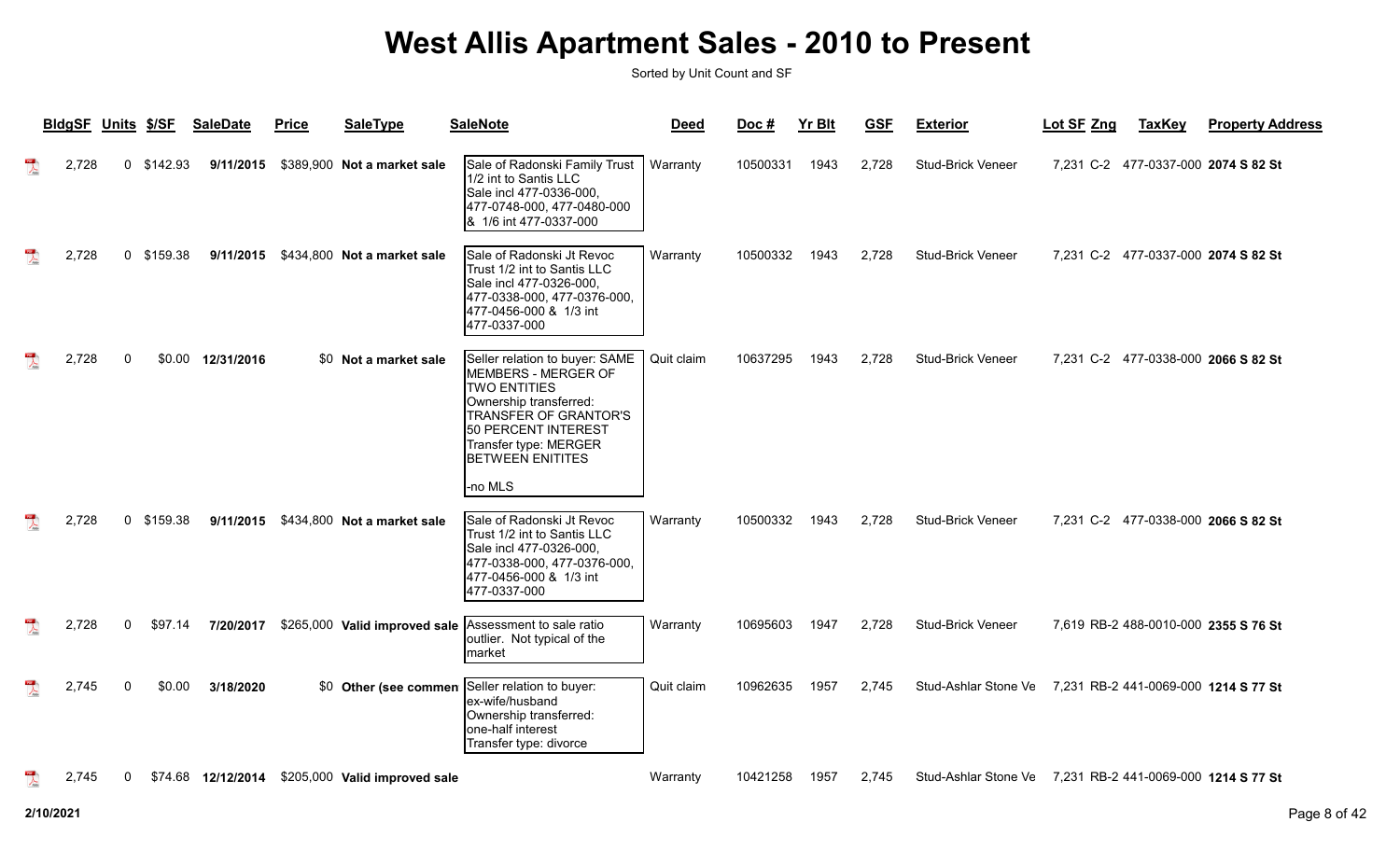|                         | <b>BldgSF</b> | <b>Units</b> | <u>\$/SF</u> | <b>SaleDate</b>    | <b>SaleType</b><br><b>Price</b>                        | <b>SaleNote</b>                                                                                                                                                                                                   | <b>Deed</b> | Doc#     | <b>Yr Blt</b> | <b>GSF</b> | <b>Exterior</b>                                           | Lot SF Zng | <b>TaxKey</b> | <b>Property Address</b>              |
|-------------------------|---------------|--------------|--------------|--------------------|--------------------------------------------------------|-------------------------------------------------------------------------------------------------------------------------------------------------------------------------------------------------------------------|-------------|----------|---------------|------------|-----------------------------------------------------------|------------|---------------|--------------------------------------|
|                         | 2,728         | $\mathbf 0$  | \$142.93     | 9/11/2015          | \$389,900 Not a market sale                            | Sale of Radonski Family Trust<br>1/2 int to Santis LLC<br>Sale incl 477-0336-000,<br>477-0748-000, 477-0480-000<br>1/6 int 477-0337-000<br>1&                                                                     | Warranty    | 10500331 | 1943          | 2.728      | <b>Stud-Brick Veneer</b>                                  |            |               | 7,231 C-2 477-0337-000 2074 S 82 St  |
|                         | 2,728         | $\mathbf 0$  | \$159.38     |                    | 9/11/2015 \$434,800 Not a market sale                  | Sale of Radonski Jt Revoc<br>Trust 1/2 int to Santis LLC<br>Sale incl 477-0326-000,<br>477-0338-000, 477-0376-000,<br>477-0456-000 & 1/3 int<br>477-0337-000                                                      | Warranty    | 10500332 | 1943          | 2,728      | Stud-Brick Veneer                                         |            |               | 7,231 C-2 477-0337-000 2074 S 82 St  |
|                         | 2,728         | $\Omega$     |              | \$0.00 12/31/2016  | \$0 Not a market sale                                  | Seller relation to buyer: SAME<br>MEMBERS - MERGER OF<br><b>TWO ENTITIES</b><br>Ownership transferred:<br><b>TRANSFER OF GRANTOR'S</b><br>50 PERCENT INTEREST<br>Transfer type: MERGER<br><b>BETWEEN ENITITES</b> | Quit claim  | 10637295 | 1943          | 2,728      | Stud-Brick Veneer                                         |            |               | 7,231 C-2 477-0338-000 2066 S 82 St  |
|                         | 2,728         | $\mathbf 0$  | \$159.38     |                    | 9/11/2015 \$434,800 Not a market sale                  | -no MLS<br>Sale of Radonski Jt Revoc<br>Trust 1/2 int to Santis LLC<br>Sale incl 477-0326-000,<br>477-0338-000, 477-0376-000,<br>477-0456-000 & 1/3 int<br>477-0337-000                                           | Warranty    | 10500332 | 1943          | 2,728      | <b>Stud-Brick Veneer</b>                                  |            |               | 7,231 C-2 477-0338-000 2066 S 82 St  |
|                         | 2,728         | $\Omega$     | \$97.14      | 7/20/2017          | \$265,000 Valid improved sale Assessment to sale ratio | outlier. Not typical of the<br>Imarket                                                                                                                                                                            | Warranty    | 10695603 | 1947          | 2,728      | <b>Stud-Brick Veneer</b>                                  |            |               | 7,619 RB-2 488-0010-000 2355 S 76 St |
| $\overline{\mathbf{r}}$ | 2,745         | $\mathbf{0}$ | \$0.00       | 3/18/2020          | Other (see commen<br>\$0                               | Seller relation to buyer:<br>lex-wife/husband<br>Ownership transferred:<br>lone-half interest<br>Transfer type: divorce                                                                                           | Quit claim  | 10962635 | 1957          | 2.745      | Stud-Ashlar Stone Ve 7.231 RB-2 441-0069-000 1214 S 77 St |            |               |                                      |
|                         | 2,745         | 0            |              | \$74.68 12/12/2014 | \$205,000 Valid improved sale                          |                                                                                                                                                                                                                   | Warranty    | 10421258 | 1957          | 2,745      | Stud-Ashlar Stone Ve 7,231 RB-2 441-0069-000 1214 S 77 St |            |               |                                      |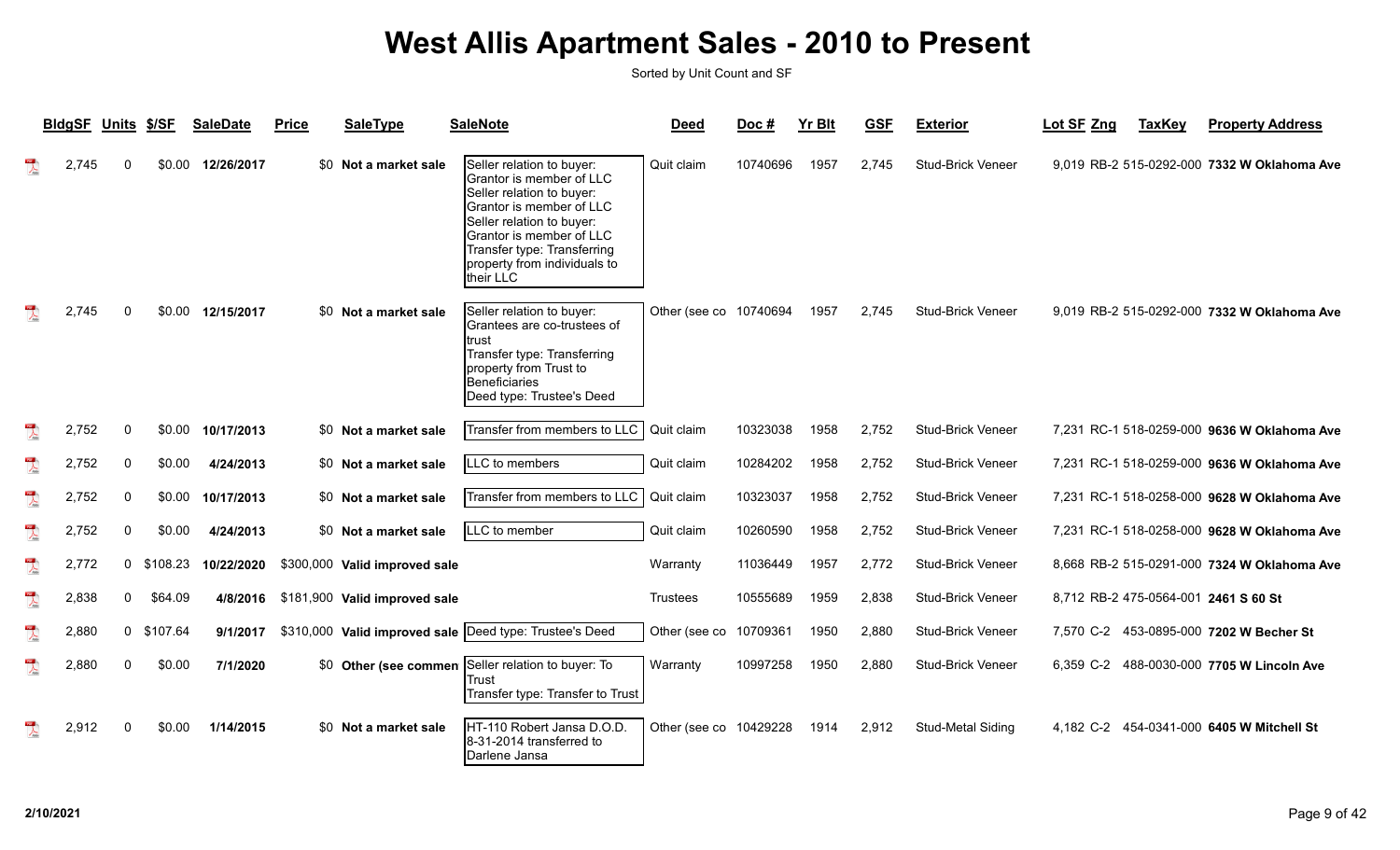|                                                                                                                                                                                                                                                                                                                                                                                                                             | <b>BIdgSF</b> | <b>Units</b> | \$/SF      | <b>SaleDate</b> | <b>Price</b> | <b>SaleType</b>               | <b>SaleNote</b>                                                                                                                                                                                                                                              | <b>Deed</b>            | Doc#     | <b>Yr Blt</b> | <b>GSF</b> | <b>Exterior</b>          | Lot SF Zng | <b>TaxKey</b> | <b>Property Address</b>                     |
|-----------------------------------------------------------------------------------------------------------------------------------------------------------------------------------------------------------------------------------------------------------------------------------------------------------------------------------------------------------------------------------------------------------------------------|---------------|--------------|------------|-----------------|--------------|-------------------------------|--------------------------------------------------------------------------------------------------------------------------------------------------------------------------------------------------------------------------------------------------------------|------------------------|----------|---------------|------------|--------------------------|------------|---------------|---------------------------------------------|
|                                                                                                                                                                                                                                                                                                                                                                                                                             | 2.745         |              | \$0.00     | 12/26/2017      |              | \$0 Not a market sale         | Seller relation to buyer:<br>Grantor is member of LLC<br>Seller relation to buyer:<br>Grantor is member of LLC<br>Seller relation to buyer:<br><b>I</b> Grantor is member of LLC<br>Transfer type: Transferring<br>property from individuals to<br>their LLC | Quit claim             | 10740696 | 1957          | 2,745      | Stud-Brick Veneer        |            |               | 9,019 RB-2 515-0292-000 7332 W Oklahoma Ave |
|                                                                                                                                                                                                                                                                                                                                                                                                                             | 2,745         | $\Omega$     | \$0.00     | 12/15/2017      |              | \$0 Not a market sale         | Seller relation to buyer:<br>Grantees are co-trustees of<br>trust<br>Transfer type: Transferring<br>property from Trust to<br>Beneficiaries<br>Deed type: Trustee's Deed                                                                                     | Other (see co          | 10740694 | 1957          | 2,745      | <b>Stud-Brick Veneer</b> |            |               | 9,019 RB-2 515-0292-000 7332 W Oklahoma Ave |
|                                                                                                                                                                                                                                                                                                                                                                                                                             | 2,752         | $\mathbf{0}$ | \$0.00     | 10/17/2013      |              | \$0 Not a market sale         | Transfer from members to LLC                                                                                                                                                                                                                                 | Quit claim             | 10323038 | 1958          | 2,752      | <b>Stud-Brick Veneer</b> |            |               | 7,231 RC-1 518-0259-000 9636 W Oklahoma Ave |
| $\overline{\mathcal{A}}$                                                                                                                                                                                                                                                                                                                                                                                                    | 2,752         | 0            | \$0.00     | 4/24/2013       |              | \$0 Not a market sale         | LLC to members                                                                                                                                                                                                                                               | Quit claim             | 10284202 | 1958          | 2,752      | <b>Stud-Brick Veneer</b> |            |               | 7,231 RC-1 518-0259-000 9636 W Oklahoma Ave |
| $\begin{array}{c} \mathbf{1} \mathbf{1} \mathbf{1} \mathbf{1} \mathbf{1} \mathbf{1} \mathbf{1} \mathbf{1} \mathbf{1} \mathbf{1} \mathbf{1} \mathbf{1} \mathbf{1} \mathbf{1} \mathbf{1} \mathbf{1} \mathbf{1} \mathbf{1} \mathbf{1} \mathbf{1} \mathbf{1} \mathbf{1} \mathbf{1} \mathbf{1} \mathbf{1} \mathbf{1} \mathbf{1} \mathbf{1} \mathbf{1} \mathbf{1} \mathbf{1} \mathbf{1} \mathbf{1} \mathbf{1} \mathbf{1} \mathbf$ | 2,752         | 0            | \$0.00     | 10/17/2013      |              | \$0 Not a market sale         | Transfer from members to LLC                                                                                                                                                                                                                                 | Quit claim             | 10323037 | 1958          | 2,752      | <b>Stud-Brick Veneer</b> |            |               | 7,231 RC-1 518-0258-000 9628 W Oklahoma Ave |
| $\overline{\mathbf{r}}$                                                                                                                                                                                                                                                                                                                                                                                                     | 2,752         | 0            | \$0.00     | 4/24/2013       |              | \$0 Not a market sale         | $LC$ to member                                                                                                                                                                                                                                               | Quit claim             | 10260590 | 1958          | 2,752      | Stud-Brick Veneer        |            |               | 7,231 RC-1 518-0258-000 9628 W Oklahoma Ave |
| $\mathbb{R}$                                                                                                                                                                                                                                                                                                                                                                                                                | 2,772         | 0            | \$108.23   | 10/22/2020      |              | \$300,000 Valid improved sale |                                                                                                                                                                                                                                                              | Warranty               | 11036449 | 1957          | 2,772      | <b>Stud-Brick Veneer</b> |            |               | 8,668 RB-2 515-0291-000 7324 W Oklahoma Ave |
| $\sum_{n=1}^{\infty}$                                                                                                                                                                                                                                                                                                                                                                                                       | 2,838         | 0            | \$64.09    | 4/8/2016        |              | \$181,900 Valid improved sale |                                                                                                                                                                                                                                                              | <b>Trustees</b>        | 10555689 | 1959          | 2,838      | <b>Stud-Brick Veneer</b> |            |               | 8,712 RB-2 475-0564-001 2461 S 60 St        |
| $\overline{\mathcal{L}}$                                                                                                                                                                                                                                                                                                                                                                                                    | 2,880         |              | 0 \$107.64 | 9/1/2017        |              |                               | \$310,000 Valid improved sale Deed type: Trustee's Deed                                                                                                                                                                                                      | Other (see co          | 10709361 | 1950          | 2,880      | Stud-Brick Veneer        |            |               | 7,570 C-2 453-0895-000 7202 W Becher St     |
| $\mathbb{Z}$                                                                                                                                                                                                                                                                                                                                                                                                                | 2,880         | $\Omega$     | \$0.00     | 7/1/2020        |              |                               | \$0 Other (see commen Seller relation to buyer: To<br>Trust<br>Transfer type: Transfer to Trust                                                                                                                                                              | Warranty               | 10997258 | 1950          | 2,880      | Stud-Brick Veneer        | 6.359 C-2  |               | 488-0030-000 7705 W Lincoln Ave             |
|                                                                                                                                                                                                                                                                                                                                                                                                                             | 2,912         | $\Omega$     | \$0.00     | 1/14/2015       |              | \$0 Not a market sale         | HT-110 Robert Jansa D.O.D.<br>8-31-2014 transferred to<br>Darlene Jansa                                                                                                                                                                                      | Other (see co 10429228 |          | 1914          | 2,912      | Stud-Metal Siding        | 4.182 C-2  |               | 454-0341-000 6405 W Mitchell St             |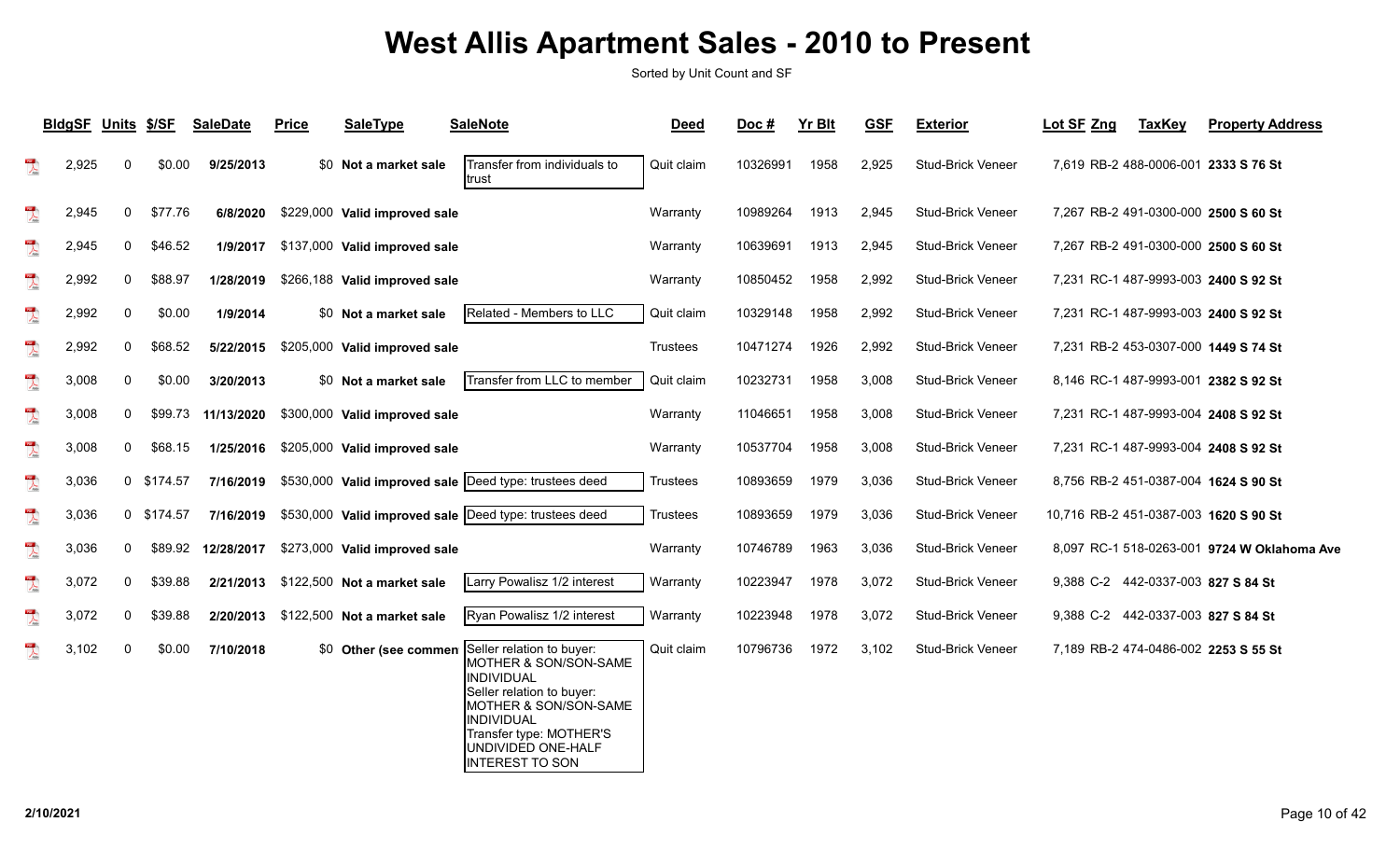|                                                                                                                                                                                                                                                                                                                                                                                                                             | BldgSF Units \$/SF |   |            | <b>SaleDate</b> | <b>Price</b> | <b>SaleType</b>                       | <b>SaleNote</b>                                                                                                                                                                                                 | <b>Deed</b>     | Doc#     | <b>Yr Blt</b> | <b>GSF</b> | <b>Exterior</b>          | Lot SF Zng                            | <b>TaxKey</b> | <b>Property Address</b>                     |
|-----------------------------------------------------------------------------------------------------------------------------------------------------------------------------------------------------------------------------------------------------------------------------------------------------------------------------------------------------------------------------------------------------------------------------|--------------------|---|------------|-----------------|--------------|---------------------------------------|-----------------------------------------------------------------------------------------------------------------------------------------------------------------------------------------------------------------|-----------------|----------|---------------|------------|--------------------------|---------------------------------------|---------------|---------------------------------------------|
| $\sum_{i=1}^{n}$                                                                                                                                                                                                                                                                                                                                                                                                            | 2,925              | 0 | \$0.00     | 9/25/2013       |              | \$0 Not a market sale                 | Transfer from individuals to<br>ltrust                                                                                                                                                                          | Quit claim      | 10326991 | 1958          | 2,925      | <b>Stud-Brick Veneer</b> |                                       |               | 7,619 RB-2 488-0006-001 2333 S 76 St        |
| $\begin{array}{c} \mathbf{1} \mathbf{1} \mathbf{1} \mathbf{1} \mathbf{1} \mathbf{1} \mathbf{1} \mathbf{1} \mathbf{1} \mathbf{1} \mathbf{1} \mathbf{1} \mathbf{1} \mathbf{1} \mathbf{1} \mathbf{1} \mathbf{1} \mathbf{1} \mathbf{1} \mathbf{1} \mathbf{1} \mathbf{1} \mathbf{1} \mathbf{1} \mathbf{1} \mathbf{1} \mathbf{1} \mathbf{1} \mathbf{1} \mathbf{1} \mathbf{1} \mathbf{1} \mathbf{1} \mathbf{1} \mathbf{1} \mathbf$ | 2,945              | 0 | \$77.76    | 6/8/2020        |              | \$229,000 Valid improved sale         |                                                                                                                                                                                                                 | Warranty        | 10989264 | 1913          | 2,945      | Stud-Brick Veneer        |                                       |               | 7,267 RB-2 491-0300-000 2500 S 60 St        |
| $\begin{array}{c} \mathbf{1} \mathbf{1} \mathbf{1} \mathbf{1} \mathbf{1} \mathbf{1} \mathbf{1} \mathbf{1} \mathbf{1} \mathbf{1} \mathbf{1} \mathbf{1} \mathbf{1} \mathbf{1} \mathbf{1} \mathbf{1} \mathbf{1} \mathbf{1} \mathbf{1} \mathbf{1} \mathbf{1} \mathbf{1} \mathbf{1} \mathbf{1} \mathbf{1} \mathbf{1} \mathbf{1} \mathbf{1} \mathbf{1} \mathbf{1} \mathbf{1} \mathbf{1} \mathbf{1} \mathbf{1} \mathbf{1} \mathbf$ | 2,945              | 0 | \$46.52    | 1/9/2017        |              | \$137,000 Valid improved sale         |                                                                                                                                                                                                                 | Warranty        | 10639691 | 1913          | 2,945      | <b>Stud-Brick Veneer</b> |                                       |               | 7,267 RB-2 491-0300-000 2500 S 60 St        |
| $\sum_{i=1}^{n}$                                                                                                                                                                                                                                                                                                                                                                                                            | 2,992              | 0 | \$88.97    | 1/28/2019       |              | \$266,188 Valid improved sale         |                                                                                                                                                                                                                 | Warranty        | 10850452 | 1958          | 2,992      | <b>Stud-Brick Veneer</b> |                                       |               | 7,231 RC-1 487-9993-003 2400 S 92 St        |
| $\mathbb{R}$                                                                                                                                                                                                                                                                                                                                                                                                                | 2,992              | 0 | \$0.00     | 1/9/2014        |              | \$0 Not a market sale                 | Related - Members to LLC                                                                                                                                                                                        | Quit claim      | 10329148 | 1958          | 2,992      | <b>Stud-Brick Veneer</b> |                                       |               | 7,231 RC-1 487-9993-003 2400 S 92 St        |
| $\mathbb{R}$                                                                                                                                                                                                                                                                                                                                                                                                                | 2,992              | 0 | \$68.52    | 5/22/2015       |              | \$205,000 Valid improved sale         |                                                                                                                                                                                                                 | <b>Trustees</b> | 10471274 | 1926          | 2,992      | Stud-Brick Veneer        |                                       |               | 7,231 RB-2 453-0307-000 1449 S 74 St        |
| $\begin{array}{c} \mathbf{1} \mathbf{1} \mathbf{1} \mathbf{1} \mathbf{1} \mathbf{1} \mathbf{1} \mathbf{1} \mathbf{1} \mathbf{1} \mathbf{1} \mathbf{1} \mathbf{1} \mathbf{1} \mathbf{1} \mathbf{1} \mathbf{1} \mathbf{1} \mathbf{1} \mathbf{1} \mathbf{1} \mathbf{1} \mathbf{1} \mathbf{1} \mathbf{1} \mathbf{1} \mathbf{1} \mathbf{1} \mathbf{1} \mathbf{1} \mathbf{1} \mathbf{1} \mathbf{1} \mathbf{1} \mathbf{1} \mathbf$ | 3,008              | 0 | \$0.00     | 3/20/2013       |              | \$0 Not a market sale                 | Transfer from LLC to member                                                                                                                                                                                     | Quit claim      | 10232731 | 1958          | 3,008      | <b>Stud-Brick Veneer</b> |                                       |               | 8,146 RC-1 487-9993-001 2382 S 92 St        |
| $\mathbb{R}$                                                                                                                                                                                                                                                                                                                                                                                                                | 3,008              | 0 | \$99.73    | 11/13/2020      |              | \$300,000 Valid improved sale         |                                                                                                                                                                                                                 | Warranty        | 11046651 | 1958          | 3,008      | <b>Stud-Brick Veneer</b> |                                       |               | 7,231 RC-1 487-9993-004 2408 S 92 St        |
| $\overline{\mathbf{r}}$                                                                                                                                                                                                                                                                                                                                                                                                     | 3,008              | 0 | \$68.15    | 1/25/2016       |              | \$205,000 Valid improved sale         |                                                                                                                                                                                                                 | Warranty        | 10537704 | 1958          | 3,008      | <b>Stud-Brick Veneer</b> |                                       |               | 7,231 RC-1 487-9993-004 2408 S 92 St        |
| $\mathbb{R}$                                                                                                                                                                                                                                                                                                                                                                                                                | 3,036              |   | 0 \$174.57 | 7/16/2019       |              |                                       | \$530,000 Valid improved sale  Deed type: trustees deed                                                                                                                                                         | Trustees        | 10893659 | 1979          | 3,036      | <b>Stud-Brick Veneer</b> |                                       |               | 8,756 RB-2 451-0387-004 1624 S 90 St        |
| $\begin{array}{c} \mathbf{1} \mathbf{1} \mathbf{1} \mathbf{1} \mathbf{1} \mathbf{1} \mathbf{1} \mathbf{1} \mathbf{1} \mathbf{1} \mathbf{1} \mathbf{1} \mathbf{1} \mathbf{1} \mathbf{1} \mathbf{1} \mathbf{1} \mathbf{1} \mathbf{1} \mathbf{1} \mathbf{1} \mathbf{1} \mathbf{1} \mathbf{1} \mathbf{1} \mathbf{1} \mathbf{1} \mathbf{1} \mathbf{1} \mathbf{1} \mathbf{1} \mathbf{1} \mathbf{1} \mathbf{1} \mathbf{1} \mathbf$ | 3,036              |   | 0 \$174.57 | 7/16/2019       |              |                                       | \$530,000 Valid improved sale  Deed type: trustees deed                                                                                                                                                         | Trustees        | 10893659 | 1979          | 3,036      | <b>Stud-Brick Veneer</b> | 10,716 RB-2 451-0387-003 1620 S 90 St |               |                                             |
| $\begin{array}{c} \mathbf{1} \mathbf{1} \mathbf{1} \mathbf{1} \mathbf{1} \mathbf{1} \mathbf{1} \mathbf{1} \mathbf{1} \mathbf{1} \mathbf{1} \mathbf{1} \mathbf{1} \mathbf{1} \mathbf{1} \mathbf{1} \mathbf{1} \mathbf{1} \mathbf{1} \mathbf{1} \mathbf{1} \mathbf{1} \mathbf{1} \mathbf{1} \mathbf{1} \mathbf{1} \mathbf{1} \mathbf{1} \mathbf{1} \mathbf{1} \mathbf{1} \mathbf{1} \mathbf{1} \mathbf{1} \mathbf{1} \mathbf$ | 3,036              | 0 | \$89.92    | 12/28/2017      |              | \$273,000 Valid improved sale         |                                                                                                                                                                                                                 | Warranty        | 10746789 | 1963          | 3,036      | <b>Stud-Brick Veneer</b> |                                       |               | 8,097 RC-1 518-0263-001 9724 W Oklahoma Ave |
| $\frac{1}{\sqrt{2}}$                                                                                                                                                                                                                                                                                                                                                                                                        | 3,072              | 0 | \$39.88    | 2/21/2013       |              | \$122,500 Not a market sale           | Larry Powalisz 1/2 interest                                                                                                                                                                                     | Warranty        | 10223947 | 1978          | 3,072      | Stud-Brick Veneer        | 9,388 C-2 442-0337-003 827 S 84 St    |               |                                             |
| $\begin{picture}(20,20) \put(0,0){\vector(0,1){10}} \put(15,0){\vector(0,1){10}} \put(15,0){\vector(0,1){10}} \put(15,0){\vector(0,1){10}} \put(15,0){\vector(0,1){10}} \put(15,0){\vector(0,1){10}} \put(15,0){\vector(0,1){10}} \put(15,0){\vector(0,1){10}} \put(15,0){\vector(0,1){10}} \put(15,0){\vector(0,1){10}} \put(15,0){\vector(0,1){10}} \put(15,0){\vector(0$                                                 | 3,072              | 0 | \$39.88    |                 |              | 2/20/2013 \$122,500 Not a market sale | Ryan Powalisz 1/2 interest                                                                                                                                                                                      | Warranty        | 10223948 | 1978          | 3,072      | Stud-Brick Veneer        | 9,388 C-2 442-0337-003 827 S 84 St    |               |                                             |
| $\mathbb{Z}$                                                                                                                                                                                                                                                                                                                                                                                                                | 3,102              | 0 | \$0.00     | 7/10/2018       |              | \$0 Other (see commen                 | Seller relation to buyer:<br>MOTHER & SON/SON-SAME<br>INDIVIDUAL<br>Seller relation to buyer:<br>MOTHER & SON/SON-SAME<br>INDIVIDUAL<br>Transfer type: MOTHER'S<br>UNDIVIDED ONE-HALF<br><b>INTEREST TO SON</b> | Quit claim      | 10796736 | 1972          | 3,102      | Stud-Brick Veneer        |                                       |               | 7,189 RB-2 474-0486-002 2253 S 55 St        |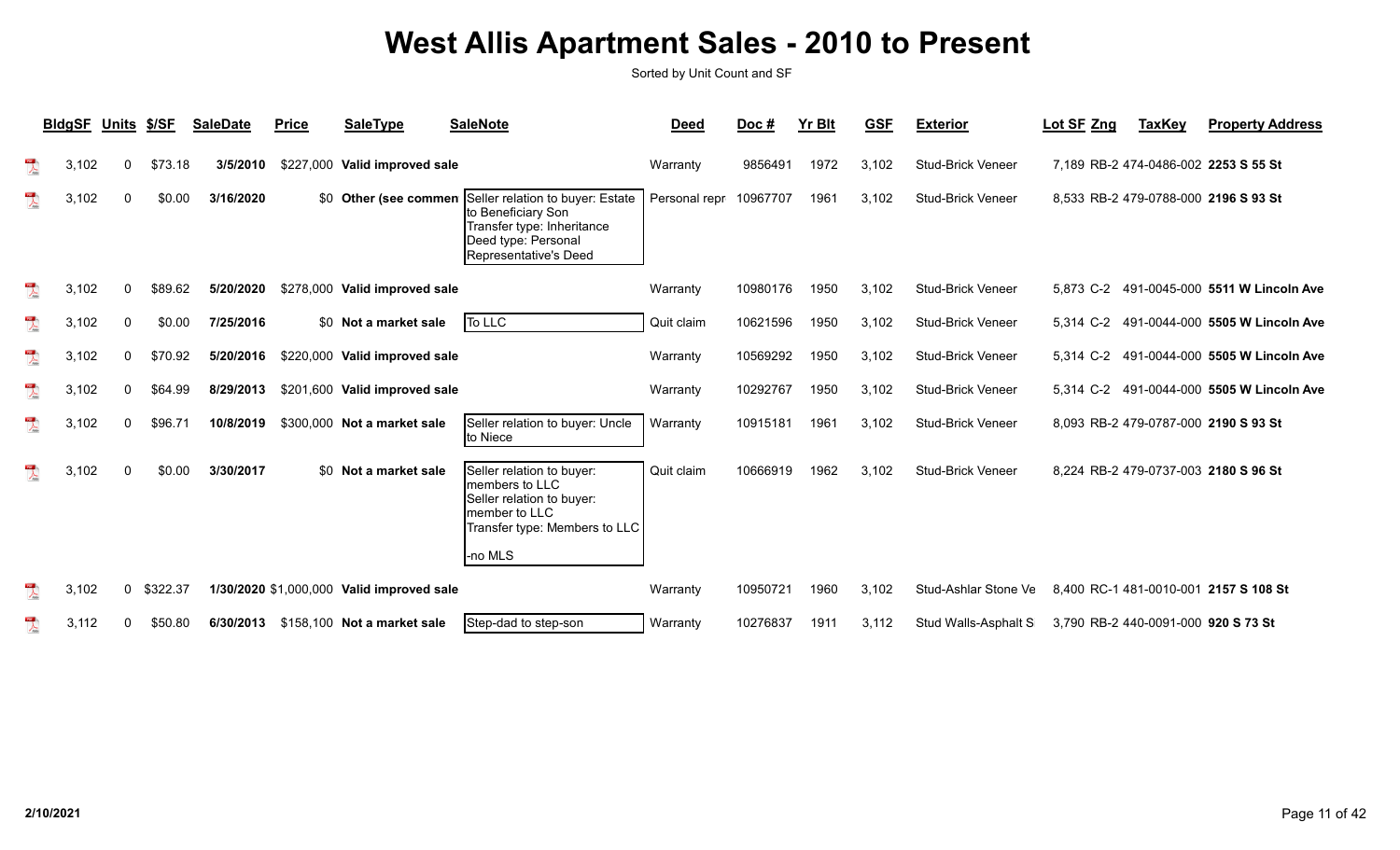|                         | <b>BldgSF</b> | <b>Units</b> | \$/SF    | <b>SaleDate</b> | <b>Price</b> | <b>SaleType</b>                           | <b>SaleNote</b>                                                                                                                       | <b>Deed</b>            | Doc $#$  | <b>Yr Blt</b> | <b>GSF</b> | <b>Exterior</b>          | Lot SF Zng                          | <b>TaxKey</b> | <b>Property Address</b>                   |
|-------------------------|---------------|--------------|----------|-----------------|--------------|-------------------------------------------|---------------------------------------------------------------------------------------------------------------------------------------|------------------------|----------|---------------|------------|--------------------------|-------------------------------------|---------------|-------------------------------------------|
| $\lambda$               | 3,102         | $\Omega$     | \$73.18  | 3/5/2010        | \$227,000    | Valid improved sale                       |                                                                                                                                       | Warranty               | 9856491  | 1972          | 3,102      | <b>Stud-Brick Veneer</b> |                                     |               | 7,189 RB-2 474-0486-002 2253 S 55 St      |
| $\frac{1}{\sqrt{2}}$    | 3,102         |              | \$0.00   | 3/16/2020       |              | \$0 Other (see commen                     | Seller relation to buyer: Estate<br>to Beneficiary Son<br>Transfer type: Inheritance<br>Deed type: Personal<br>Representative's Deed  | Personal repr 10967707 |          | 1961          | 3.102      | <b>Stud-Brick Veneer</b> |                                     |               | 8,533 RB-2 479-0788-000 2196 S 93 St      |
|                         | 3,102         | <sup>0</sup> | \$89.62  | 5/20/2020       |              | \$278,000 Valid improved sale             |                                                                                                                                       | Warranty               | 10980176 | 1950          | 3.102      | <b>Stud-Brick Veneer</b> |                                     |               | 5,873 C-2 491-0045-000 5511 W Lincoln Ave |
| $\overline{\mathbf{r}}$ | 3,102         | 0            | \$0.00   | 7/25/2016       |              | \$0 Not a market sale                     | To LLC                                                                                                                                | Quit claim             | 10621596 | 1950          | 3.102      | <b>Stud-Brick Veneer</b> |                                     |               | 5.314 C-2 491-0044-000 5505 W Lincoln Ave |
| $\frac{105}{\sqrt{25}}$ | 3,102         | $\mathbf{0}$ | \$70.92  | 5/20/2016       |              | \$220,000 Valid improved sale             |                                                                                                                                       | Warranty               | 10569292 | 1950          | 3.102      | <b>Stud-Brick Veneer</b> | 5.314 C-2                           |               | 491-0044-000 5505 W Lincoln Ave           |
| $\frac{1}{\sqrt{2}}$    | 3,102         | $\mathbf{0}$ | \$64.99  | 8/29/2013       |              | \$201,600 Valid improved sale             |                                                                                                                                       | Warranty               | 10292767 | 1950          | 3.102      | Stud-Brick Veneer        |                                     |               | 5,314 C-2 491-0044-000 5505 W Lincoln Ave |
| $\sum_{i=1}^{n}$        | 3,102         | $\Omega$     | \$96.71  | 10/8/2019       |              | \$300,000 Not a market sale               | Seller relation to buyer: Uncle<br>to Niece                                                                                           | Warranty               | 10915181 | 1961          | 3.102      | <b>Stud-Brick Veneer</b> |                                     |               | 8,093 RB-2 479-0787-000 2190 S 93 St      |
| 人                       | 3,102         | $\Omega$     | \$0.00   | 3/30/2017       |              | \$0 Not a market sale                     | Seller relation to buyer:<br>members to LLC<br>Seller relation to buyer:<br>member to LLC<br>Transfer type: Members to LLC<br>-no MLS | Quit claim             | 10666919 | 1962          | 3.102      | <b>Stud-Brick Veneer</b> |                                     |               | 8,224 RB-2 479-0737-003 2180 S 96 St      |
| $\sum_{k=1}^{n}$        | 3,102         | $\mathbf{0}$ | \$322.37 |                 |              | 1/30/2020 \$1,000,000 Valid improved sale |                                                                                                                                       | Warranty               | 10950721 | 1960          | 3.102      | Stud-Ashlar Stone Ve     |                                     |               | 8,400 RC-1 481-0010-001 2157 S 108 St     |
| $\sum_{\text{batch}}$   | 3,112         |              | \$50.80  | 6/30/2013       |              | \$158,100 Not a market sale               | Step-dad to step-son                                                                                                                  | Warranty               | 10276837 | 1911          | 3,112      | Stud Walls-Asphalt S     | 3,790 RB-2 440-0091-000 920 S 73 St |               |                                           |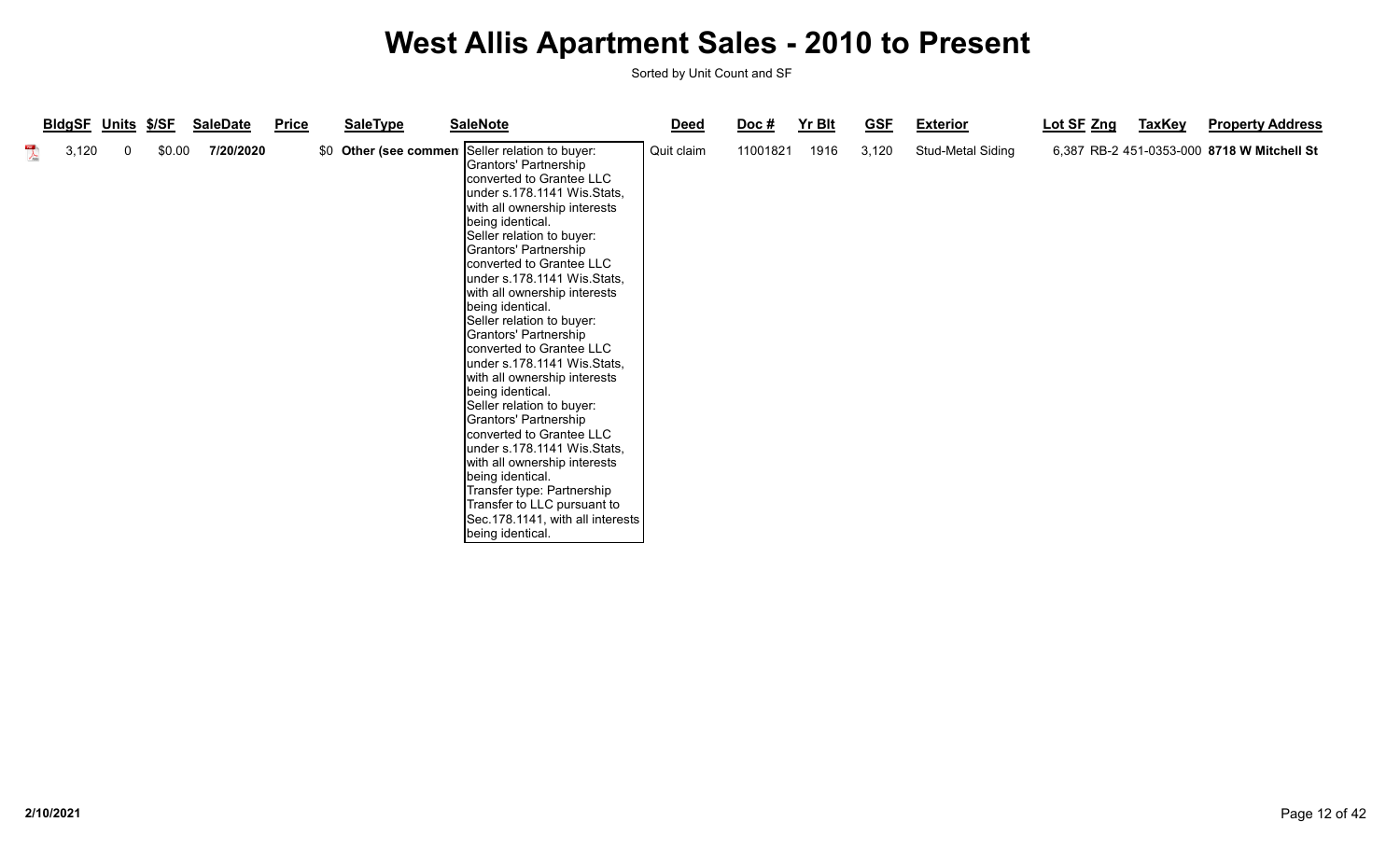|                      | <b>BIdgSF Units \$/SF</b> |   |        | <b>SaleDate</b> | Price | <b>SaleType</b> | <b>SaleNote</b>                                                                                                                                                                                                                                                                                                                                                                                                                                                                                                                                                                                                                                                                                                                                                                                                             | <b>Deed</b> | $\overline{Doc}$ # | Yr Blt | <b>GSF</b> | <b>Exterior</b>   | Lot SF Zng | <b>TaxKey</b> | <b>Property Address</b>                    |
|----------------------|---------------------------|---|--------|-----------------|-------|-----------------|-----------------------------------------------------------------------------------------------------------------------------------------------------------------------------------------------------------------------------------------------------------------------------------------------------------------------------------------------------------------------------------------------------------------------------------------------------------------------------------------------------------------------------------------------------------------------------------------------------------------------------------------------------------------------------------------------------------------------------------------------------------------------------------------------------------------------------|-------------|--------------------|--------|------------|-------------------|------------|---------------|--------------------------------------------|
| $\sum_{\text{data}}$ | 3,120                     | 0 | \$0.00 | 7/20/2020       |       |                 | \$0 Other (see commen Seller relation to buyer:<br>Grantors' Partnership<br>converted to Grantee LLC<br>under s.178.1141 Wis.Stats,<br>with all ownership interests<br>being identical.<br>Seller relation to buyer:<br>Grantors' Partnership<br>converted to Grantee LLC<br>under s.178.1141 Wis.Stats,<br>with all ownership interests<br>being identical.<br>Seller relation to buyer:<br>Grantors' Partnership<br>converted to Grantee LLC<br>under s.178.1141 Wis.Stats,<br>with all ownership interests<br>being identical.<br>Seller relation to buyer:<br>Grantors' Partnership<br>converted to Grantee LLC<br>under s.178.1141 Wis.Stats,<br>with all ownership interests<br>being identical.<br>Transfer type: Partnership<br>Transfer to LLC pursuant to<br>Sec.178.1141, with all interests<br>being identical. | Quit claim  | 11001821           | 1916   | 3,120      | Stud-Metal Siding |            |               | 6,387 RB-2 451-0353-000 8718 W Mitchell St |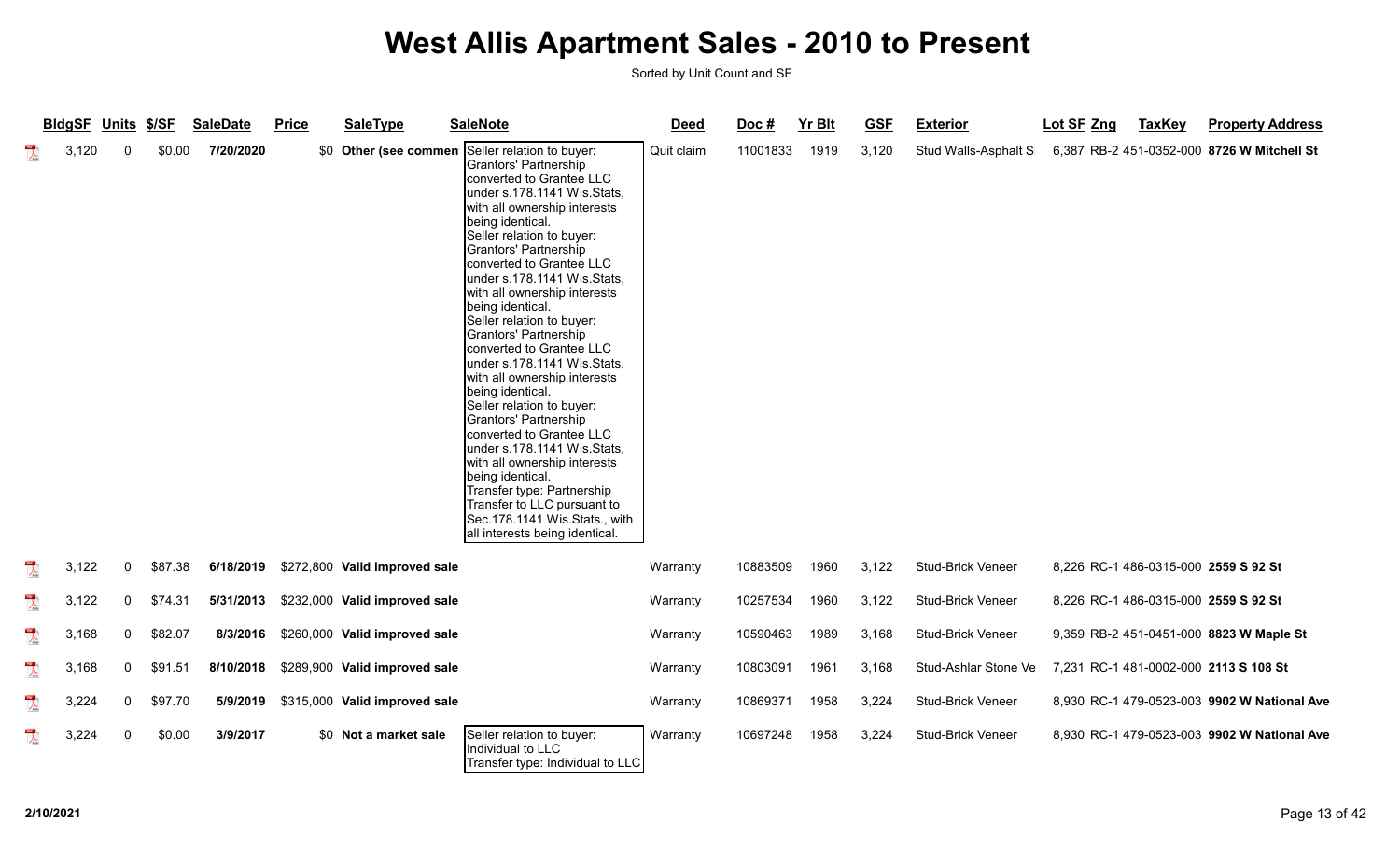|                                      | BldgSF Units \$/SF |              |         | <b>SaleDate</b> | <b>Price</b> | <b>SaleType</b>               | <b>SaleNote</b>                                                                                                                                                                                                                                                                                                                                                                                                                                                                                                                                                                                                                                                                                                                                                                                                                        | <b>Deed</b> | Doc#     | <b>Yr Blt</b> | <b>GSF</b> | <b>Exterior</b>          | Lot SF Zng | <b>TaxKey</b> | <b>Property Address</b>                     |
|--------------------------------------|--------------------|--------------|---------|-----------------|--------------|-------------------------------|----------------------------------------------------------------------------------------------------------------------------------------------------------------------------------------------------------------------------------------------------------------------------------------------------------------------------------------------------------------------------------------------------------------------------------------------------------------------------------------------------------------------------------------------------------------------------------------------------------------------------------------------------------------------------------------------------------------------------------------------------------------------------------------------------------------------------------------|-------------|----------|---------------|------------|--------------------------|------------|---------------|---------------------------------------------|
| $\frac{1}{\sqrt{2}}$                 | 3,120              | $\Omega$     | \$0.00  | 7/20/2020       |              |                               | \$0 Other (see commen Seller relation to buyer:<br>Grantors' Partnership<br>converted to Grantee LLC<br>under s.178.1141 Wis.Stats,<br>with all ownership interests<br>being identical.<br>Seller relation to buyer:<br>Grantors' Partnership<br>converted to Grantee LLC<br>under s.178.1141 Wis.Stats,<br>with all ownership interests<br>being identical.<br>Seller relation to buyer:<br>Grantors' Partnership<br>converted to Grantee LLC<br>under s.178.1141 Wis.Stats,<br>with all ownership interests<br>being identical.<br>Seller relation to buyer:<br>Grantors' Partnership<br>converted to Grantee LLC<br>under s.178.1141 Wis.Stats,<br>with all ownership interests<br>being identical.<br>Transfer type: Partnership<br>Transfer to LLC pursuant to<br>Sec.178.1141 Wis.Stats., with<br>all interests being identical. | Quit claim  | 11001833 | 1919          | 3,120      | Stud Walls-Asphalt S     |            |               | 6,387 RB-2 451-0352-000 8726 W Mitchell St  |
| $\frac{105}{\lambda_{\text{total}}}$ | 3,122              | 0            | \$87.38 | 6/18/2019       |              | \$272,800 Valid improved sale |                                                                                                                                                                                                                                                                                                                                                                                                                                                                                                                                                                                                                                                                                                                                                                                                                                        | Warranty    | 10883509 | 1960          | 3,122      | Stud-Brick Veneer        |            |               | 8,226 RC-1 486-0315-000 2559 S 92 St        |
| $\sum_{i=1}^{n}$                     | 3,122              | 0            | \$74.31 | 5/31/2013       |              | \$232,000 Valid improved sale |                                                                                                                                                                                                                                                                                                                                                                                                                                                                                                                                                                                                                                                                                                                                                                                                                                        | Warranty    | 10257534 | 1960          | 3,122      | <b>Stud-Brick Veneer</b> |            |               | 8,226 RC-1 486-0315-000 2559 S 92 St        |
| $\overline{\mathbf{r}}$              | 3,168              | $\mathbf{0}$ | \$82.07 | 8/3/2016        |              | \$260,000 Valid improved sale |                                                                                                                                                                                                                                                                                                                                                                                                                                                                                                                                                                                                                                                                                                                                                                                                                                        | Warranty    | 10590463 | 1989          | 3,168      | Stud-Brick Veneer        |            |               | 9,359 RB-2 451-0451-000 8823 W Maple St     |
| $\overline{\mathcal{A}}$             | 3,168              | 0            | \$91.51 | 8/10/2018       |              | \$289,900 Valid improved sale |                                                                                                                                                                                                                                                                                                                                                                                                                                                                                                                                                                                                                                                                                                                                                                                                                                        | Warranty    | 10803091 | 1961          | 3,168      | Stud-Ashlar Stone Ve     |            |               | 7,231 RC-1 481-0002-000 2113 S 108 St       |
| $\overline{\mathbf{r}}$              | 3,224              | 0            | \$97.70 | 5/9/2019        |              | \$315,000 Valid improved sale |                                                                                                                                                                                                                                                                                                                                                                                                                                                                                                                                                                                                                                                                                                                                                                                                                                        | Warranty    | 10869371 | 1958          | 3,224      | Stud-Brick Veneer        |            |               | 8,930 RC-1 479-0523-003 9902 W National Ave |
| $\overline{\mathbf{r}}$              | 3,224              | $\Omega$     | \$0.00  | 3/9/2017        |              | \$0 Not a market sale         | Seller relation to buyer:<br>Individual to LLC<br>Transfer type: Individual to LLC                                                                                                                                                                                                                                                                                                                                                                                                                                                                                                                                                                                                                                                                                                                                                     | Warranty    | 10697248 | 1958          | 3,224      | Stud-Brick Veneer        |            |               | 8,930 RC-1 479-0523-003 9902 W National Ave |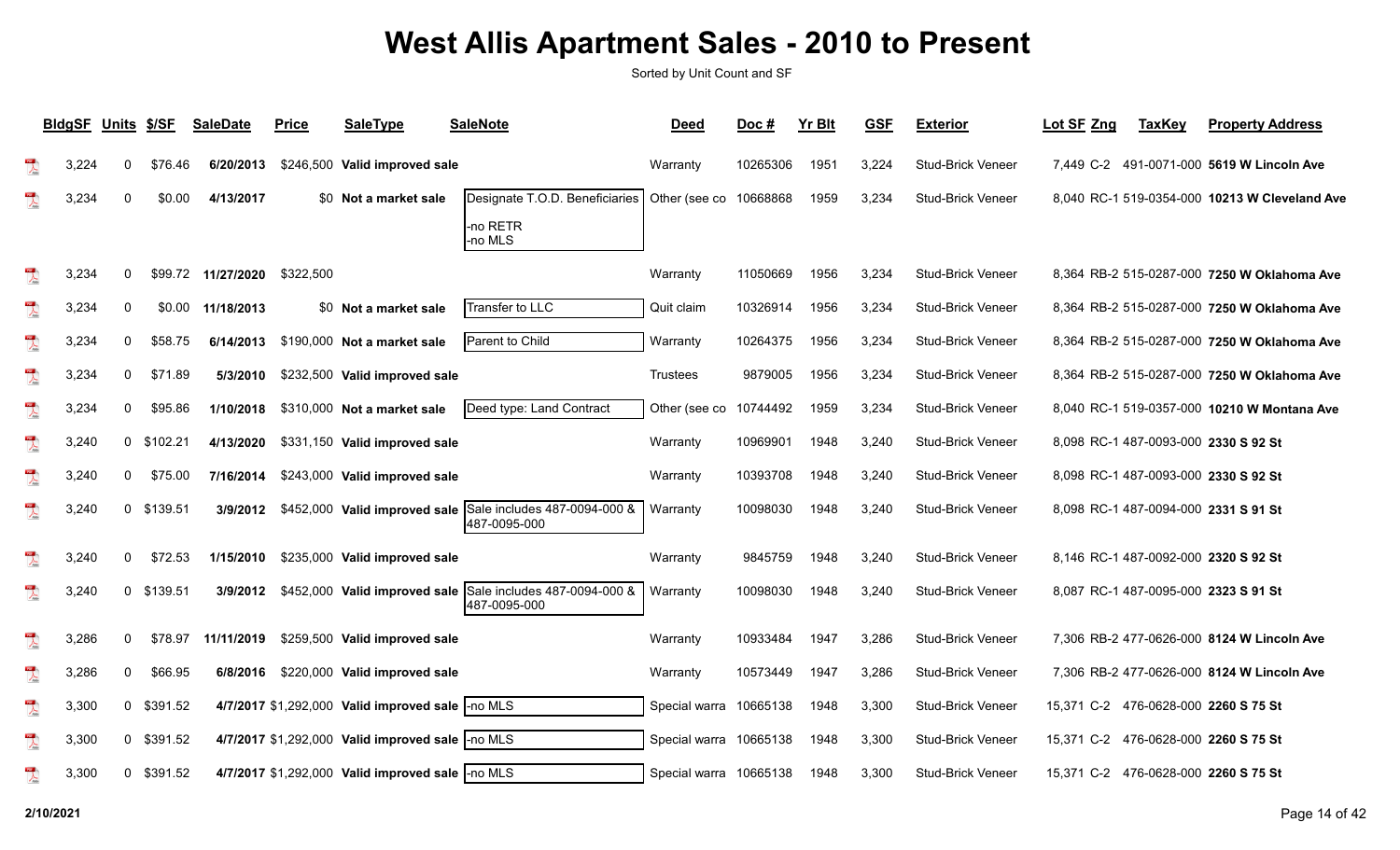|                                                                                                                                                                                                                                                                                                                                                                             | <b>BldgSF</b> | Units \$/SF  |            | <b>SaleDate</b>    | <b>Price</b> | <b>SaleType</b>                                  | <b>SaleNote</b>                                                            | <b>Deed</b>            | Doc#     | <b>Yr Blt</b> | <b>GSF</b> | <b>Exterior</b>          | Lot SF Zng | <b>TaxKey</b> | <b>Property Address</b>                       |
|-----------------------------------------------------------------------------------------------------------------------------------------------------------------------------------------------------------------------------------------------------------------------------------------------------------------------------------------------------------------------------|---------------|--------------|------------|--------------------|--------------|--------------------------------------------------|----------------------------------------------------------------------------|------------------------|----------|---------------|------------|--------------------------|------------|---------------|-----------------------------------------------|
| $\sum_{i=1}^{100}$                                                                                                                                                                                                                                                                                                                                                          | 3,224         | 0            | \$76.46    | 6/20/2013          |              | \$246,500 Valid improved sale                    |                                                                            | Warranty               | 10265306 | 1951          | 3,224      | Stud-Brick Veneer        |            |               | 7,449 C-2 491-0071-000 5619 W Lincoln Ave     |
| $\lambda$                                                                                                                                                                                                                                                                                                                                                                   | 3,234         |              | \$0.00     | 4/13/2017          |              | \$0 Not a market sale                            | Designate T.O.D. Beneficiaries<br>-no RETR<br>-no MLS                      | Other (see co          | 10668868 | 1959          | 3,234      | <b>Stud-Brick Veneer</b> |            |               | 8,040 RC-1 519-0354-000 10213 W Cleveland Ave |
| $\lambda$                                                                                                                                                                                                                                                                                                                                                                   | 3,234         | $\mathbf{0}$ |            | \$99.72 11/27/2020 | \$322,500    |                                                  |                                                                            | Warranty               | 11050669 | 1956          | 3,234      | <b>Stud-Brick Veneer</b> |            |               | 8.364 RB-2 515-0287-000 7250 W Oklahoma Ave   |
| $\overline{\mathbf{r}}$                                                                                                                                                                                                                                                                                                                                                     | 3,234         | 0            | \$0.00     | 11/18/2013         |              | \$0 Not a market sale                            | Transfer to LLC                                                            | Quit claim             | 10326914 | 1956          | 3,234      | Stud-Brick Veneer        |            |               | 8,364 RB-2 515-0287-000 7250 W Oklahoma Ave   |
| $\sum_{k=0}^{10}$                                                                                                                                                                                                                                                                                                                                                           | 3,234         | 0            | \$58.75    | 6/14/2013          |              | \$190,000 Not a market sale                      | Parent to Child                                                            | Warranty               | 10264375 | 1956          | 3,234      | Stud-Brick Veneer        |            |               | 8,364 RB-2 515-0287-000 7250 W Oklahoma Ave   |
| $\overline{\mathbf{r}}$                                                                                                                                                                                                                                                                                                                                                     | 3,234         | 0            | \$71.89    | 5/3/2010           |              | \$232,500 Valid improved sale                    |                                                                            | <b>Trustees</b>        | 9879005  | 1956          | 3,234      | Stud-Brick Veneer        |            |               | 8,364 RB-2 515-0287-000 7250 W Oklahoma Ave   |
| $\begin{picture}(20,20) \put(0,0){\vector(0,1){10}} \put(15,0){\vector(0,1){10}} \put(15,0){\vector(0,1){10}} \put(15,0){\vector(0,1){10}} \put(15,0){\vector(0,1){10}} \put(15,0){\vector(0,1){10}} \put(15,0){\vector(0,1){10}} \put(15,0){\vector(0,1){10}} \put(15,0){\vector(0,1){10}} \put(15,0){\vector(0,1){10}} \put(15,0){\vector(0,1){10}} \put(15,0){\vector(0$ | 3,234         | 0            | \$95.86    | 1/10/2018          |              | \$310,000 Not a market sale                      | Deed type: Land Contract                                                   | Other (see co          | 10744492 | 1959          | 3,234      | <b>Stud-Brick Veneer</b> |            |               | 8,040 RC-1 519-0357-000 10210 W Montana Ave   |
| $\frac{1}{\sqrt{2}}$                                                                                                                                                                                                                                                                                                                                                        | 3,240         |              | 0 \$102.21 | 4/13/2020          |              | \$331,150 Valid improved sale                    |                                                                            | Warranty               | 10969901 | 1948          | 3,240      | Stud-Brick Veneer        |            |               | 8,098 RC-1 487-0093-000 2330 S 92 St          |
| $\begin{picture}(20,20) \put(0,0){\vector(0,1){10}} \put(15,0){\vector(0,1){10}} \put(15,0){\vector(0,1){10}} \put(15,0){\vector(0,1){10}} \put(15,0){\vector(0,1){10}} \put(15,0){\vector(0,1){10}} \put(15,0){\vector(0,1){10}} \put(15,0){\vector(0,1){10}} \put(15,0){\vector(0,1){10}} \put(15,0){\vector(0,1){10}} \put(15,0){\vector(0,1){10}} \put(15,0){\vector(0$ | 3,240         | 0            | \$75.00    | 7/16/2014          |              | \$243,000 Valid improved sale                    |                                                                            | Warranty               | 10393708 | 1948          | 3,240      | <b>Stud-Brick Veneer</b> |            |               | 8,098 RC-1 487-0093-000 2330 S 92 St          |
| $\overline{\mathbf{r}}$                                                                                                                                                                                                                                                                                                                                                     | 3,240         |              | 0 \$139.51 | 3/9/2012           |              |                                                  | \$452,000 Valid improved sale Sale includes 487-0094-000 &<br>487-0095-000 | Warranty               | 10098030 | 1948          | 3,240      | <b>Stud-Brick Veneer</b> |            |               | 8,098 RC-1 487-0094-000 2331 S 91 St          |
| $\lambda$                                                                                                                                                                                                                                                                                                                                                                   | 3,240         | 0            | \$72.53    | 1/15/2010          |              | \$235,000 Valid improved sale                    |                                                                            | Warranty               | 9845759  | 1948          | 3,240      | Stud-Brick Veneer        |            |               | 8,146 RC-1 487-0092-000 2320 S 92 St          |
| $\mathbb{Z}$                                                                                                                                                                                                                                                                                                                                                                | 3,240         |              | 0 \$139.51 | 3/9/2012           |              | \$452,000 Valid improved sale                    | Sale includes 487-0094-000 &<br>487-0095-000                               | Warranty               | 10098030 | 1948          | 3,240      | <b>Stud-Brick Veneer</b> |            |               | 8,087 RC-1 487-0095-000 2323 S 91 St          |
| $\overline{\mathcal{A}}$                                                                                                                                                                                                                                                                                                                                                    | 3,286         | 0            | \$78.97    | 11/11/2019         |              | \$259,500 Valid improved sale                    |                                                                            | Warranty               | 10933484 | 1947          | 3,286      | Stud-Brick Veneer        |            |               | 7,306 RB-2 477-0626-000 8124 W Lincoln Ave    |
| $\overline{\mathbb{A}}$                                                                                                                                                                                                                                                                                                                                                     | 3,286         | 0            | \$66.95    | 6/8/2016           |              | \$220,000 Valid improved sale                    |                                                                            | Warranty               | 10573449 | 1947          | 3,286      | Stud-Brick Veneer        |            |               | 7,306 RB-2 477-0626-000 8124 W Lincoln Ave    |
| $\overline{\mathbf{r}}$                                                                                                                                                                                                                                                                                                                                                     | 3,300         |              | 0 \$391.52 |                    |              | 4/7/2017 \$1,292,000 Valid improved sale -no MLS |                                                                            | Special warra          | 10665138 | 1948          | 3,300      | Stud-Brick Veneer        | 15,371 C-2 |               | 476-0628-000 2260 S 75 St                     |
| $\frac{1}{\sqrt{2}}$                                                                                                                                                                                                                                                                                                                                                        | 3,300         |              | 0 \$391.52 |                    |              | 4/7/2017 \$1,292,000 Valid improved sale -no MLS |                                                                            | Special warra 10665138 |          | 1948          | 3,300      | Stud-Brick Veneer        | 15.371 C-2 |               | 476-0628-000 2260 S 75 St                     |
| $\mathbb{R}$                                                                                                                                                                                                                                                                                                                                                                | 3,300         |              | 0 \$391.52 |                    |              | 4/7/2017 \$1,292,000 Valid improved sale -no MLS |                                                                            | Special warra 10665138 |          | 1948          | 3,300      | <b>Stud-Brick Veneer</b> |            |               | 15,371 C-2 476-0628-000 2260 S 75 St          |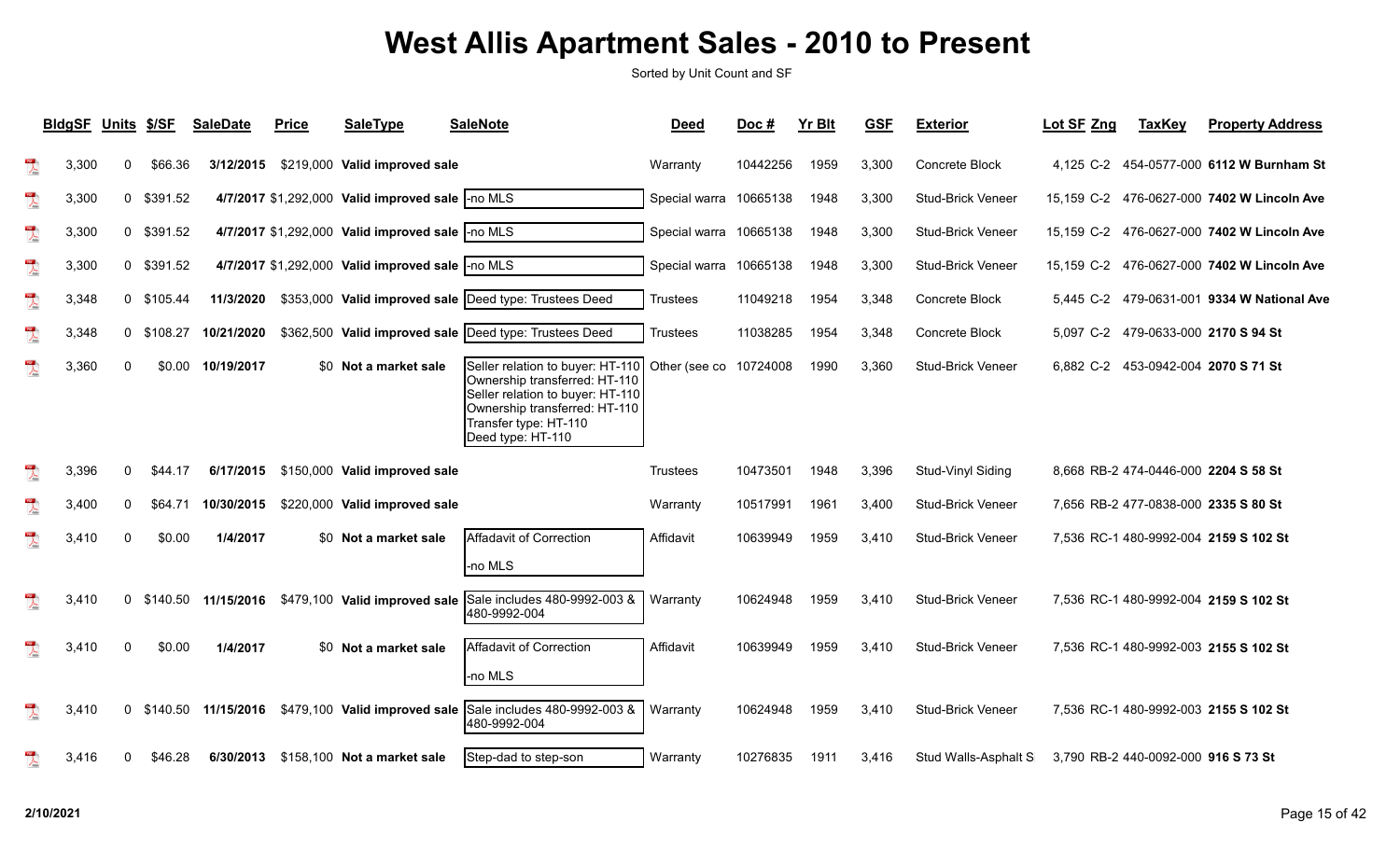|                                                                                                                                                                                                                                                                                                                                                     | <b>BldgSF</b> | Units \$/SF  |            | <b>SaleDate</b>      | <b>Price</b> | SaleType                                          | <b>SaleNote</b>                                                                                                                                                                      | <b>Deed</b>            | Doc#     | <b>Yr Blt</b> | <b>GSF</b> | <b>Exterior</b>          | Lot SF Zng | <b>TaxKey</b>                       | <b>Property Address</b>                    |
|-----------------------------------------------------------------------------------------------------------------------------------------------------------------------------------------------------------------------------------------------------------------------------------------------------------------------------------------------------|---------------|--------------|------------|----------------------|--------------|---------------------------------------------------|--------------------------------------------------------------------------------------------------------------------------------------------------------------------------------------|------------------------|----------|---------------|------------|--------------------------|------------|-------------------------------------|--------------------------------------------|
| $\lambda$                                                                                                                                                                                                                                                                                                                                           | 3,300         | 0            | \$66.36    | 3/12/2015            |              | \$219,000 Valid improved sale                     |                                                                                                                                                                                      | Warranty               | 10442256 | 1959          | 3,300      | Concrete Block           |            |                                     | 4,125 C-2 454-0577-000 6112 W Burnham St   |
| $\overline{\mathcal{L}}$                                                                                                                                                                                                                                                                                                                            | 3,300         | $\mathbf{0}$ | \$391.52   |                      |              | 4/7/2017 \$1,292,000 Valid improved sale  -no MLS |                                                                                                                                                                                      | Special warra 10665138 |          | 1948          | 3,300      | Stud-Brick Veneer        |            |                                     | 15,159 C-2 476-0627-000 7402 W Lincoln Ave |
| $\overline{\mathbf{r}}$                                                                                                                                                                                                                                                                                                                             | 3,300         |              | 0 \$391.52 |                      |              | 4/7/2017 \$1,292,000 Valid improved sale -no MLS  |                                                                                                                                                                                      | Special warra 10665138 |          | 1948          | 3,300      | <b>Stud-Brick Veneer</b> |            |                                     | 15,159 C-2 476-0627-000 7402 W Lincoln Ave |
| $\sum_{\rm kink}$                                                                                                                                                                                                                                                                                                                                   | 3,300         |              | 0 \$391.52 |                      |              | 4/7/2017 \$1,292,000 Valid improved sale  -no MLS |                                                                                                                                                                                      | Special warra 10665138 |          | 1948          | 3,300      | <b>Stud-Brick Veneer</b> |            |                                     | 15,159 C-2 476-0627-000 7402 W Lincoln Ave |
| $\begin{picture}(20,20) \put(0,0){\line(1,0){10}} \put(15,0){\line(1,0){10}} \put(15,0){\line(1,0){10}} \put(15,0){\line(1,0){10}} \put(15,0){\line(1,0){10}} \put(15,0){\line(1,0){10}} \put(15,0){\line(1,0){10}} \put(15,0){\line(1,0){10}} \put(15,0){\line(1,0){10}} \put(15,0){\line(1,0){10}} \put(15,0){\line(1,0){10}} \put(15,0){\line(1$ | 3,348         |              | 0 \$105.44 | 11/3/2020            |              |                                                   | \$353,000 Valid improved sale   Deed type: Trustees Deed                                                                                                                             | <b>Trustees</b>        | 11049218 | 1954          | 3,348      | Concrete Block           |            |                                     | 5,445 C-2 479-0631-001 9334 W National Ave |
| $\frac{1}{\sqrt{2}}$                                                                                                                                                                                                                                                                                                                                | 3,348         | 0            | \$108.27   | 10/21/2020           |              |                                                   | \$362,500 Valid improved sale  Deed type: Trustees Deed                                                                                                                              | <b>Trustees</b>        | 11038285 | 1954          | 3,348      | Concrete Block           |            |                                     | 5,097 C-2 479-0633-000 2170 S 94 St        |
| $\frac{1}{\sqrt{2}}$                                                                                                                                                                                                                                                                                                                                | 3,360         | $\Omega$     | \$0.00     | 10/19/2017           |              | \$0 Not a market sale                             | Seller relation to buyer: HT-110<br>Ownership transferred: HT-110<br>Seller relation to buyer: HT-110<br>Ownership transferred: HT-110<br>Transfer type: HT-110<br>Deed type: HT-110 | Other (see co          | 10724008 | 1990          | 3,360      | <b>Stud-Brick Veneer</b> |            |                                     | 6,882 C-2 453-0942-004 2070 S 71 St        |
| $\overline{\lambda}$                                                                                                                                                                                                                                                                                                                                | 3,396         | 0            | \$44.17    | 6/17/2015            |              | \$150,000 Valid improved sale                     |                                                                                                                                                                                      | Trustees               | 10473501 | 1948          | 3,396      | Stud-Vinyl Siding        |            |                                     | 8,668 RB-2 474-0446-000 2204 S 58 St       |
| $\sum_{\text{block}}$                                                                                                                                                                                                                                                                                                                               | 3,400         | 0            | \$64.71    | 10/30/2015           |              | \$220,000 Valid improved sale                     |                                                                                                                                                                                      | Warranty               | 10517991 | 1961          | 3,400      | <b>Stud-Brick Veneer</b> |            |                                     | 7,656 RB-2 477-0838-000 2335 S 80 St       |
| $\overline{\mathbf{r}}$                                                                                                                                                                                                                                                                                                                             | 3,410         | $\Omega$     | \$0.00     | 1/4/2017             |              | \$0 Not a market sale                             | Affadavit of Correction<br>-no MLS                                                                                                                                                   | Affidavit              | 10639949 | 1959          | 3,410      | Stud-Brick Veneer        |            |                                     | 7,536 RC-1 480-9992-004 2159 S 102 St      |
| $\mathbb{R}$                                                                                                                                                                                                                                                                                                                                        | 3,410         | 0            |            | \$140.50  11/15/2016 |              | \$479,100 Valid improved sale                     | Sale includes 480-9992-003 &<br>480-9992-004                                                                                                                                         | Warranty               | 10624948 | 1959          | 3,410      | <b>Stud-Brick Veneer</b> |            |                                     | 7,536 RC-1 480-9992-004 2159 S 102 St      |
| $\lambda$                                                                                                                                                                                                                                                                                                                                           | 3,410         | $\Omega$     | \$0.00     | 1/4/2017             |              | \$0 Not a market sale                             | Affadavit of Correction<br>-no MLS                                                                                                                                                   | Affidavit              | 10639949 | 1959          | 3,410      | <b>Stud-Brick Veneer</b> |            |                                     | 7,536 RC-1 480-9992-003 2155 S 102 St      |
| $\mathbb{R}$                                                                                                                                                                                                                                                                                                                                        | 3,410         | 0            | \$140.50   | 11/15/2016           |              |                                                   | \$479,100 Valid improved sale Sale includes 480-9992-003 &<br>480-9992-004                                                                                                           | Warranty               | 10624948 | 1959          | 3,410      | <b>Stud-Brick Veneer</b> |            |                                     | 7,536 RC-1 480-9992-003 2155 S 102 St      |
| 10 <sup>2</sup>                                                                                                                                                                                                                                                                                                                                     | 3,416         | 0            | \$46.28    |                      |              | 6/30/2013 \$158,100 Not a market sale             | Step-dad to step-son                                                                                                                                                                 | Warranty               | 10276835 | 1911          | 3,416      | Stud Walls-Asphalt S     |            | 3,790 RB-2 440-0092-000 916 S 73 St |                                            |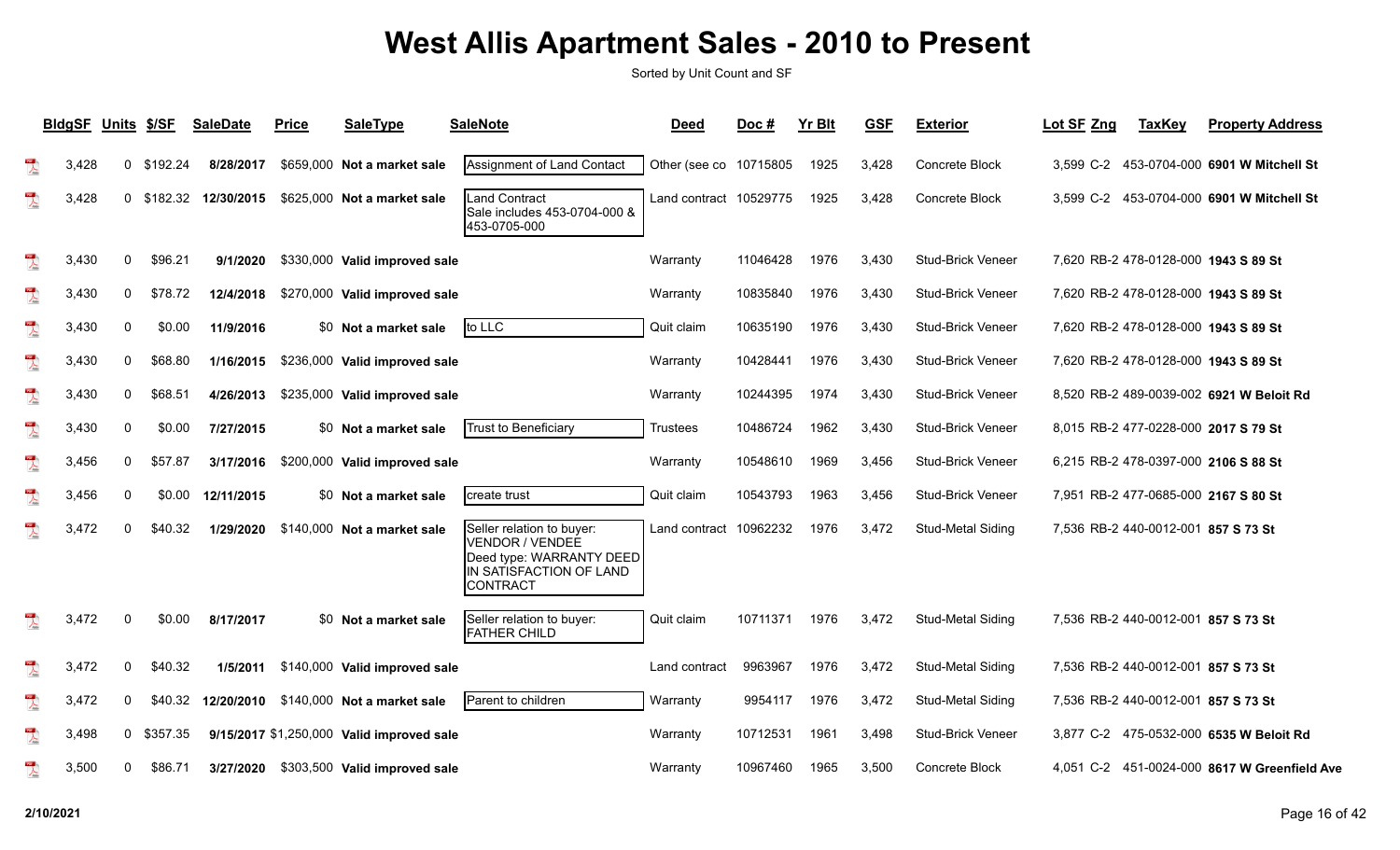|                          | <b>BIdgSF</b> | Units \$/SF |            | <b>SaleDate</b> | <b>Price</b> | <b>SaleType</b>                           | <b>SaleNote</b>                                                                                                 | <b>Deed</b>            | Doc#     | <b>Yr Blt</b> | <b>GSF</b> | <b>Exterior</b>          | Lot SF Zng | <b>TaxKey</b>                       | <b>Property Address</b>                      |
|--------------------------|---------------|-------------|------------|-----------------|--------------|-------------------------------------------|-----------------------------------------------------------------------------------------------------------------|------------------------|----------|---------------|------------|--------------------------|------------|-------------------------------------|----------------------------------------------|
| $\overline{\mathbf{r}}$  | 3,428         |             | 0 \$192.24 | 8/28/2017       |              | \$659,000 Not a market sale               | Assignment of Land Contact                                                                                      | Other (see co 10715805 |          | 1925          | 3,428      | Concrete Block           |            |                                     | 3,599 C-2 453-0704-000 6901 W Mitchell St    |
| $\overline{\mathcal{L}}$ | 3,428         |             | 0 \$182.32 | 12/30/2015      |              | \$625,000 Not a market sale               | Land Contract<br>Sale includes 453-0704-000 &<br>453-0705-000                                                   | Land contract 10529775 |          | 1925          | 3,428      | Concrete Block           |            |                                     | 3.599 C-2 453-0704-000 6901 W Mitchell St    |
| $\frac{1}{\sqrt{2}}$     | 3,430         | 0           | \$96.21    | 9/1/2020        |              | \$330,000 Valid improved sale             |                                                                                                                 | Warranty               | 11046428 | 1976          | 3,430      | <b>Stud-Brick Veneer</b> |            |                                     | 7,620 RB-2 478-0128-000 1943 S 89 St         |
| $\overline{\mathbf{r}}$  | 3,430         | $\Omega$    | \$78.72    | 12/4/2018       |              | \$270,000 Valid improved sale             |                                                                                                                 | Warranty               | 10835840 | 1976          | 3,430      | <b>Stud-Brick Veneer</b> |            |                                     | 7,620 RB-2 478-0128-000 1943 S 89 St         |
| $\overline{\mathbf{r}}$  | 3,430         | 0           | \$0.00     | 11/9/2016       |              | \$0 Not a market sale                     | to LLC                                                                                                          | Quit claim             | 10635190 | 1976          | 3,430      | <b>Stud-Brick Veneer</b> |            |                                     | 7,620 RB-2 478-0128-000 1943 S 89 St         |
| $\overline{\mathbb{A}}$  | 3,430         | 0           | \$68.80    | 1/16/2015       |              | \$236,000 Valid improved sale             |                                                                                                                 | Warranty               | 10428441 | 1976          | 3,430      | Stud-Brick Veneer        |            |                                     | 7,620 RB-2 478-0128-000 1943 S 89 St         |
| $\frac{105}{\sqrt{25}}$  | 3.430         | 0           | \$68.51    | 4/26/2013       |              | \$235,000 Valid improved sale             |                                                                                                                 | Warranty               | 10244395 | 1974          | 3,430      | <b>Stud-Brick Veneer</b> |            |                                     | 8,520 RB-2 489-0039-002 6921 W Beloit Rd     |
| $\overline{\mathbf{r}}$  | 3,430         | 0           | \$0.00     | 7/27/2015       |              | \$0 Not a market sale                     | Trust to Beneficiary                                                                                            | Trustees               | 10486724 | 1962          | 3,430      | <b>Stud-Brick Veneer</b> |            |                                     | 8,015 RB-2 477-0228-000 2017 S 79 St         |
| $\sum_{\text{base}}$     | 3,456         | $\Omega$    | \$57.87    | 3/17/2016       |              | \$200,000 Valid improved sale             |                                                                                                                 | Warranty               | 10548610 | 1969          | 3,456      | <b>Stud-Brick Veneer</b> |            |                                     | 6,215 RB-2 478-0397-000 2106 S 88 St         |
| $\mathbb{R}$             | 3,456         | 0           | \$0.00     | 12/11/2015      |              | \$0 Not a market sale                     | Icreate trust                                                                                                   | Quit claim             | 10543793 | 1963          | 3,456      | <b>Stud-Brick Veneer</b> |            |                                     | 7,951 RB-2 477-0685-000 2167 S 80 St         |
| $\overline{\mathcal{L}}$ | 3,472         | 0           | \$40.32    | 1/29/2020       |              | \$140,000 Not a market sale               | Seller relation to buyer:<br>VENDOR / VENDEĖ<br>Deed type: WARRANTY DEED<br>IN SATISFACTION OF LAND<br>CONTRACT | Land contract 10962232 |          | 1976          | 3,472      | <b>Stud-Metal Siding</b> |            | 7,536 RB-2 440-0012-001 857 S 73 St |                                              |
| $\frac{1}{\sqrt{2}}$     | 3,472         | $\Omega$    | \$0.00     | 8/17/2017       |              | \$0 Not a market sale                     | Seller relation to buyer:<br><b>FATHER CHILD</b>                                                                | Quit claim             | 10711371 | 1976          | 3,472      | <b>Stud-Metal Siding</b> |            | 7,536 RB-2 440-0012-001 857 S 73 St |                                              |
| $\frac{1}{\sqrt{2}}$     | 3,472         | 0           | \$40.32    | 1/5/2011        |              | \$140,000 Valid improved sale             |                                                                                                                 | Land contract          | 9963967  | 1976          | 3,472      | <b>Stud-Metal Siding</b> |            | 7,536 RB-2 440-0012-001 857 S 73 St |                                              |
| $\overline{\mathbb{A}}$  | 3,472         | 0           | \$40.32    | 12/20/2010      |              | \$140,000 Not a market sale               | Parent to children                                                                                              | Warranty               | 9954117  | 1976          | 3,472      | <b>Stud-Metal Siding</b> |            | 7,536 RB-2 440-0012-001 857 S 73 St |                                              |
| $\overline{\mathbf{r}}$  | 3,498         |             | 0 \$357.35 |                 |              | 9/15/2017 \$1,250,000 Valid improved sale |                                                                                                                 | Warranty               | 10712531 | 1961          | 3,498      | Stud-Brick Veneer        |            |                                     | 3,877 C-2 475-0532-000 6535 W Beloit Rd      |
| $\frac{105}{1}$          | 3.500         | $\Omega$    | \$86.71    | 3/27/2020       |              | \$303,500 Valid improved sale             |                                                                                                                 | Warranty               | 10967460 | 1965          | 3.500      | Concrete Block           |            |                                     | 4,051 C-2 451-0024-000 8617 W Greenfield Ave |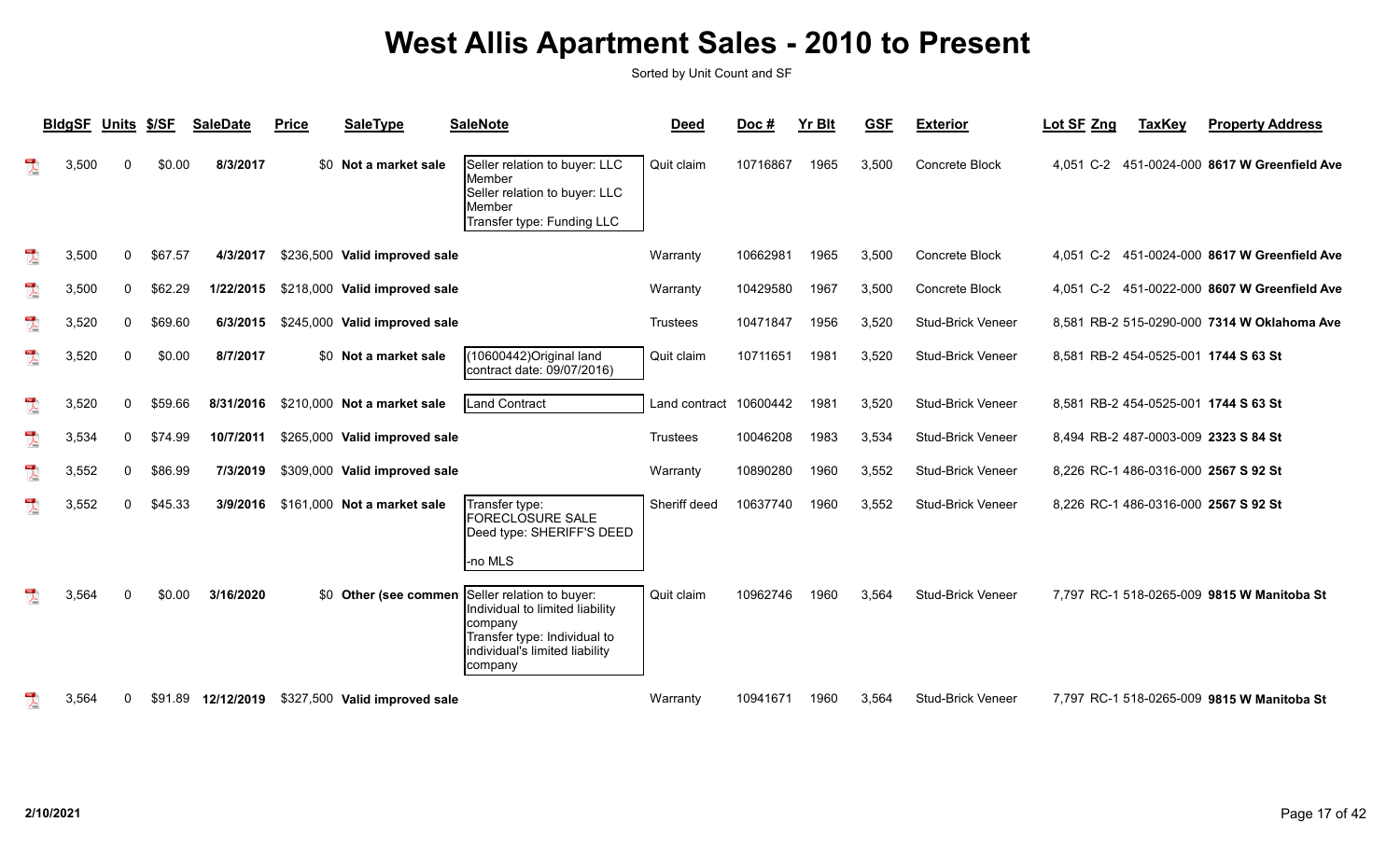|                                         | <b>BldgSF</b> | <b>Units</b> | \$/SF   | <b>SaleDate</b> | <b>Price</b> | <b>SaleType</b>               | <b>SaleNote</b>                                                                                                                                       | <b>Deed</b>   | Doc#     | <b>Yr Blt</b> | <b>GSF</b> | <b>Exterior</b>          | Lot SF Zng | <b>TaxKey</b> | <b>Property Address</b>                      |
|-----------------------------------------|---------------|--------------|---------|-----------------|--------------|-------------------------------|-------------------------------------------------------------------------------------------------------------------------------------------------------|---------------|----------|---------------|------------|--------------------------|------------|---------------|----------------------------------------------|
| $\overline{\mathbf{r}}$                 | 3,500         | $\mathbf{0}$ | \$0.00  | 8/3/2017        |              | \$0 Not a market sale         | Seller relation to buyer: LLC<br>IMember<br>Seller relation to buyer: LLC<br>Member<br>Transfer type: Funding LLC                                     | Quit claim    | 10716867 | 1965          | 3,500      | Concrete Block           | 4.051 C-2  |               | 451-0024-000 8617 W Greenfield Ave           |
| $\overline{\mathbf{r}}$                 | 3,500         | 0            | \$67.57 | 4/3/2017        |              | \$236,500 Valid improved sale |                                                                                                                                                       | Warranty      | 10662981 | 1965          | 3,500      | Concrete Block           | 4.051 C-2  |               | 451-0024-000 8617 W Greenfield Ave           |
| $\begin{array}{c}\n\hline\n\end{array}$ | 3,500         | 0            | \$62.29 | 1/22/2015       |              | \$218,000 Valid improved sale |                                                                                                                                                       | Warranty      | 10429580 | 1967          | 3,500      | Concrete Block           |            |               | 4,051 C-2 451-0022-000 8607 W Greenfield Ave |
| $\overline{\mathbf{r}}$                 | 3,520         | 0            | \$69.60 | 6/3/2015        |              | \$245,000 Valid improved sale |                                                                                                                                                       | Trustees      | 10471847 | 1956          | 3,520      | <b>Stud-Brick Veneer</b> |            |               | 8,581 RB-2 515-0290-000 7314 W Oklahoma Ave  |
| $\overline{\phantom{a}}$                | 3,520         | 0            | \$0.00  | 8/7/2017        |              | \$0 Not a market sale         | 10600442) Original land<br>contract date: 09/07/2016)                                                                                                 | Quit claim    | 10711651 | 1981          | 3,520      | Stud-Brick Veneer        |            |               | 8,581 RB-2 454-0525-001 1744 S 63 St         |
| $\sum_{i=1}^{n}$                        | 3,520         | $\mathbf{0}$ | \$59.66 | 8/31/2016       |              | \$210,000 Not a market sale   | <b>Land Contract</b>                                                                                                                                  | Land contract | 10600442 | 1981          | 3,520      | <b>Stud-Brick Veneer</b> |            |               | 8,581 RB-2 454-0525-001 1744 S 63 St         |
| $\overline{\mathbf{r}}$                 | 3,534         | 0            | \$74.99 | 10/7/2011       |              | \$265,000 Valid improved sale |                                                                                                                                                       | Trustees      | 10046208 | 1983          | 3,534      | <b>Stud-Brick Veneer</b> |            |               | 8,494 RB-2 487-0003-009 2323 S 84 St         |
| $\mathbb{Z}$                            | 3,552         | 0            | \$86.99 | 7/3/2019        |              | \$309,000 Valid improved sale |                                                                                                                                                       | Warranty      | 10890280 | 1960          | 3,552      | <b>Stud-Brick Veneer</b> |            |               | 8,226 RC-1 486-0316-000 2567 S 92 St         |
| $\overline{\mathbf{r}}$                 | 3,552         | 0            | \$45.33 | 3/9/2016        |              | \$161,000 Not a market sale   | Transfer type:<br><b>FORECLOSURE SALE</b><br>Deed type: SHERIFF'S DEED<br>-no MLS                                                                     | Sheriff deed  | 10637740 | 1960          | 3,552      | <b>Stud-Brick Veneer</b> |            |               | 8,226 RC-1 486-0316-000 2567 S 92 St         |
|                                         | 3,564         | $\Omega$     | \$0.00  | 3/16/2020       |              | \$0 Other (see commer         | Seller relation to buyer:<br>Individual to limited liability<br>Icompany<br>Transfer type: Individual to<br>individual's limited liability<br>company | Quit claim    | 10962746 | 1960          | 3,564      | Stud-Brick Veneer        |            |               | 7,797 RC-1 518-0265-009 9815 W Manitoba St   |
|                                         | 3,564         | $\mathbf{0}$ | \$91.89 | 12/12/2019      |              | \$327,500 Valid improved sale |                                                                                                                                                       | Warranty      | 10941671 | 1960          | 3,564      | <b>Stud-Brick Veneer</b> |            |               | 7.797 RC-1 518-0265-009 9815 W Manitoba St   |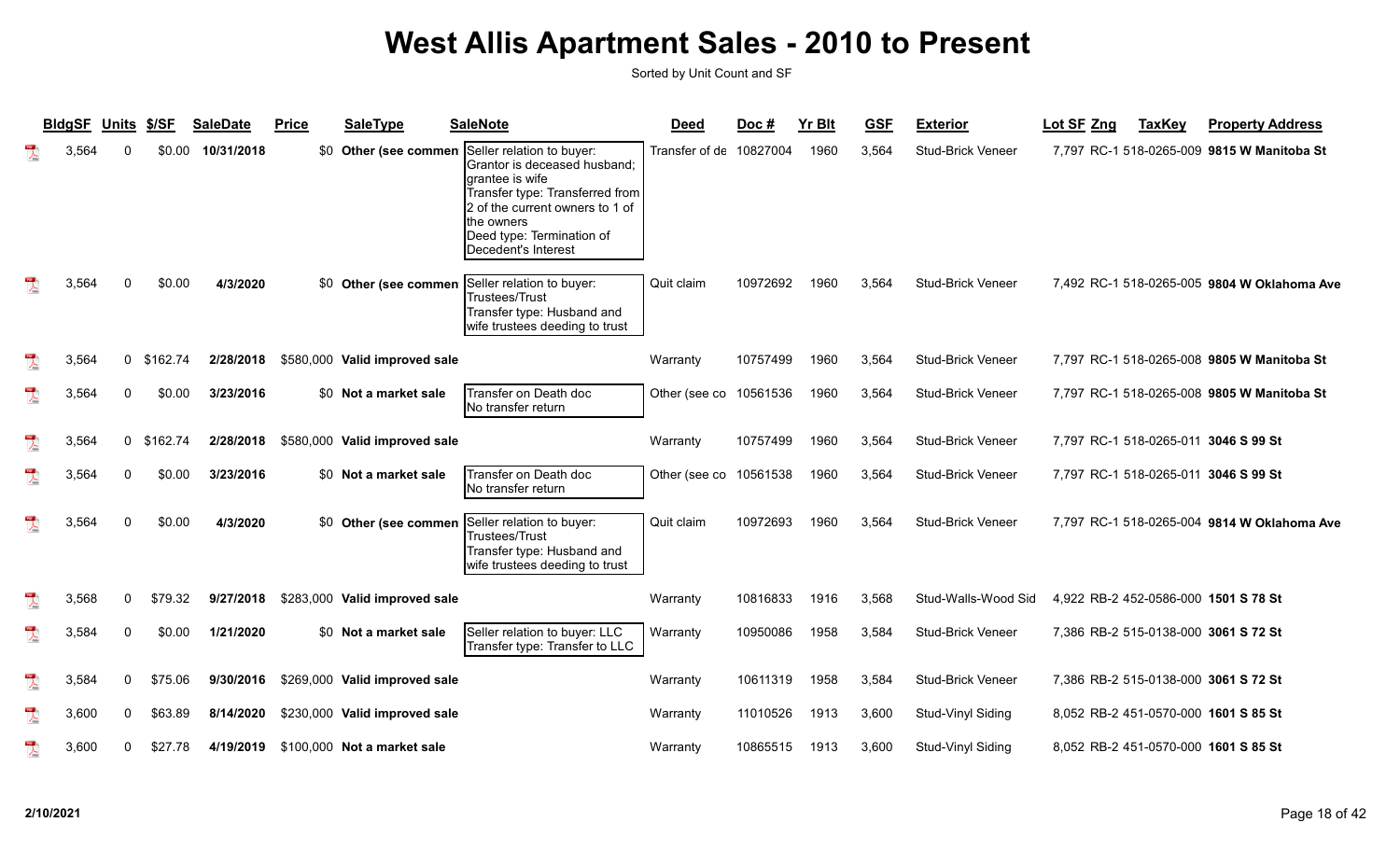|                          | <b>BldgSF</b> | Units        | \$/SF    | <b>SaleDate</b> | <b>Price</b> | <b>SaleType</b>               | <b>SaleNote</b>                                                                                                                                                                                                      | <b>Deed</b>    | Doc#     | <b>Yr Blt</b> | <b>GSF</b> | <b>Exterior</b>          | Lot SF Zng<br><b>TaxKey</b>                 | <b>Property Address</b> |
|--------------------------|---------------|--------------|----------|-----------------|--------------|-------------------------------|----------------------------------------------------------------------------------------------------------------------------------------------------------------------------------------------------------------------|----------------|----------|---------------|------------|--------------------------|---------------------------------------------|-------------------------|
| $\mathbb{R}$             | 3,564         | U            | \$0.00   | 10/31/2018      |              | \$0 Other (see commen         | Seller relation to buyer:<br>Grantor is deceased husband;<br>grantee is wife<br>Transfer type: Transferred from<br>2 of the current owners to 1 of<br>the owners<br>Deed type: Termination of<br>Decedent's Interest | Transfer of de | 10827004 | 1960          | 3,564      | <b>Stud-Brick Veneer</b> | 7.797 RC-1 518-0265-009 9815 W Manitoba St  |                         |
|                          | 3,564         | $\Omega$     | \$0.00   | 4/3/2020        |              | \$0 Other (see commen         | Seller relation to buyer:<br><b>Trustees/Trust</b><br>Transfer type: Husband and<br>wife trustees deeding to trust                                                                                                   | Quit claim     | 10972692 | 1960          | 3,564      | <b>Stud-Brick Veneer</b> | 7,492 RC-1 518-0265-005 9804 W Oklahoma Ave |                         |
| $\lambda$                | 3,564         | $\mathbf{0}$ | \$162.74 | 2/28/2018       |              | \$580,000 Valid improved sale |                                                                                                                                                                                                                      | Warranty       | 10757499 | 1960          | 3,564      | <b>Stud-Brick Veneer</b> | 7,797 RC-1 518-0265-008 9805 W Manitoba St  |                         |
| $\mathbb{R}$             | 3,564         | 0            | \$0.00   | 3/23/2016       |              | \$0 Not a market sale         | Transfer on Death doc<br>No transfer return                                                                                                                                                                          | Other (see co  | 10561536 | 1960          | 3,564      | <b>Stud-Brick Veneer</b> | 7,797 RC-1 518-0265-008 9805 W Manitoba St  |                         |
| $\overline{\mathbf{r}}$  | 3,564         | $\mathbf{0}$ | \$162.74 | 2/28/2018       |              | \$580,000 Valid improved sale |                                                                                                                                                                                                                      | Warranty       | 10757499 | 1960          | 3,564      | Stud-Brick Veneer        | 7,797 RC-1 518-0265-011 3046 S 99 St        |                         |
| $\overline{\mathbf{r}}$  | 3,564         | 0            | \$0.00   | 3/23/2016       |              | \$0 Not a market sale         | Transfer on Death doc<br>No transfer return                                                                                                                                                                          | Other (see co  | 10561538 | 1960          | 3,564      | <b>Stud-Brick Veneer</b> | 7,797 RC-1 518-0265-011 3046 S 99 St        |                         |
| $\mathbb{R}$             | 3,564         | $\Omega$     | \$0.00   | 4/3/2020        |              | \$0 Other (see commen         | Seller relation to buyer:<br>Trustees/Trust<br>Transfer type: Husband and<br>wife trustees deeding to trust                                                                                                          | Quit claim     | 10972693 | 1960          | 3,564      | Stud-Brick Veneer        | 7,797 RC-1 518-0265-004 9814 W Oklahoma Ave |                         |
| $\mathbb{R}$             | 3,568         | 0            | \$79.32  | 9/27/2018       |              | \$283,000 Valid improved sale |                                                                                                                                                                                                                      | Warranty       | 10816833 | 1916          | 3,568      | Stud-Walls-Wood Sid      | 4,922 RB-2 452-0586-000 1501 S 78 St        |                         |
| $\mathbb{Z}$             | 3,584         | 0            | \$0.00   | 1/21/2020       |              | \$0 Not a market sale         | Seller relation to buyer: LLC<br>Transfer type: Transfer to LLC                                                                                                                                                      | Warranty       | 10950086 | 1958          | 3,584      | Stud-Brick Veneer        | 7,386 RB-2 515-0138-000 3061 S 72 St        |                         |
| $\sum_{\text{block}}$    | 3,584         | 0            | \$75.06  | 9/30/2016       |              | \$269,000 Valid improved sale |                                                                                                                                                                                                                      | Warranty       | 10611319 | 1958          | 3,584      | <b>Stud-Brick Veneer</b> | 7,386 RB-2 515-0138-000 3061 S 72 St        |                         |
| $\overline{\mathcal{L}}$ | 3,600         | 0            | \$63.89  | 8/14/2020       |              | \$230,000 Valid improved sale |                                                                                                                                                                                                                      | Warranty       | 11010526 | 1913          | 3,600      | Stud-Vinyl Siding        | 8,052 RB-2 451-0570-000 1601 S 85 St        |                         |
| $\overline{\mathbf{r}}$  | 3,600         | 0            | \$27.78  | 4/19/2019       |              | \$100,000 Not a market sale   |                                                                                                                                                                                                                      | Warranty       | 10865515 | 1913          | 3,600      | Stud-Vinyl Siding        | 8,052 RB-2 451-0570-000 1601 S 85 St        |                         |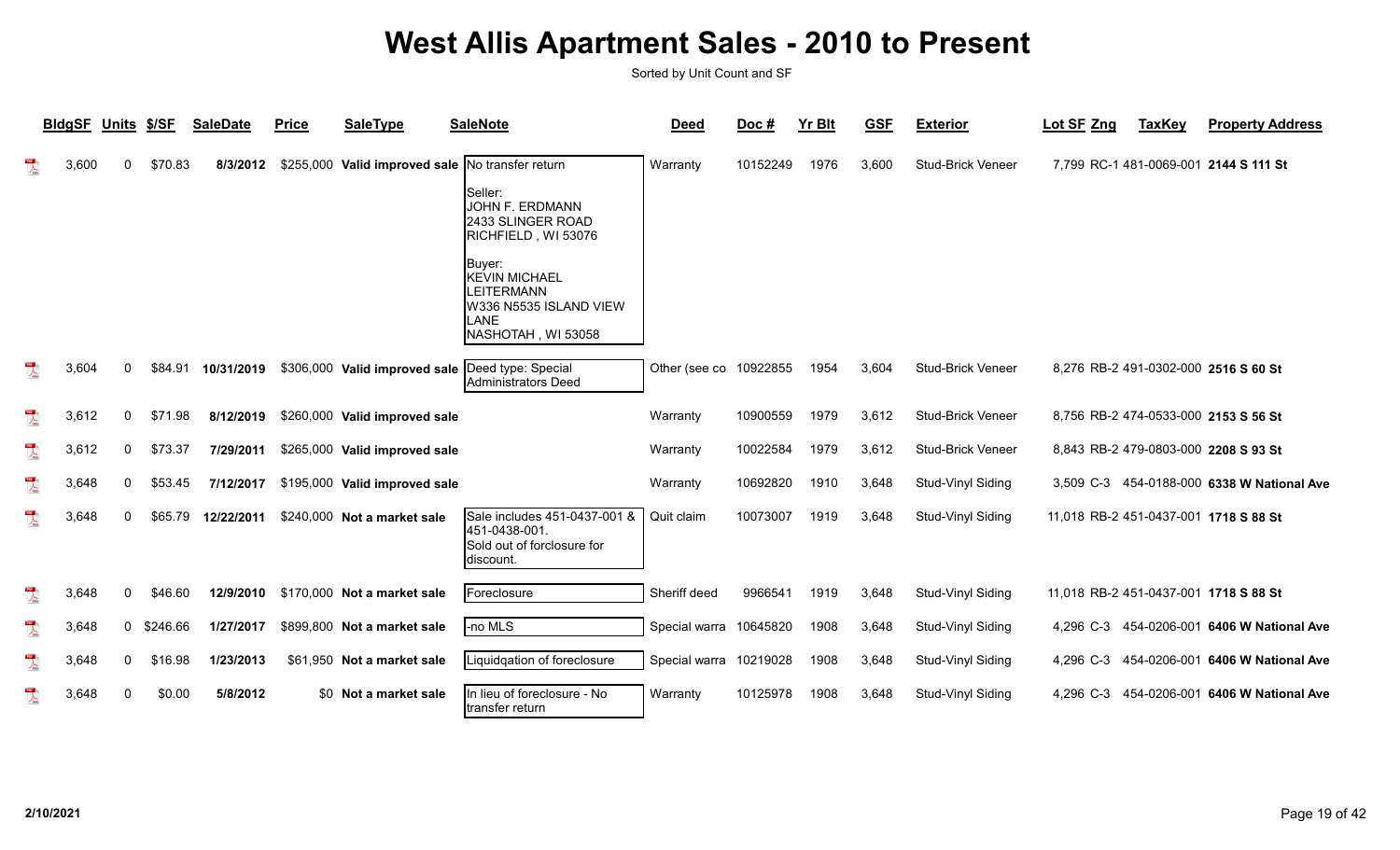|                                      | <b>BldgSF</b> | <b>Units</b> | \$/SF    | <b>SaleDate</b> | <b>Price</b> | <b>SaleType</b>                                  | <b>SaleNote</b>                                                                                                                                                                         | <b>Deed</b>   | Doc#     | <b>Yr Blt</b> | <b>GSF</b> | <b>Exterior</b>          | Lot SF Zng                            | <b>TaxKey</b> | <b>Property Address</b>                    |
|--------------------------------------|---------------|--------------|----------|-----------------|--------------|--------------------------------------------------|-----------------------------------------------------------------------------------------------------------------------------------------------------------------------------------------|---------------|----------|---------------|------------|--------------------------|---------------------------------------|---------------|--------------------------------------------|
| $\lambda$                            | 3,600         | 0            | \$70.83  | 8/3/2012        |              | \$255,000 Valid improved sale No transfer return | ISeller:<br><b>JOHN F. ERDMANN</b><br>2433 SLINGER ROAD<br>RICHFIELD, WI 53076<br> Buyer:<br><b>KEVIN MICHAEL</b><br>LEITERMANN<br>W336 N5535 ISLAND VIEW<br>LANE<br>NASHOTAH, WI 53058 | Warranty      | 10152249 | 1976          | 3,600      | <b>Stud-Brick Veneer</b> |                                       |               | 7,799 RC-1 481-0069-001 2144 S 111 St      |
| $\sum_{\text{base}}$                 | 3,604         | 0            | \$84.91  | 10/31/2019      |              | \$306,000 Valid improved sale                    | Deed type: Special<br><b>Administrators Deed</b>                                                                                                                                        | Other (see co | 10922855 | 1954          | 3,604      | <b>Stud-Brick Veneer</b> |                                       |               | 8,276 RB-2 491-0302-000 2516 S 60 St       |
| $\overline{\mathbf{r}}$              | 3,612         | 0            | \$71.98  | 8/12/2019       |              | \$260,000 Valid improved sale                    |                                                                                                                                                                                         | Warranty      | 10900559 | 1979          | 3,612      | Stud-Brick Veneer        | 8,756 RB-2 474-0533-000 2153 S 56 St  |               |                                            |
| $\overline{\mathbf{r}}$              | 3,612         | 0            | \$73.37  | 7/29/2011       |              | \$265,000 Valid improved sale                    |                                                                                                                                                                                         | Warranty      | 10022584 | 1979          | 3,612      | Stud-Brick Veneer        | 8,843 RB-2 479-0803-000 2208 S 93 St  |               |                                            |
| $\sum_{k=1}^{n}$                     | 3,648         | 0            | \$53.45  | 7/12/2017       |              | \$195,000 Valid improved sale                    |                                                                                                                                                                                         | Warranty      | 10692820 | 1910          | 3,648      | Stud-Vinyl Siding        |                                       |               | 3,509 C-3 454-0188-000 6338 W National Ave |
| $\sum_{k=1}^{n}$                     | 3,648         | 0            | \$65.79  | 12/22/2011      |              | \$240,000 Not a market sale                      | Sale includes 451-0437-001 &<br>451-0438-001.<br>Sold out of forclosure for<br>discount.                                                                                                | Quit claim    | 10073007 | 1919          | 3,648      | Stud-Vinyl Siding        | 11,018 RB-2 451-0437-001 1718 S 88 St |               |                                            |
| $\frac{1}{\sqrt{2}}$                 | 3,648         | $\mathbf{0}$ | \$46.60  |                 |              | 12/9/2010 \$170,000 Not a market sale            | Foreclosure                                                                                                                                                                             | Sheriff deed  | 9966541  | 1919          | 3,648      | Stud-Vinyl Siding        | 11,018 RB-2 451-0437-001 1718 S 88 St |               |                                            |
| $\frac{1}{\sqrt{2}}$                 | 3,648         | 0            | \$246.66 | 1/27/2017       |              | \$899,800 Not a market sale                      | -no MLS                                                                                                                                                                                 | Special warra | 10645820 | 1908          | 3,648      | Stud-Vinyl Siding        |                                       |               | 4,296 C-3 454-0206-001 6406 W National Ave |
| $\frac{105}{\lambda_{\text{total}}}$ | 3,648         | 0            | \$16.98  | 1/23/2013       |              | \$61,950 Not a market sale                       | Liquidgation of foreclosure                                                                                                                                                             | Special warra | 10219028 | 1908          | 3,648      | Stud-Vinyl Siding        |                                       |               | 4,296 C-3 454-0206-001 6406 W National Ave |
| $\overline{\phantom{a}}$             | 3,648         | 0            | \$0.00   | 5/8/2012        |              | \$0 Not a market sale                            | In lieu of foreclosure - No<br>transfer return                                                                                                                                          | Warranty      | 10125978 | 1908          | 3,648      | Stud-Vinyl Siding        | 4,296 C-3                             |               | 454-0206-001 6406 W National Ave           |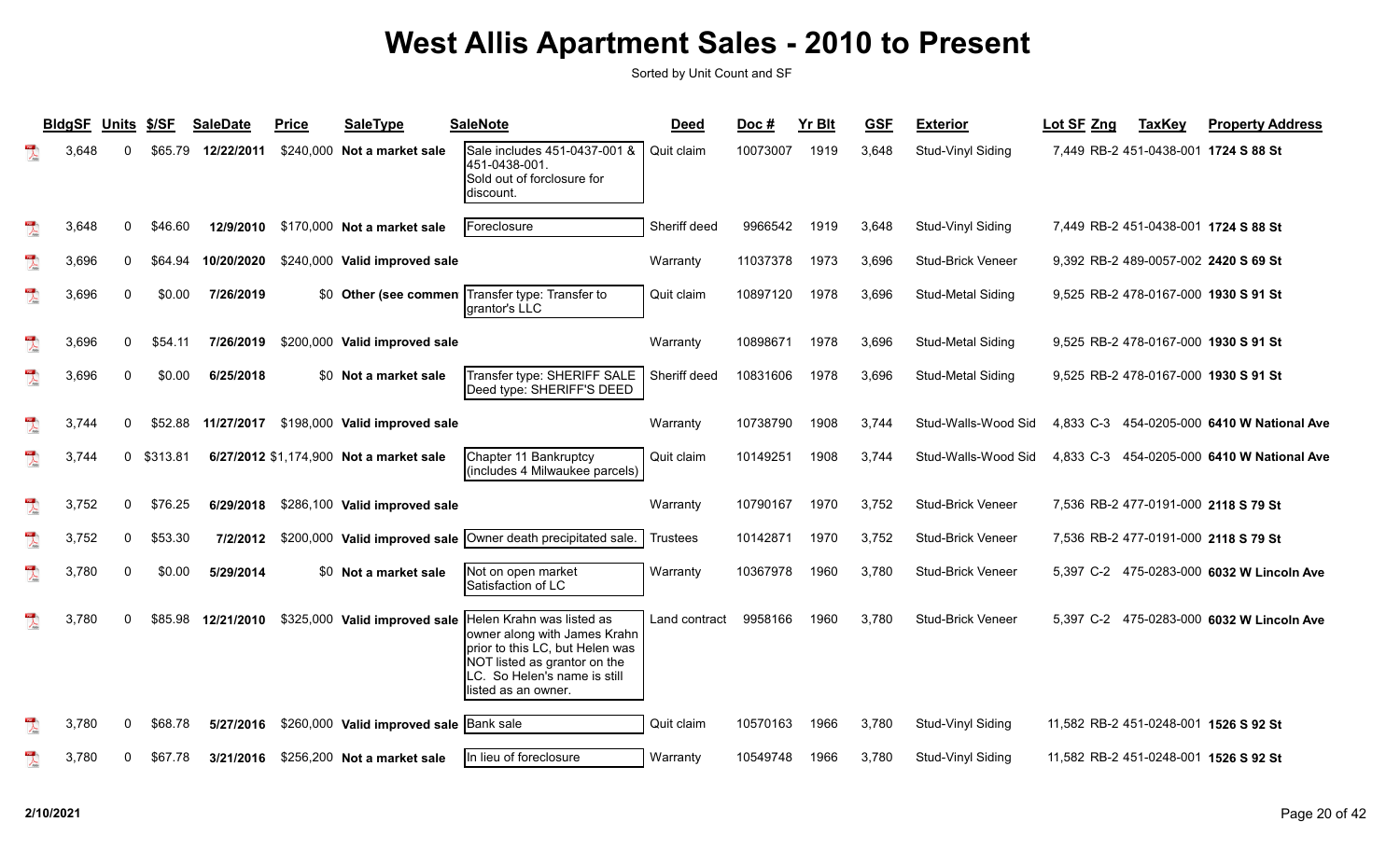|                         | <b>BIdgSF</b> | <b>Units</b> | \$/SF    | <b>SaleDate</b> | <b>Price</b> | <b>SaleType</b>                          | <b>SaleNote</b>                                                                                                                                                                     | <b>Deed</b>     | Doc#     | <b>Yr Blt</b> | <b>GSF</b> | <b>Exterior</b>          | Lot SF Zng                            | <b>TaxKey</b> | <b>Property Address</b>                    |
|-------------------------|---------------|--------------|----------|-----------------|--------------|------------------------------------------|-------------------------------------------------------------------------------------------------------------------------------------------------------------------------------------|-----------------|----------|---------------|------------|--------------------------|---------------------------------------|---------------|--------------------------------------------|
|                         | 3.648         |              | \$65.79  | 12/22/2011      |              | \$240,000 Not a market sale              | Sale includes 451-0437-001 &<br>451-0438-001.<br>Sold out of forclosure for<br>ldiscount.                                                                                           | Quit claim      | 10073007 | 1919          | 3,648      | Stud-Vinyl Siding        |                                       |               | 7,449 RB-2 451-0438-001 1724 S 88 St       |
| $\lambda$               | 3,648         | $\mathbf{0}$ | \$46.60  | 12/9/2010       |              | \$170,000 Not a market sale              | Foreclosure                                                                                                                                                                         | Sheriff deed    | 9966542  | 1919          | 3,648      | Stud-Vinyl Siding        |                                       |               | 7,449 RB-2 451-0438-001 1724 S 88 St       |
| $\frac{1}{\sqrt{2}}$    | 3,696         | 0            | \$64.94  | 10/20/2020      |              | \$240,000 Valid improved sale            |                                                                                                                                                                                     | Warranty        | 11037378 | 1973          | 3,696      | Stud-Brick Veneer        |                                       |               | 9,392 RB-2 489-0057-002 2420 S 69 St       |
| $\frac{10}{\sqrt{25}}$  | 3,696         | $\Omega$     | \$0.00   | 7/26/2019       |              | \$0 Other (see commen                    | Transfer type: Transfer to<br>grantor's LLC                                                                                                                                         | Quit claim      | 10897120 | 1978          | 3,696      | Stud-Metal Siding        |                                       |               | 9,525 RB-2 478-0167-000 1930 S 91 St       |
| $\frac{1}{\sqrt{2}}$    | 3,696         | $\Omega$     | \$54.11  | 7/26/2019       |              | \$200,000 Valid improved sale            |                                                                                                                                                                                     | Warranty        | 10898671 | 1978          | 3,696      | Stud-Metal Siding        |                                       |               | 9,525 RB-2 478-0167-000 1930 S 91 St       |
| $\frac{1}{\sqrt{2}}$    | 3,696         | 0            | \$0.00   | 6/25/2018       |              | \$0 Not a market sale                    | Transfer type: SHERIFF SALE<br>Deed type: SHERIFF'S DEED                                                                                                                            | Sheriff deed    | 10831606 | 1978          | 3,696      | Stud-Metal Siding        |                                       |               | 9,525 RB-2 478-0167-000 1930 S 91 St       |
| $\sum_{k=1}^{N}$        | 3,744         | $\Omega$     | \$52.88  |                 |              | 11/27/2017 \$198,000 Valid improved sale |                                                                                                                                                                                     | Warranty        | 10738790 | 1908          | 3,744      | Stud-Walls-Wood Sid      |                                       |               | 4,833 C-3 454-0205-000 6410 W National Ave |
| $\overline{\mathbf{r}}$ | 3,744         | $\mathbf{0}$ | \$313.81 |                 |              | 6/27/2012 \$1,174,900 Not a market sale  | Chapter 11 Bankruptcy<br>(includes 4 Milwaukee parcels)                                                                                                                             | Quit claim      | 10149251 | 1908          | 3.744      | Stud-Walls-Wood Sid      |                                       |               | 4,833 C-3 454-0205-000 6410 W National Ave |
| $\frac{1}{\sqrt{2}}$    | 3,752         | 0            | \$76.25  | 6/29/2018       |              | \$286,100 Valid improved sale            |                                                                                                                                                                                     | Warranty        | 10790167 | 1970          | 3,752      | <b>Stud-Brick Veneer</b> |                                       |               | 7,536 RB-2 477-0191-000 2118 S 79 St       |
| $\overline{\mathbf{r}}$ | 3,752         | 0            | \$53.30  | 7/2/2012        |              | \$200,000 Valid improved sale            | Owner death precipitated sale.                                                                                                                                                      | <b>Trustees</b> | 10142871 | 1970          | 3,752      | <b>Stud-Brick Veneer</b> |                                       |               | 7,536 RB-2 477-0191-000 2118 S 79 St       |
| $\frac{1}{\sqrt{2}}$    | 3,780         | $\mathbf{0}$ | \$0.00   | 5/29/2014       |              | \$0 Not a market sale                    | Not on open market<br>Satisfaction of LC                                                                                                                                            | Warranty        | 10367978 | 1960          | 3,780      | Stud-Brick Veneer        |                                       |               | 5,397 C-2 475-0283-000 6032 W Lincoln Ave  |
| $\overline{\mathbf{r}}$ | 3,780         | <sup>0</sup> | \$85.98  | 12/21/2010      |              | \$325,000 Valid improved sale            | Helen Krahn was listed as<br>owner along with James Krahn<br>prior to this LC, but Helen was<br>NOT listed as grantor on the<br>LC. So Helen's name is still<br>listed as an owner. | Land contract   | 9958166  | 1960          | 3,780      | <b>Stud-Brick Veneer</b> |                                       |               | 5,397 C-2 475-0283-000 6032 W Lincoln Ave  |
| $\overline{\mathbf{r}}$ | 3,780         | $\mathbf{0}$ | \$68.78  | 5/27/2016       |              | \$260,000 Valid improved sale            | <b>Bank</b> sale                                                                                                                                                                    | Quit claim      | 10570163 | 1966          | 3,780      | Stud-Vinyl Siding        | 11,582 RB-2 451-0248-001 1526 S 92 St |               |                                            |
| $\lambda$               | 3,780         | 0            | \$67.78  | 3/21/2016       |              | \$256,200 Not a market sale              | In lieu of foreclosure                                                                                                                                                              | Warranty        | 10549748 | 1966          | 3,780      | Stud-Vinyl Siding        | 11,582 RB-2 451-0248-001 1526 S 92 St |               |                                            |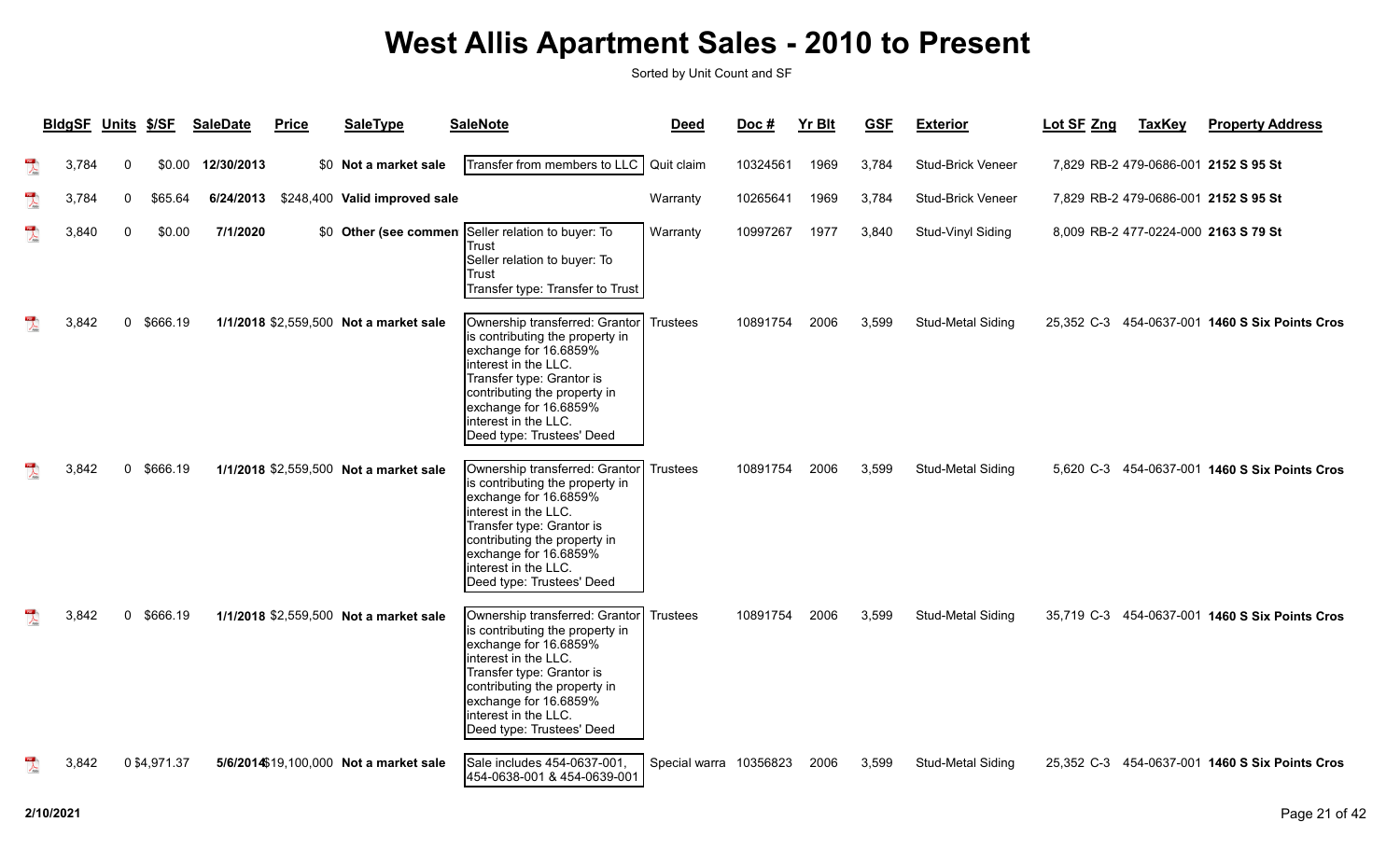| <b>BldgSF</b> | <b>Units</b> | \$/SF        | <b>SaleDate</b> | <b>Price</b> | <b>SaleType</b>                        | <b>SaleNote</b>                                                                                                                                                                                                                                                | <b>Deed</b>            | Doc #    | <b>Yr Blt</b> | <b>GSF</b> | <b>Exterior</b>   | Lot SF Zng | <b>TaxKey</b> | <b>Property Address</b>                        |
|---------------|--------------|--------------|-----------------|--------------|----------------------------------------|----------------------------------------------------------------------------------------------------------------------------------------------------------------------------------------------------------------------------------------------------------------|------------------------|----------|---------------|------------|-------------------|------------|---------------|------------------------------------------------|
| 3,784         | 0            | \$0.00       | 12/30/2013      |              | \$0 Not a market sale                  | Transfer from members to LLC                                                                                                                                                                                                                                   | Quit claim             | 10324561 | 1969          | 3,784      | Stud-Brick Veneer |            |               | 7,829 RB-2 479-0686-001 2152 S 95 St           |
| 3,784         | $\Omega$     | \$65.64      | 6/24/2013       |              | \$248,400 Valid improved sale          |                                                                                                                                                                                                                                                                | Warranty               | 10265641 | 1969          | 3,784      | Stud-Brick Veneer |            |               | 7,829 RB-2 479-0686-001 2152 S 95 St           |
| 3,840         | $\Omega$     | \$0.00       | 7/1/2020        |              |                                        | \$0 Other (see commen Seller relation to buyer: To<br><b>Trust</b><br>Seller relation to buyer: To<br>Trust<br>Transfer type: Transfer to Trust                                                                                                                | Warranty               | 10997267 | 1977          | 3,840      | Stud-Vinyl Siding |            |               | 8,009 RB-2 477-0224-000 2163 S 79 St           |
| 3.842         | $\Omega$     | \$666.19     |                 |              | 1/1/2018 \$2,559,500 Not a market sale | Ownership transferred: Grantor<br>is contributing the property in<br>exchange for 16.6859%<br>interest in the LLC.<br>Transfer type: Grantor is<br>contributing the property in<br>exchange for 16.6859%<br>interest in the LLC.<br>Deed type: Trustees' Deed  | <b>Trustees</b>        | 10891754 | 2006          | 3.599      | Stud-Metal Siding |            |               | 25,352 C-3 454-0637-001 1460 S Six Points Cros |
| 3.842         | $\Omega$     | \$666.19     |                 |              | 1/1/2018 \$2,559,500 Not a market sale | Ownership transferred: Grantor<br>is contributing the property in<br>exchange for 16.6859%<br>interest in the LLC.<br>Transfer type: Grantor is<br>contributing the property in<br>exchange for 16.6859%<br>interest in the LLC.<br>Deed type: Trustees' Deed  | <b>Trustees</b>        | 10891754 | 2006          | 3,599      | Stud-Metal Siding |            |               | 5,620 C-3 454-0637-001 1460 S Six Points Cros  |
| 3,842         | $\Omega$     | \$666.19     |                 |              | 1/1/2018 \$2,559,500 Not a market sale | Ownership transferred: Grantor<br>is contributing the property in<br>exchange for 16.6859%<br>linterest in the LLC.<br>Transfer type: Grantor is<br>contributing the property in<br>exchange for 16.6859%<br>interest in the LLC.<br>Deed type: Trustees' Deed | <b>Trustees</b>        | 10891754 | 2006          | 3,599      | Stud-Metal Siding |            |               | 35,719 C-3 454-0637-001 1460 S Six Points Cros |
| 3.842         |              | 0 \$4,971.37 |                 |              | 5/6/2014\$19,100,000 Not a market sale | Sale includes 454-0637-001<br>454-0638-001 & 454-0639-001                                                                                                                                                                                                      | Special warra 10356823 |          | 2006          | 3,599      | Stud-Metal Siding |            |               | 25,352 C-3 454-0637-001 1460 S Six Points Cros |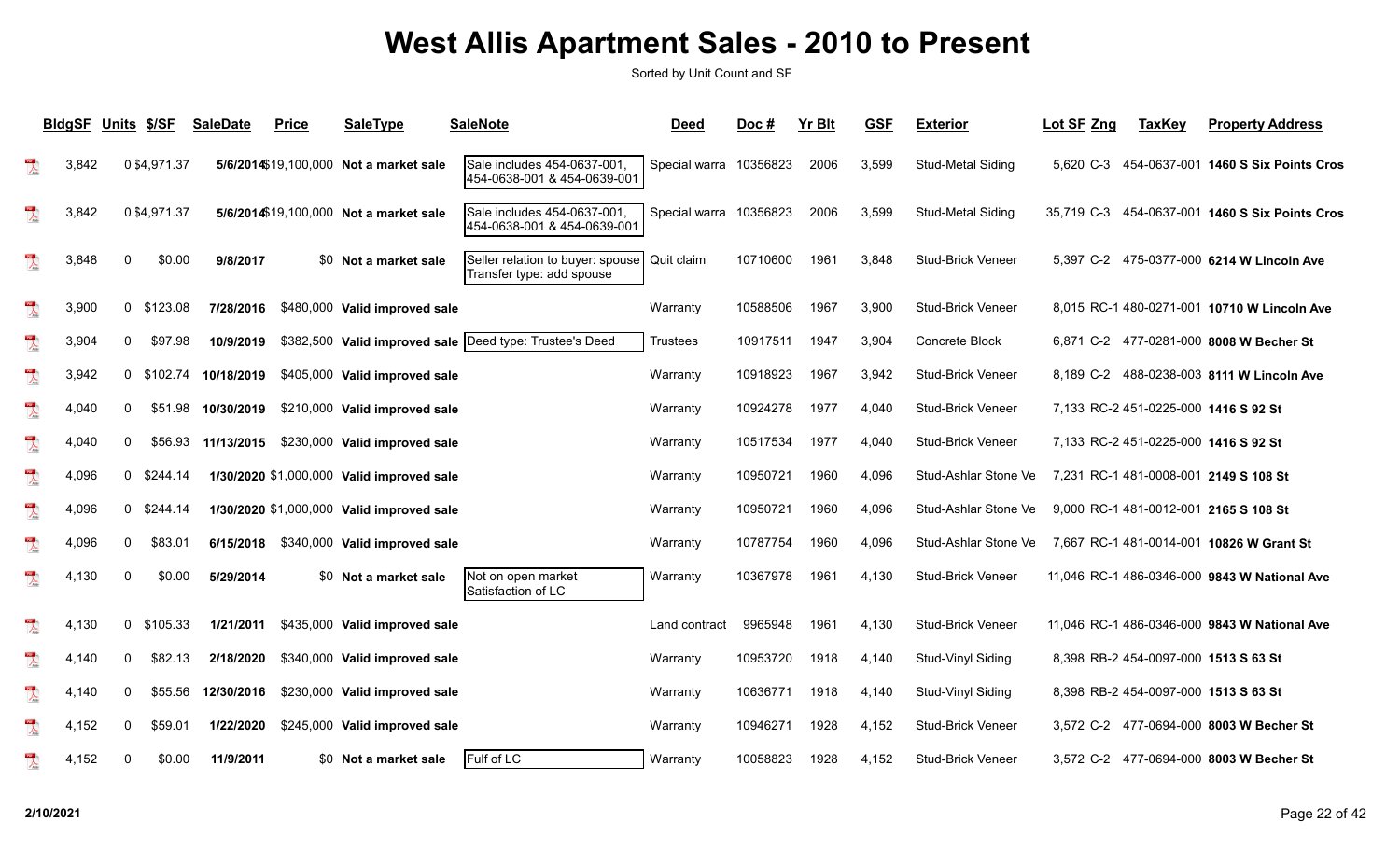|                                                                                                                                                                                                                                                                                                                                                                             | <b>BldgSF</b> | <b>Units</b> | \$/SF        | <b>SaleDate</b> | <b>Price</b> | <b>SaleType</b>                           | <b>SaleNote</b>                                               | <b>Deed</b>            | Doc#     | Yr Blt | <b>GSF</b> | <b>Exterior</b>          | Lot SF Zng | <b>TaxKey</b> | <b>Property Address</b>                      |
|-----------------------------------------------------------------------------------------------------------------------------------------------------------------------------------------------------------------------------------------------------------------------------------------------------------------------------------------------------------------------------|---------------|--------------|--------------|-----------------|--------------|-------------------------------------------|---------------------------------------------------------------|------------------------|----------|--------|------------|--------------------------|------------|---------------|----------------------------------------------|
| $\sum_{\rm kink}$                                                                                                                                                                                                                                                                                                                                                           | 3,842         |              | 0 \$4,971.37 |                 |              | 5/6/2014\$19,100,000 Not a market sale    | Sale includes 454-0637-001<br>454-0638-001 & 454-0639-001     | Special warra          | 10356823 | 2006   | 3,599      | Stud-Metal Siding        | 5,620 C-3  |               | 454-0637-001 1460 S Six Points Cros          |
|                                                                                                                                                                                                                                                                                                                                                                             | 3,842         |              | 0 \$4,971.37 |                 |              | 5/6/2014\$19,100,000 Not a market sale    | Sale includes 454-0637-001<br>454-0638-001 & 454-0639-001     | Special warra 10356823 |          | 2006   | 3,599      | Stud-Metal Siding        | 35,719 C-3 |               | 454-0637-001 1460 S Six Points Cros          |
| $\sum_{\text{max}}$                                                                                                                                                                                                                                                                                                                                                         | 3,848         | 0            | \$0.00       | 9/8/2017        |              | \$0 Not a market sale                     | Seller relation to buyer: spouse<br>Transfer type: add spouse | Quit claim             | 10710600 | 1961   | 3,848      | <b>Stud-Brick Veneer</b> |            |               | 5,397 C-2 475-0377-000 6214 W Lincoln Ave    |
| $\lambda$                                                                                                                                                                                                                                                                                                                                                                   | 3,900         |              | 0 \$123.08   | 7/28/2016       |              | \$480,000 Valid improved sale             |                                                               | Warranty               | 10588506 | 1967   | 3,900      | <b>Stud-Brick Veneer</b> |            |               | 8,015 RC-1 480-0271-001 10710 W Lincoln Ave  |
| $\overline{\mathcal{X}}$                                                                                                                                                                                                                                                                                                                                                    | 3,904         | $\mathbf{0}$ | \$97.98      | 10/9/2019       |              |                                           | \$382,500 Valid improved sale  Deed type: Trustee's Deed      | Trustees               | 10917511 | 1947   | 3,904      | Concrete Block           |            |               | 6.871 C-2 477-0281-000 8008 W Becher St      |
| $\lambda$                                                                                                                                                                                                                                                                                                                                                                   | 3,942         |              | 0 \$102.74   | 10/18/2019      |              | \$405,000 Valid improved sale             |                                                               | Warranty               | 10918923 | 1967   | 3,942      | <b>Stud-Brick Veneer</b> |            |               | 8,189 C-2 488-0238-003 8111 W Lincoln Ave    |
| $\sum_{i=1}^{100}$                                                                                                                                                                                                                                                                                                                                                          | 4,040         | 0            | \$51.98      | 10/30/2019      |              | \$210,000 Valid improved sale             |                                                               | Warranty               | 10924278 | 1977   | 4,040      | <b>Stud-Brick Veneer</b> |            |               | 7,133 RC-2 451-0225-000 1416 S 92 St         |
| $\overline{\mathbf{r}}$                                                                                                                                                                                                                                                                                                                                                     | 4,040         | 0            | \$56.93      |                 |              | 11/13/2015 \$230,000 Valid improved sale  |                                                               | Warranty               | 10517534 | 1977   | 4,040      | <b>Stud-Brick Veneer</b> |            |               | 7,133 RC-2 451-0225-000 1416 S 92 St         |
| $\begin{picture}(20,20) \put(0,0){\vector(1,0){10}} \put(15,0){\vector(1,0){10}} \put(15,0){\vector(1,0){10}} \put(15,0){\vector(1,0){10}} \put(15,0){\vector(1,0){10}} \put(15,0){\vector(1,0){10}} \put(15,0){\vector(1,0){10}} \put(15,0){\vector(1,0){10}} \put(15,0){\vector(1,0){10}} \put(15,0){\vector(1,0){10}} \put(15,0){\vector(1,0){10}} \put(15,0){\vector(1$ | 4,096         |              | $0$ \$244.14 |                 |              | 1/30/2020 \$1,000,000 Valid improved sale |                                                               | Warranty               | 10950721 | 1960   | 4,096      | Stud-Ashlar Stone Ve     |            |               | 7,231 RC-1 481-0008-001 2149 S 108 St        |
| $\lambda$                                                                                                                                                                                                                                                                                                                                                                   | 4,096         |              | $0$ \$244.14 |                 |              | 1/30/2020 \$1,000,000 Valid improved sale |                                                               | Warranty               | 10950721 | 1960   | 4,096      | Stud-Ashlar Stone Ve     |            |               | 9,000 RC-1 481-0012-001 2165 S 108 St        |
| $\overline{\mathbf{r}}$                                                                                                                                                                                                                                                                                                                                                     | 4,096         | $\Omega$     | \$83.01      | 6/15/2018       |              | \$340,000 Valid improved sale             |                                                               | Warranty               | 10787754 | 1960   | 4,096      | Stud-Ashlar Stone Ve     |            |               | 7,667 RC-1 481-0014-001 10826 W Grant St     |
| $\sum_{\text{block}}$                                                                                                                                                                                                                                                                                                                                                       | 4,130         | 0            | \$0.00       | 5/29/2014       |              | \$0 Not a market sale                     | Not on open market<br>Satisfaction of LC                      | Warranty               | 10367978 | 1961   | 4,130      | <b>Stud-Brick Veneer</b> |            |               | 11,046 RC-1 486-0346-000 9843 W National Ave |
| $\frac{1}{\sqrt{2}}$                                                                                                                                                                                                                                                                                                                                                        | 4,130         |              | 0 \$105.33   | 1/21/2011       |              | \$435,000 Valid improved sale             |                                                               | Land contract          | 9965948  | 1961   | 4,130      | <b>Stud-Brick Veneer</b> |            |               | 11,046 RC-1 486-0346-000 9843 W National Ave |
| $\begin{picture}(20,20) \put(0,0){\vector(0,1){10}} \put(15,0){\vector(0,1){10}} \put(15,0){\vector(0,1){10}} \put(15,0){\vector(0,1){10}} \put(15,0){\vector(0,1){10}} \put(15,0){\vector(0,1){10}} \put(15,0){\vector(0,1){10}} \put(15,0){\vector(0,1){10}} \put(15,0){\vector(0,1){10}} \put(15,0){\vector(0,1){10}} \put(15,0){\vector(0,1){10}} \put(15,0){\vector(0$ | 4,140         | 0            | \$82.13      | 2/18/2020       |              | \$340,000 Valid improved sale             |                                                               | Warranty               | 10953720 | 1918   | 4,140      | Stud-Vinyl Siding        |            |               | 8,398 RB-2 454-0097-000 1513 S 63 St         |
| $\overline{\mathbf{r}}$                                                                                                                                                                                                                                                                                                                                                     | 4,140         | 0            | \$55.56      | 12/30/2016      |              | \$230,000 Valid improved sale             |                                                               | Warranty               | 10636771 | 1918   | 4,140      | Stud-Vinyl Siding        |            |               | 8,398 RB-2 454-0097-000 1513 S 63 St         |
| $\sum_{\text{block}}$                                                                                                                                                                                                                                                                                                                                                       | 4,152         | 0            | \$59.01      | 1/22/2020       |              | \$245,000 Valid improved sale             |                                                               | Warranty               | 10946271 | 1928   | 4,152      | <b>Stud-Brick Veneer</b> |            |               | 3,572 C-2 477-0694-000 8003 W Becher St      |
| $\lambda$                                                                                                                                                                                                                                                                                                                                                                   | 4,152         | 0            | \$0.00       | 11/9/2011       |              | \$0 Not a market sale                     | Fulf of LC                                                    | Warranty               | 10058823 | 1928   | 4,152      | <b>Stud-Brick Veneer</b> |            |               | 3,572 C-2 477-0694-000 8003 W Becher St      |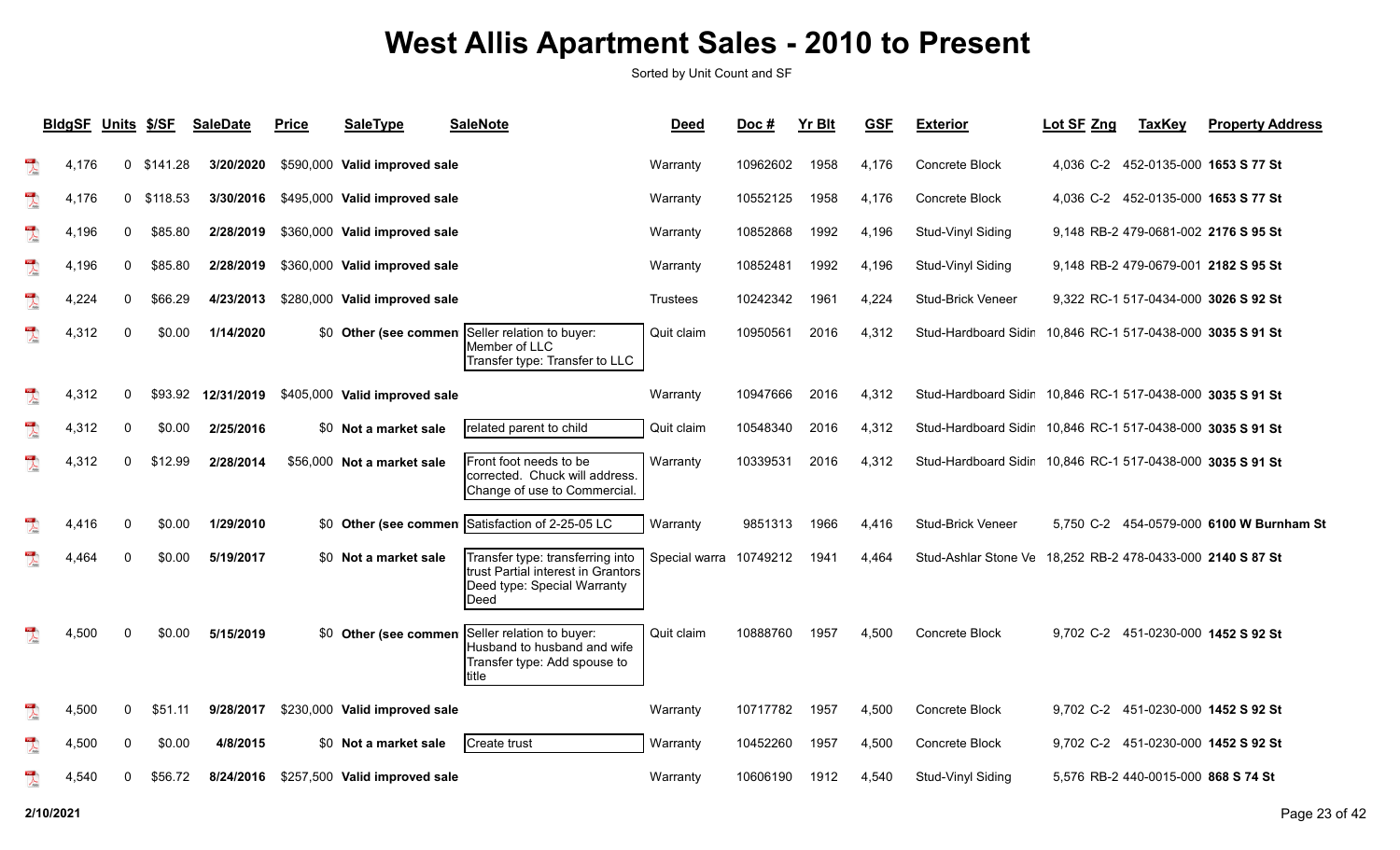|                                                                                                                                                                                                                                                                                                                                                                             | <b>BldgSF</b> | <b>Units</b> | \$/SF        | <b>SaleDate</b> | <b>Price</b> | <b>SaleType</b>               | <b>SaleNote</b>                                                                                                        | <b>Deed</b>            | Doc#     | <b>Yr Blt</b> | <b>GSF</b> | <b>Exterior</b>                                            | Lot SF Zng                            | <b>TaxKey</b>                       | <b>Property Address</b>                  |
|-----------------------------------------------------------------------------------------------------------------------------------------------------------------------------------------------------------------------------------------------------------------------------------------------------------------------------------------------------------------------------|---------------|--------------|--------------|-----------------|--------------|-------------------------------|------------------------------------------------------------------------------------------------------------------------|------------------------|----------|---------------|------------|------------------------------------------------------------|---------------------------------------|-------------------------------------|------------------------------------------|
| $\frac{105}{\sqrt{100}}$                                                                                                                                                                                                                                                                                                                                                    | 4,176         |              | $0$ \$141.28 | 3/20/2020       |              | \$590,000 Valid improved sale |                                                                                                                        | Warranty               | 10962602 | 1958          | 4,176      | Concrete Block                                             |                                       |                                     | 4,036 C-2 452-0135-000 1653 S 77 St      |
| $\frac{1}{\sqrt{2}}$                                                                                                                                                                                                                                                                                                                                                        | 4,176         |              | $0$ \$118.53 | 3/30/2016       |              | \$495,000 Valid improved sale |                                                                                                                        | Warranty               | 10552125 | 1958          | 4,176      | Concrete Block                                             |                                       |                                     | 4,036 C-2 452-0135-000 1653 S 77 St      |
| $\sum_{k \geq 0}$                                                                                                                                                                                                                                                                                                                                                           | 4,196         | 0            | \$85.80      | 2/28/2019       |              | \$360,000 Valid improved sale |                                                                                                                        | Warranty               | 10852868 | 1992          | 4,196      | Stud-Vinyl Siding                                          |                                       |                                     | 9,148 RB-2 479-0681-002 2176 S 95 St     |
| $\frac{105}{\sqrt{25}}$                                                                                                                                                                                                                                                                                                                                                     | 4,196         | 0            | \$85.80      | 2/28/2019       |              | \$360,000 Valid improved sale |                                                                                                                        | Warranty               | 10852481 | 1992          | 4,196      | Stud-Vinyl Siding                                          |                                       |                                     | 9.148 RB-2 479-0679-001 2182 S 95 St     |
| $\frac{100}{\sqrt{25}}$                                                                                                                                                                                                                                                                                                                                                     | 4,224         | 0            | \$66.29      | 4/23/2013       |              | \$280,000 Valid improved sale |                                                                                                                        | <b>Trustees</b>        | 10242342 | 1961          | 4,224      | <b>Stud-Brick Veneer</b>                                   |                                       |                                     | 9,322 RC-1 517-0434-000 3026 S 92 St     |
| $\overline{\mathbf{r}}$                                                                                                                                                                                                                                                                                                                                                     | 4,312         | $\mathbf{0}$ | \$0.00       | 1/14/2020       |              |                               | \$0 Other (see commen Seller relation to buyer:<br>Member of LLC<br>Transfer type: Transfer to LLC                     | Quit claim             | 10950561 | 2016          | 4,312      | Stud-Hardboard Sidir                                       |                                       |                                     | 10,846 RC-1 517-0438-000 3035 S 91 St    |
| $\begin{array}{c}\n\hline\n\end{array}$                                                                                                                                                                                                                                                                                                                                     | 4,312         | 0            | \$93.92      | 12/31/2019      |              | \$405,000 Valid improved sale |                                                                                                                        | Warranty               | 10947666 | 2016          | 4,312      | Stud-Hardboard Sidir                                       |                                       |                                     | 10.846 RC-1 517-0438-000 3035 S 91 St    |
| $\overline{\mathbf{r}}$                                                                                                                                                                                                                                                                                                                                                     | 4,312         | 0            | \$0.00       | 2/25/2016       |              | \$0 Not a market sale         | related parent to child                                                                                                | Quit claim             | 10548340 | 2016          | 4,312      | Stud-Hardboard Sidir                                       | 10.846 RC-1 517-0438-000 3035 S 91 St |                                     |                                          |
| $\overline{\mathcal{L}}$                                                                                                                                                                                                                                                                                                                                                    | 4,312         | 0            | \$12.99      | 2/28/2014       |              | \$56,000 Not a market sale    | Front foot needs to be<br>corrected. Chuck will address.<br>Change of use to Commercial.                               | Warranty               | 10339531 | 2016          | 4,312      | Stud-Hardboard Sidir                                       |                                       |                                     | 10,846 RC-1 517-0438-000 3035 S 91 St    |
| $\sum_{\rm kink}$                                                                                                                                                                                                                                                                                                                                                           | 4.416         | <sup>0</sup> | \$0.00       | 1/29/2010       |              |                               | \$0 Other (see commen Satisfaction of 2-25-05 LC                                                                       | Warranty               | 9851313  | 1966          | 4,416      | <b>Stud-Brick Veneer</b>                                   |                                       |                                     | 5.750 C-2 454-0579-000 6100 W Burnham St |
| $\mathbb{R}$                                                                                                                                                                                                                                                                                                                                                                | 4,464         | 0            | \$0.00       | 5/19/2017       |              | \$0 Not a market sale         | Transfer type: transferring into<br>trust Partial interest in Grantors<br>Deed type: Special Warranty<br><b>I</b> Deed | Special warra 10749212 |          | 1941          | 4,464      | Stud-Ashlar Stone Ve 18.252 RB-2 478-0433-000 2140 S 87 St |                                       |                                     |                                          |
| $\overline{\mathbf{r}}$                                                                                                                                                                                                                                                                                                                                                     | 4,500         | 0            | \$0.00       | 5/15/2019       |              | \$0 Other (see commen         | Seller relation to buyer:<br>Husband to husband and wife<br>Transfer type: Add spouse to<br>Ititle                     | Quit claim             | 10888760 | 1957          | 4.500      | Concrete Block                                             |                                       |                                     | 9.702 C-2 451-0230-000 1452 S 92 St      |
| $\begin{picture}(20,20) \put(0,0){\vector(1,0){10}} \put(15,0){\vector(1,0){10}} \put(15,0){\vector(1,0){10}} \put(15,0){\vector(1,0){10}} \put(15,0){\vector(1,0){10}} \put(15,0){\vector(1,0){10}} \put(15,0){\vector(1,0){10}} \put(15,0){\vector(1,0){10}} \put(15,0){\vector(1,0){10}} \put(15,0){\vector(1,0){10}} \put(15,0){\vector(1,0){10}} \put(15,0){\vector(1$ | 4,500         | 0            | \$51.11      | 9/28/2017       |              | \$230,000 Valid improved sale |                                                                                                                        | Warranty               | 10717782 | 1957          | 4,500      | <b>Concrete Block</b>                                      |                                       |                                     | 9,702 C-2 451-0230-000 1452 S 92 St      |
| $\frac{1}{\sqrt{2}}$                                                                                                                                                                                                                                                                                                                                                        | 4,500         | 0            | \$0.00       | 4/8/2015        |              | \$0 Not a market sale         | Create trust                                                                                                           | Warranty               | 10452260 | 1957          | 4,500      | Concrete Block                                             |                                       |                                     | 9,702 C-2 451-0230-000 1452 S 92 St      |
| $\begin{array}{c} \mathbf{F}^{\text{max}} \\ \hline \mathbf{F}^{\text{max}} \end{array}$                                                                                                                                                                                                                                                                                    | 4,540         | 0            | \$56.72      | 8/24/2016       |              | \$257,500 Valid improved sale |                                                                                                                        | Warranty               | 10606190 | 1912          | 4,540      | Stud-Vinyl Siding                                          |                                       | 5.576 RB-2 440-0015-000 868 S 74 St |                                          |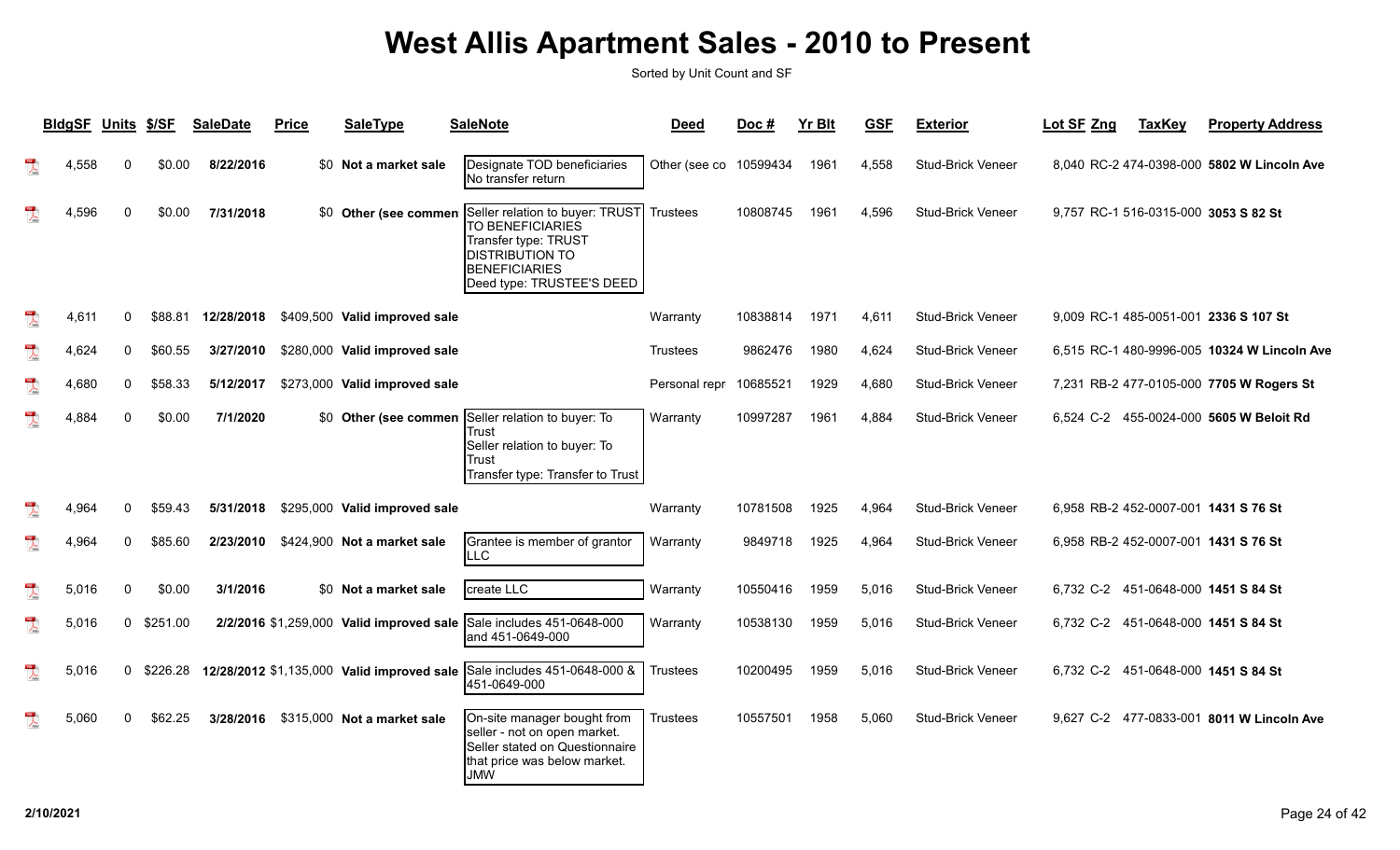|                                         | <b>BIdgSF</b> | Units        | <u>\$/SF</u> | <b>SaleDate</b> | <b>Price</b> | <b>SaleType</b>                            | <b>SaleNote</b>                                                                                                                                                                  | <b>Deed</b>            | Doc#     | <b>Yr Blt</b> | <b>GSF</b> | <b>Exterior</b>          | Lot SF Zng | <b>TaxKey</b> | <b>Property Address</b>                     |
|-----------------------------------------|---------------|--------------|--------------|-----------------|--------------|--------------------------------------------|----------------------------------------------------------------------------------------------------------------------------------------------------------------------------------|------------------------|----------|---------------|------------|--------------------------|------------|---------------|---------------------------------------------|
|                                         | 4,558         | 0            | \$0.00       | 8/22/2016       |              | \$0 Not a market sale                      | Designate TOD beneficiaries<br>No transfer return                                                                                                                                | Other (see co 10599434 |          | 1961          | 4.558      | Stud-Brick Veneer        |            |               | 8,040 RC-2 474-0398-000 5802 W Lincoln Ave  |
|                                         | 4,596         | $\Omega$     | \$0.00       | 7/31/2018       |              |                                            | \$0 Other (see commen Seller relation to buyer: TRUST<br>TO BENEFICIARIES<br>Transfer type: TRUST<br><b>DISTRIBUTION TO</b><br><b>BENEFICIARIES</b><br>Deed type: TRUSTEE'S DEED | <b>Trustees</b>        | 10808745 | 1961          | 4.596      | <b>Stud-Brick Veneer</b> |            |               | 9,757 RC-1 516-0315-000 3053 S 82 St        |
| $\mathbb{R}$                            | 4,611         | $\Omega$     | \$88.81      | 12/28/2018      |              | \$409,500 Valid improved sale              |                                                                                                                                                                                  | Warranty               | 10838814 | 1971          | 4,611      | Stud-Brick Veneer        |            |               | 9,009 RC-1 485-0051-001 2336 S 107 St       |
| $\overline{\mathbf{r}}$                 | 4,624         | 0            | \$60.55      | 3/27/2010       |              | \$280,000 Valid improved sale              |                                                                                                                                                                                  | Trustees               | 9862476  | 1980          | 4,624      | <b>Stud-Brick Veneer</b> |            |               | 6,515 RC-1 480-9996-005 10324 W Lincoln Ave |
| $\sum_{k=0}^{100}$                      | 4,680         | 0            | \$58.33      | 5/12/2017       |              | \$273,000 Valid improved sale              |                                                                                                                                                                                  | Personal repr 10685521 |          | 1929          | 4,680      | Stud-Brick Veneer        |            |               | 7,231 RB-2 477-0105-000 7705 W Rogers St    |
| $\overline{\mathbf{r}}$                 | 4,884         | $\mathbf{0}$ | \$0.00       | 7/1/2020        |              | \$0 Other (see commen                      | Seller relation to buyer: To<br>Trust<br>Seller relation to buyer: To<br>Trust<br>Transfer type: Transfer to Trust                                                               | Warranty               | 10997287 | 1961          | 4.884      | Stud-Brick Veneer        |            |               | 6.524 C-2 455-0024-000 5605 W Beloit Rd     |
| $\overline{\mathbf{r}}$                 | 4,964         | $\Omega$     | \$59.43      | 5/31/2018       |              | \$295,000 Valid improved sale              |                                                                                                                                                                                  | Warranty               | 10781508 | 1925          | 4.964      | Stud-Brick Veneer        |            |               | 6.958 RB-2 452-0007-001 1431 S 76 St        |
| $\overline{\mathbf{r}}$                 | 4,964         | 0            | \$85.60      | 2/23/2010       |              | \$424,900 Not a market sale                | Grantee is member of grantor<br><b>LLC</b>                                                                                                                                       | Warranty               | 9849718  | 1925          | 4.964      | <b>Stud-Brick Veneer</b> |            |               | 6,958 RB-2 452-0007-001 1431 S 76 St        |
| $\begin{array}{c}\n\hline\n\end{array}$ | 5,016         | 0            | \$0.00       | 3/1/2016        |              | \$0 Not a market sale                      | create LLC                                                                                                                                                                       | Warranty               | 10550416 | 1959          | 5.016      | <b>Stud-Brick Veneer</b> |            |               | 6,732 C-2 451-0648-000 1451 S 84 St         |
| $\sum_{k=1}^{n}$                        | 5,016         | $\mathbf{0}$ | \$251.00     |                 |              | 2/2/2016 \$1,259,000 Valid improved sale   | Sale includes 451-0648-000<br>and 451-0649-000                                                                                                                                   | Warranty               | 10538130 | 1959          | 5.016      | <b>Stud-Brick Veneer</b> |            |               | 6,732 C-2 451-0648-000 1451 S 84 St         |
| $\sum_{\text{back}}$                    | 5,016         | $\mathbf 0$  | \$226.28     |                 |              | 12/28/2012 \$1,135,000 Valid improved sale | Sale includes 451-0648-000 &<br>451-0649-000                                                                                                                                     | Trustees               | 10200495 | 1959          | 5.016      | <b>Stud-Brick Veneer</b> |            |               | 6,732 C-2 451-0648-000 1451 S 84 St         |
|                                         | 5,060         | 0            | \$62.25      |                 |              | 3/28/2016 \$315,000 Not a market sale      | On-site manager bought from<br>seller - not on open market.<br>Seller stated on Questionnaire<br>that price was below market.<br><b>JMW</b>                                      | Trustees               | 10557501 | 1958          | 5.060      | Stud-Brick Veneer        |            |               | 9,627 C-2 477-0833-001 8011 W Lincoln Ave   |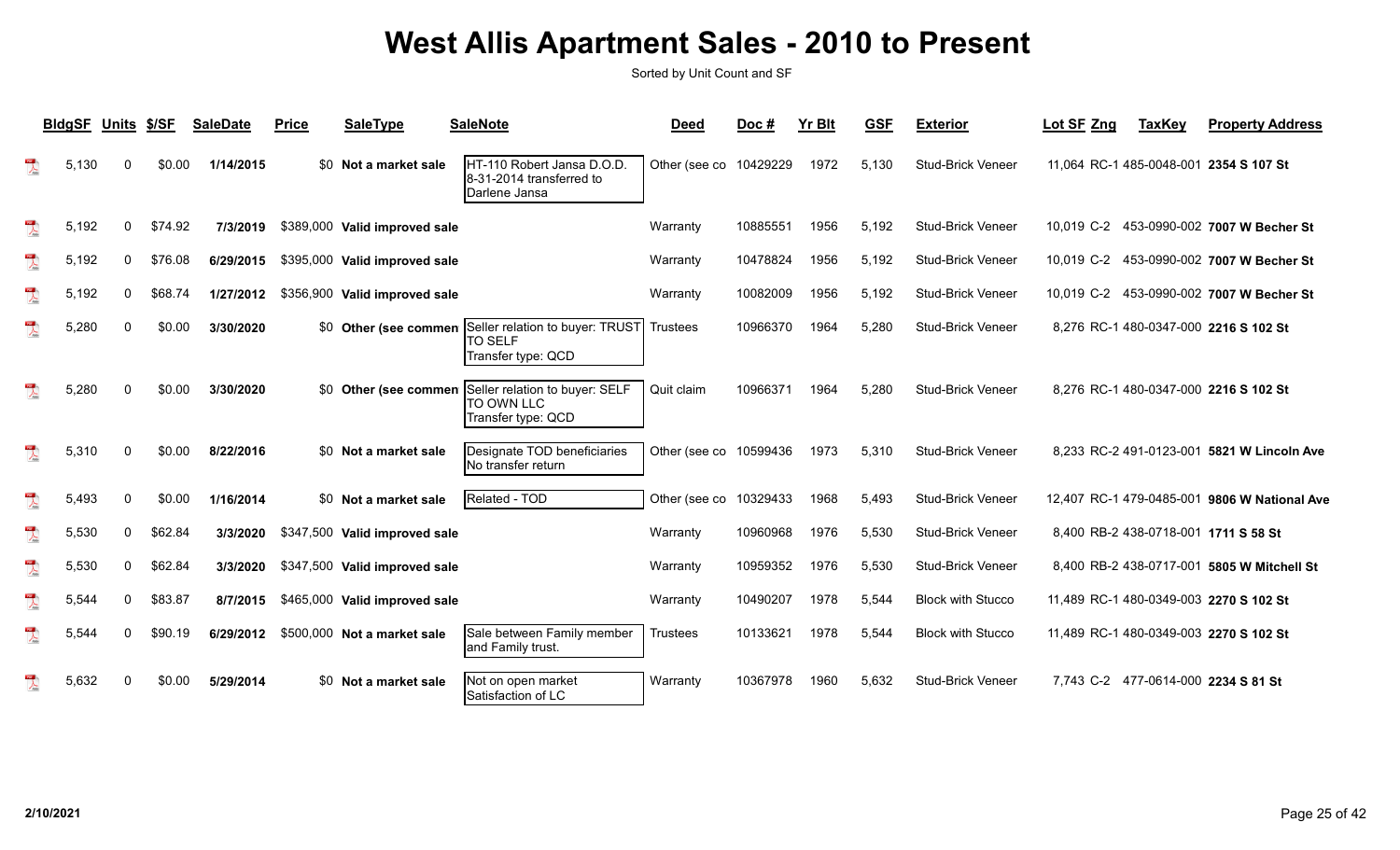|                                    | <b>BldgSF</b> | Units \$/SF  |         | <b>SaleDate</b> | Price | SaleType                      | <b>SaleNote</b>                                                                               | <b>Deed</b>            | Doc#     | <b>Yr Blt</b> | <b>GSF</b> | <b>Exterior</b>          | Lot SF Zng | <b>TaxKey</b> | <b>Property Address</b>                      |
|------------------------------------|---------------|--------------|---------|-----------------|-------|-------------------------------|-----------------------------------------------------------------------------------------------|------------------------|----------|---------------|------------|--------------------------|------------|---------------|----------------------------------------------|
| $\frac{105}{\lambda_{\text{min}}}$ | 5,130         | 0            | \$0.00  | 1/14/2015       |       | \$0 Not a market sale         | HT-110 Robert Jansa D.O.D.<br>8-31-2014 transferred to<br>Darlene Jansa                       | Other (see co 10429229 |          | 1972          | 5,130      | <b>Stud-Brick Veneer</b> |            |               | 11,064 RC-1 485-0048-001 2354 S 107 St       |
| $\lambda$                          | 5,192         | 0            | \$74.92 | 7/3/2019        |       | \$389,000 Valid improved sale |                                                                                               | Warranty               | 10885551 | 1956          | 5,192      | <b>Stud-Brick Veneer</b> |            |               | 10,019 C-2 453-0990-002 7007 W Becher St     |
| $\overline{\mathcal{X}}$           | 5,192         | $\mathbf{0}$ | \$76.08 | 6/29/2015       |       | \$395,000 Valid improved sale |                                                                                               | Warranty               | 10478824 | 1956          | 5,192      | <b>Stud-Brick Veneer</b> |            |               | 10,019 C-2 453-0990-002 7007 W Becher St     |
| $\sum_{k=0}^{10}$                  | 5,192         | 0            | \$68.74 | 1/27/2012       |       | \$356,900 Valid improved sale |                                                                                               | Warranty               | 10082009 | 1956          | 5,192      | <b>Stud-Brick Veneer</b> |            |               | 10,019 C-2 453-0990-002 7007 W Becher St     |
| $\overline{\mathcal{L}}$           | 5,280         | 0            | \$0.00  | 3/30/2020       |       |                               | \$0 Other (see commen Seller relation to buyer: TRUST<br><b>TO SELF</b><br>Transfer type: QCD | <b>Trustees</b>        | 10966370 | 1964          | 5,280      | <b>Stud-Brick Veneer</b> |            |               | 8,276 RC-1 480-0347-000 2216 S 102 St        |
|                                    | 5,280         | <sup>0</sup> | \$0.00  | 3/30/2020       |       |                               | \$0 Other (see commen Seller relation to buyer: SELF<br>Ito own llc<br>Transfer type: QCD     | Quit claim             | 10966371 | 1964          | 5,280      | Stud-Brick Veneer        |            |               | 8,276 RC-1 480-0347-000 2216 S 102 St        |
|                                    | 5,310         | O            | \$0.00  | 8/22/2016       |       | \$0 Not a market sale         | Designate TOD beneficiaries<br>No transfer return                                             | Other (see co 10599436 |          | 1973          | 5,310      | <b>Stud-Brick Veneer</b> |            |               | 8,233 RC-2 491-0123-001 5821 W Lincoln Ave   |
| $\overline{\mathcal{L}}$           | 5,493         | $\mathbf{0}$ | \$0.00  | 1/16/2014       |       | \$0 Not a market sale         | Related - TOD                                                                                 | Other (see co          | 10329433 | 1968          | 5,493      | <b>Stud-Brick Veneer</b> |            |               | 12,407 RC-1 479-0485-001 9806 W National Ave |
| $\overline{\mathbf{r}}$            | 5,530         | $\Omega$     | \$62.84 | 3/3/2020        |       | \$347,500 Valid improved sale |                                                                                               | Warranty               | 10960968 | 1976          | 5,530      | <b>Stud-Brick Veneer</b> |            |               | 8,400 RB-2 438-0718-001 1711 S 58 St         |
| $\overline{\mathbf{r}}$            | 5,530         | $\Omega$     | \$62.84 | 3/3/2020        |       | \$347,500 Valid improved sale |                                                                                               | Warranty               | 10959352 | 1976          | 5,530      | <b>Stud-Brick Veneer</b> |            |               | 8,400 RB-2 438-0717-001 5805 W Mitchell St   |
| $\overline{\mathcal{L}}$           | 5,544         | 0            | \$83.87 | 8/7/2015        |       | \$465,000 Valid improved sale |                                                                                               | Warranty               | 10490207 | 1978          | 5,544      | <b>Block with Stucco</b> |            |               | 11,489 RC-1 480-0349-003 2270 S 102 St       |
| $\overline{\mathcal{L}}$           | 5.544         | 0            | \$90.19 | 6/29/2012       |       | \$500,000 Not a market sale   | Sale between Family member<br>and Family trust.                                               | <b>Trustees</b>        | 10133621 | 1978          | 5.544      | <b>Block with Stucco</b> |            |               | 11,489 RC-1 480-0349-003 2270 S 102 St       |
| $\mathbb{R}$                       | 5,632         | $\Omega$     | \$0.00  | 5/29/2014       |       | \$0 Not a market sale         | Not on open market<br>Satisfaction of LC                                                      | Warranty               | 10367978 | 1960          | 5,632      | <b>Stud-Brick Veneer</b> |            |               | 7,743 C-2 477-0614-000 2234 S 81 St          |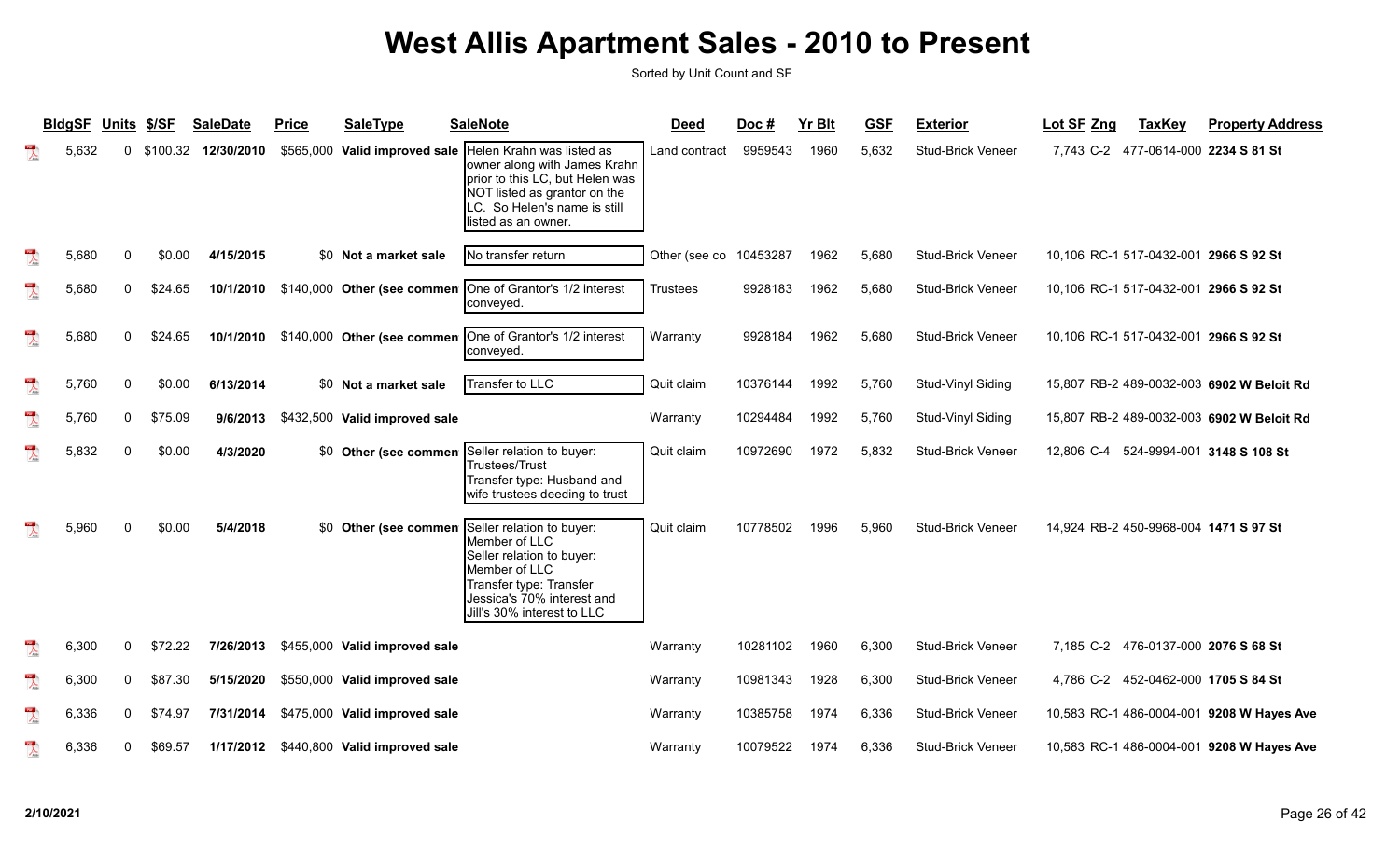|                         | <b>BIdgSF</b> | Units \$/SF  |          | <b>SaleDate</b> | <b>Price</b> | <b>SaleType</b>                         | <b>SaleNote</b>                                                                                                                                                                     | <b>Deed</b>     | Doc#     | <b>Yr Blt</b> | <b>GSF</b> | <b>Exterior</b>          | Lot SF Zng | <b>TaxKey</b> | <b>Property Address</b>                   |
|-------------------------|---------------|--------------|----------|-----------------|--------------|-----------------------------------------|-------------------------------------------------------------------------------------------------------------------------------------------------------------------------------------|-----------------|----------|---------------|------------|--------------------------|------------|---------------|-------------------------------------------|
| $\overline{\mathbf{r}}$ | 5,632         | $\Omega$     | \$100.32 | 12/30/2010      |              | \$565,000 Valid improved sale           | Helen Krahn was listed as<br>owner along with James Krahn<br>prior to this LC, but Helen was<br>NOT listed as grantor on the<br>LC. So Helen's name is still<br>listed as an owner. | Land contract   | 9959543  | 1960          | 5,632      | <b>Stud-Brick Veneer</b> |            |               | 7,743 C-2 477-0614-000 2234 S 81 St       |
| $\mathbb{R}$            | 5,680         | $\Omega$     | \$0.00   | 4/15/2015       |              | \$0 Not a market sale                   | No transfer return                                                                                                                                                                  | Other (see co   | 10453287 | 1962          | 5,680      | <b>Stud-Brick Veneer</b> |            |               | 10,106 RC-1 517-0432-001 2966 S 92 St     |
| $\overline{\mathbf{r}}$ | 5,680         | 0            | \$24.65  | 10/1/2010       |              | \$140,000 Other (see commen             | One of Grantor's 1/2 interest<br>conveyed.                                                                                                                                          | <b>Trustees</b> | 9928183  | 1962          | 5,680      | Stud-Brick Veneer        |            |               | 10,106 RC-1 517-0432-001 2966 S 92 St     |
| $\frac{1}{\sqrt{2}}$    | 5,680         | $\mathbf{0}$ | \$24.65  | 10/1/2010       |              | \$140,000 Other (see commen             | One of Grantor's 1/2 interest<br>conveyed.                                                                                                                                          | Warranty        | 9928184  | 1962          | 5,680      | Stud-Brick Veneer        |            |               | 10,106 RC-1 517-0432-001 2966 S 92 St     |
| $\mathbb{Z}$            | 5,760         | $\Omega$     | \$0.00   | 6/13/2014       |              | \$0 Not a market sale                   | Transfer to LLC                                                                                                                                                                     | Quit claim      | 10376144 | 1992          | 5.760      | Stud-Vinyl Siding        |            |               | 15,807 RB-2 489-0032-003 6902 W Beloit Rd |
| $\lambda$               | 5,760         | 0            | \$75.09  | 9/6/2013        |              | \$432,500 Valid improved sale           |                                                                                                                                                                                     | Warranty        | 10294484 | 1992          | 5,760      | Stud-Vinyl Siding        |            |               | 15,807 RB-2 489-0032-003 6902 W Beloit Rd |
| $\overline{\mathbf{r}}$ | 5,832         | $\Omega$     | \$0.00   | 4/3/2020        |              | \$0 Other (see commen                   | Seller relation to buyer:<br>Trustees/Trust<br>Transfer type: Husband and<br>wife trustees deeding to trust                                                                         | Quit claim      | 10972690 | 1972          | 5.832      | <b>Stud-Brick Veneer</b> |            |               | 12,806 C-4 524-9994-001 3148 S 108 St     |
| $\mathbb{R}$            | 5,960         | $\mathbf{0}$ | \$0.00   | 5/4/2018        |              | \$0 Other (see commen                   | Seller relation to buyer:<br>Member of LLC<br>Seller relation to buyer:<br>Member of LLC<br>Transfer type: Transfer<br>Jessica's 70% interest and<br>Jill's 30% interest to LLC     | Quit claim      | 10778502 | 1996          | 5,960      | Stud-Brick Veneer        |            |               | 14,924 RB-2 450-9968-004 1471 S 97 St     |
| $\sum_{i=1}^{n}$        | 6,300         | 0            | \$72.22  | 7/26/2013       |              | \$455,000 Valid improved sale           |                                                                                                                                                                                     | Warranty        | 10281102 | 1960          | 6,300      | <b>Stud-Brick Veneer</b> |            |               | 7,185 C-2 476-0137-000 2076 S 68 St       |
| $\mathbb{Z}$            | 6,300         | 0            | \$87.30  | 5/15/2020       |              | \$550,000 Valid improved sale           |                                                                                                                                                                                     | Warranty        | 10981343 | 1928          | 6,300      | <b>Stud-Brick Veneer</b> |            |               | 4,786 C-2 452-0462-000 1705 S 84 St       |
| $\sum_{k=1}^{n}$        | 6,336         | 0            | \$74.97  | 7/31/2014       |              | \$475,000 Valid improved sale           |                                                                                                                                                                                     | Warranty        | 10385758 | 1974          | 6,336      | <b>Stud-Brick Veneer</b> |            |               | 10,583 RC-1 486-0004-001 9208 W Hayes Ave |
| $10^{\circ}$ .          | 6,336         | 0            | \$69.57  |                 |              | 1/17/2012 \$440,800 Valid improved sale |                                                                                                                                                                                     | Warranty        | 10079522 | 1974          | 6.336      | <b>Stud-Brick Veneer</b> |            |               | 10,583 RC-1 486-0004-001 9208 W Hayes Ave |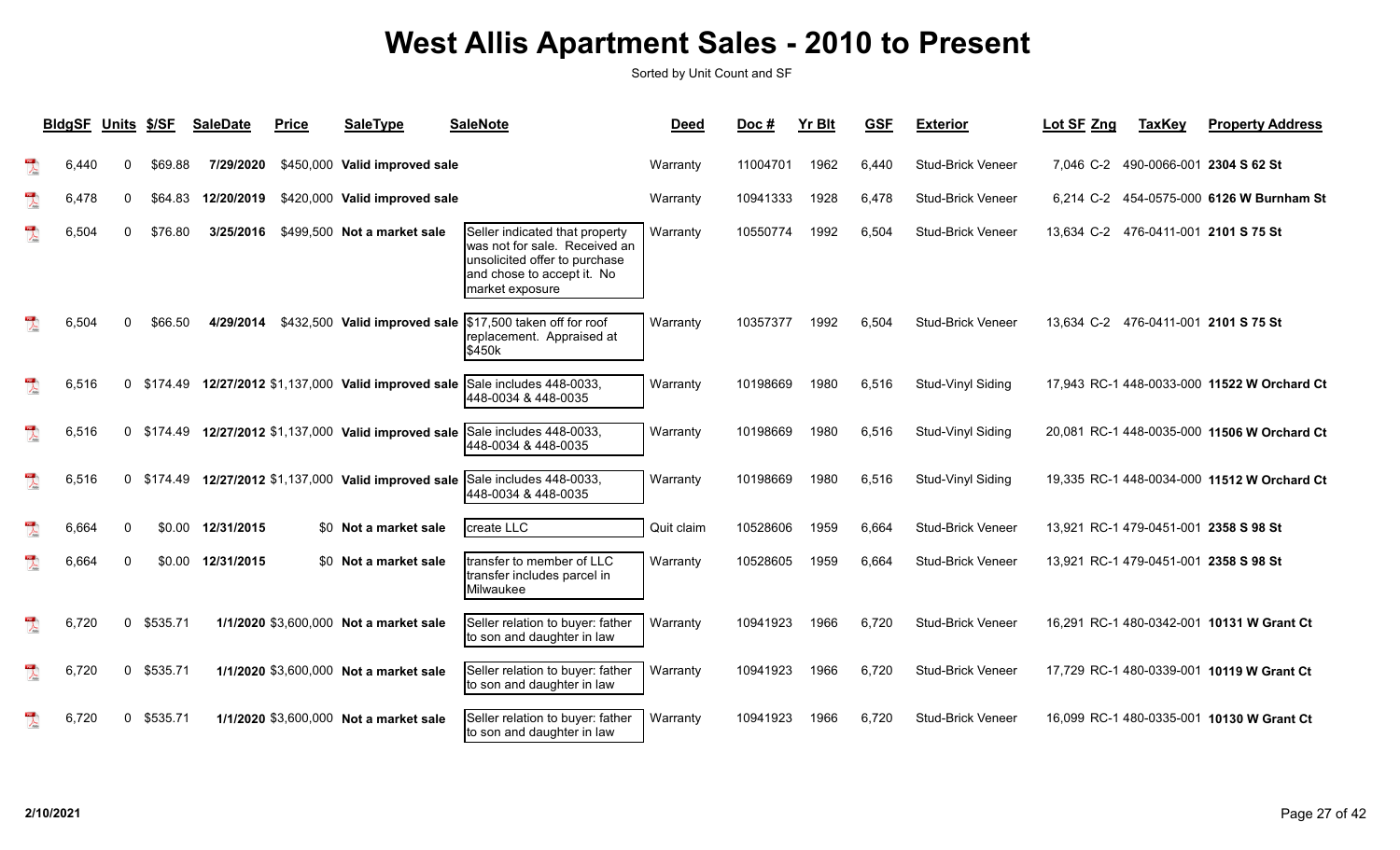|                         | <b>BldgSF</b> | Units \$/SF  |          | <b>SaleDate</b>   | <b>Price</b> | <b>SaleType</b>                                     | <b>SaleNote</b>                                                                                                                                   | <b>Deed</b> | Doc#     | <b>Yr Blt</b> | <b>GSF</b> | <b>Exterior</b>          | Lot SF Zng | <b>TaxKey</b> | <b>Property Address</b>                     |
|-------------------------|---------------|--------------|----------|-------------------|--------------|-----------------------------------------------------|---------------------------------------------------------------------------------------------------------------------------------------------------|-------------|----------|---------------|------------|--------------------------|------------|---------------|---------------------------------------------|
| $\lambda$               | 6,440         |              | \$69.88  | 7/29/2020         |              | \$450,000 Valid improved sale                       |                                                                                                                                                   | Warranty    | 11004701 | 1962          | 6,440      | <b>Stud-Brick Veneer</b> |            |               | 7,046 C-2 490-0066-001 2304 S 62 St         |
| $\overline{\mathbf{r}}$ | 6,478         | $\Omega$     | \$64.83  | 12/20/2019        |              | \$420,000 Valid improved sale                       |                                                                                                                                                   | Warranty    | 10941333 | 1928          | 6,478      | <b>Stud-Brick Veneer</b> |            |               | 6,214 C-2 454-0575-000 6126 W Burnham St    |
|                         | 6,504         | $\Omega$     | \$76.80  | 3/25/2016         |              | \$499,500 Not a market sale                         | Seller indicated that property<br>was not for sale. Received an<br>unsolicited offer to purchase<br>and chose to accept it. No<br>market exposure | Warranty    | 10550774 | 1992          | 6,504      | <b>Stud-Brick Veneer</b> |            |               | 13,634 C-2 476-0411-001 2101 S 75 St        |
|                         | 6,504         |              | \$66.50  | 4/29/2014         |              |                                                     | \$432,500 Valid improved sale  \$17,500 taken off for roof<br>replacement. Appraised at<br><b>\$450k</b>                                          | Warranty    | 10357377 | 1992          | 6,504      | <b>Stud-Brick Veneer</b> |            |               | 13,634 C-2 476-0411-001 2101 S 75 St        |
| $\mathbb{R}$            | 6,516         | $\Omega$     |          |                   |              | \$174.49 12/27/2012 \$1,137,000 Valid improved sale | Sale includes 448-0033,<br>448-0034 & 448-0035                                                                                                    | Warranty    | 10198669 | 1980          | 6,516      | Stud-Vinyl Siding        |            |               | 17,943 RC-1 448-0033-000 11522 W Orchard Ct |
| $\mathbb{R}$            | 6,516         | $\Omega$     |          |                   |              |                                                     | \$174.49 12/27/2012 \$1,137,000 Valid improved sale Sale includes 448-0033,<br>448-0034 & 448-0035                                                | Warranty    | 10198669 | 1980          | 6,516      | Stud-Vinyl Siding        |            |               | 20,081 RC-1 448-0035-000 11506 W Orchard Ct |
| $\mathbb{R}$            | 6,516         | $\Omega$     |          |                   |              | \$174.49 12/27/2012 \$1,137,000 Valid improved sale | Sale includes 448-0033,<br>448-0034 & 448-0035                                                                                                    | Warranty    | 10198669 | 1980          | 6,516      | Stud-Vinyl Siding        |            |               | 19,335 RC-1 448-0034-000 11512 W Orchard Ct |
| $\mathbb{R}$            | 6,664         | $\Omega$     |          | \$0.00 12/31/2015 |              | \$0 Not a market sale                               | create LLC                                                                                                                                        | Quit claim  | 10528606 | 1959          | 6.664      | <b>Stud-Brick Veneer</b> |            |               | 13,921 RC-1 479-0451-001 2358 S 98 St       |
|                         | 6,664         |              |          | \$0.00 12/31/2015 |              | \$0 Not a market sale                               | transfer to member of LLC<br>transfer includes parcel in<br>Milwaukee                                                                             | Warranty    | 10528605 | 1959          | 6,664      | <b>Stud-Brick Veneer</b> |            |               | 13.921 RC-1 479-0451-001 2358 S 98 St       |
| $\overline{\mathbf{r}}$ | 6,720         | $\mathbf{0}$ | \$535.71 |                   |              | 1/1/2020 \$3,600,000 Not a market sale              | Seller relation to buyer: father<br>to son and daughter in law                                                                                    | Warranty    | 10941923 | 1966          | 6,720      | <b>Stud-Brick Veneer</b> |            |               | 16,291 RC-1 480-0342-001 10131 W Grant Ct   |
| $\frac{1}{\sqrt{2}}$    | 6,720         | $\mathbf{0}$ | \$535.71 |                   |              | 1/1/2020 \$3,600,000 Not a market sale              | Seller relation to buyer: father<br>to son and daughter in law                                                                                    | Warranty    | 10941923 | 1966          | 6,720      | <b>Stud-Brick Veneer</b> |            |               | 17,729 RC-1 480-0339-001 10119 W Grant Ct   |
|                         | 6,720         | $\Omega$     | \$535.71 |                   |              | 1/1/2020 \$3,600,000 Not a market sale              | Seller relation to buyer: father<br>to son and daughter in law                                                                                    | Warranty    | 10941923 | 1966          | 6,720      | <b>Stud-Brick Veneer</b> |            |               | 16,099 RC-1 480-0335-001 10130 W Grant Ct   |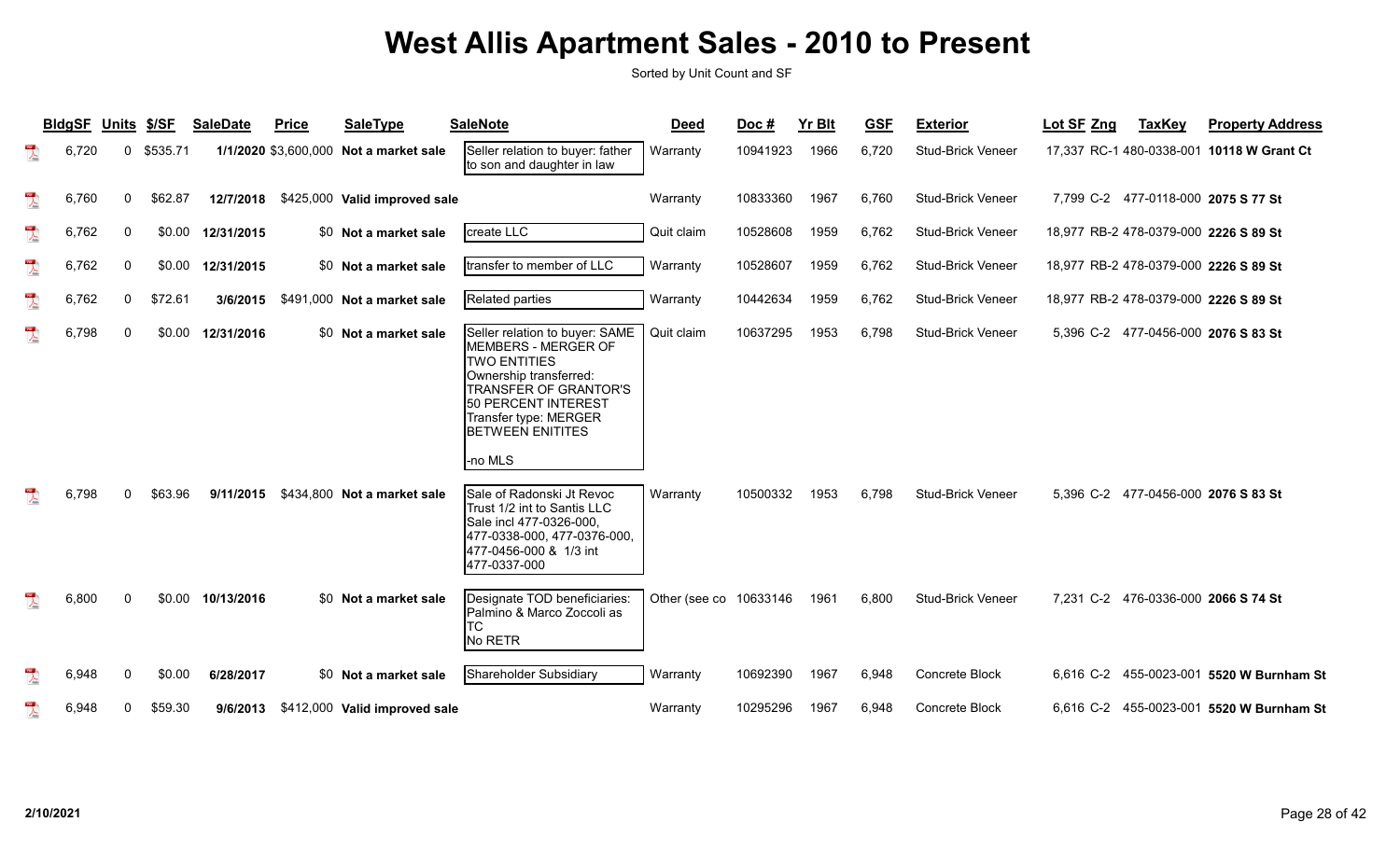|                          | <b>BIdgSF</b> | Units        | \$/SF    | <b>SaleDate</b>    | <b>Price</b> | <b>SaleType</b>                        | <b>SaleNote</b>                                                                                                                                                                                                              | <b>Deed</b>            | Doc#     | <b>Yr Blt</b> | <b>GSF</b> | <b>Exterior</b>          | Lot SF Zng | <b>TaxKey</b> | <b>Property Address</b>                   |
|--------------------------|---------------|--------------|----------|--------------------|--------------|----------------------------------------|------------------------------------------------------------------------------------------------------------------------------------------------------------------------------------------------------------------------------|------------------------|----------|---------------|------------|--------------------------|------------|---------------|-------------------------------------------|
| $\overline{\mathbf{r}}$  | 6,720         | $\Omega$     | \$535.71 |                    |              | 1/1/2020 \$3,600,000 Not a market sale | Seller relation to buyer: father<br>to son and daughter in law                                                                                                                                                               | Warranty               | 10941923 | 1966          | 6,720      | <b>Stud-Brick Veneer</b> |            |               | 17,337 RC-1 480-0338-001 10118 W Grant Ct |
| $\overline{\mathbf{r}}$  | 6,760         | $\mathbf{0}$ | \$62.87  | 12/7/2018          |              | \$425,000 Valid improved sale          |                                                                                                                                                                                                                              | Warranty               | 10833360 | 1967          | 6.760      | <b>Stud-Brick Veneer</b> |            |               | 7.799 C-2 477-0118-000 2075 S 77 St       |
| $\frac{1}{\sqrt{2}}$     | 6,762         | $\Omega$     | \$0.00   | 12/31/2015         |              | \$0 Not a market sale                  | create LLC                                                                                                                                                                                                                   | Quit claim             | 10528608 | 1959          | 6,762      | <b>Stud-Brick Veneer</b> |            |               | 18,977 RB-2 478-0379-000 2226 S 89 St     |
| $\overline{\mathbf{r}}$  | 6,762         | 0            | \$0.00   | 12/31/2015         |              | \$0 Not a market sale                  | Itransfer to member of LLC                                                                                                                                                                                                   | Warranty               | 10528607 | 1959          | 6,762      | <b>Stud-Brick Veneer</b> |            |               | 18,977 RB-2 478-0379-000 2226 S 89 St     |
| $\sum_{i=1}^{n}$         | 6,762         | $\mathbf{0}$ | \$72.61  | 3/6/2015           |              | \$491,000 Not a market sale            | Related parties                                                                                                                                                                                                              | Warranty               | 10442634 | 1959          | 6,762      | <b>Stud-Brick Veneer</b> |            |               | 18,977 RB-2 478-0379-000 2226 S 89 St     |
| $\mathbb{R}$             | 6,798         | $\Omega$     |          | \$0.00 12/31/2016  |              | \$0 Not a market sale                  | Seller relation to buyer: SAME<br>MEMBERS - MERGER OF<br><b>TWO ENTITIES</b><br>Ownership transferred:<br><b>TRANSFER OF GRANTOR'S</b><br>50 PERCENT INTEREST<br>Transfer type: MERGER<br><b>BETWEEN ENITITES</b><br>-no MLS | Quit claim             | 10637295 | 1953          | 6,798      | <b>Stud-Brick Veneer</b> |            |               | 5,396 C-2 477-0456-000 2076 S 83 St       |
| $\mathbb{R}$             | 6,798         | ∩            | \$63.96  | 9/11/2015          |              | \$434,800 Not a market sale            | Sale of Radonski Jt Revoc<br>Trust 1/2 int to Santis LLC<br>Sale incl 477-0326-000,<br>477-0338-000, 477-0376-000,<br>477-0456-000 & 1/3 int<br>477-0337-000                                                                 | Warranty               | 10500332 | 1953          | 6,798      | <b>Stud-Brick Veneer</b> |            |               | 5,396 C-2 477-0456-000 2076 S 83 St       |
| $\mathbb{R}$             | 6,800         | $\Omega$     |          | $$0.00$ 10/13/2016 |              | \$0 Not a market sale                  | Designate TOD beneficiaries:<br>Palmino & Marco Zoccoli as<br>ТC<br>No RETR                                                                                                                                                  | Other (see co 10633146 |          | 1961          | 6,800      | <b>Stud-Brick Veneer</b> |            |               | 7,231 C-2 476-0336-000 2066 S 74 St       |
| $\overline{\phantom{a}}$ | 6,948         | $\Omega$     | \$0.00   | 6/28/2017          |              | \$0 Not a market sale                  | Shareholder Subsidiary                                                                                                                                                                                                       | Warranty               | 10692390 | 1967          | 6,948      | Concrete Block           |            |               | 6,616 C-2 455-0023-001 5520 W Burnham St  |
| 置                        | 6,948         | $\mathbf{0}$ | \$59.30  | 9/6/2013           |              | \$412,000 Valid improved sale          |                                                                                                                                                                                                                              | Warranty               | 10295296 | 1967          | 6.948      | Concrete Block           |            |               | 6,616 C-2 455-0023-001 5520 W Burnham St  |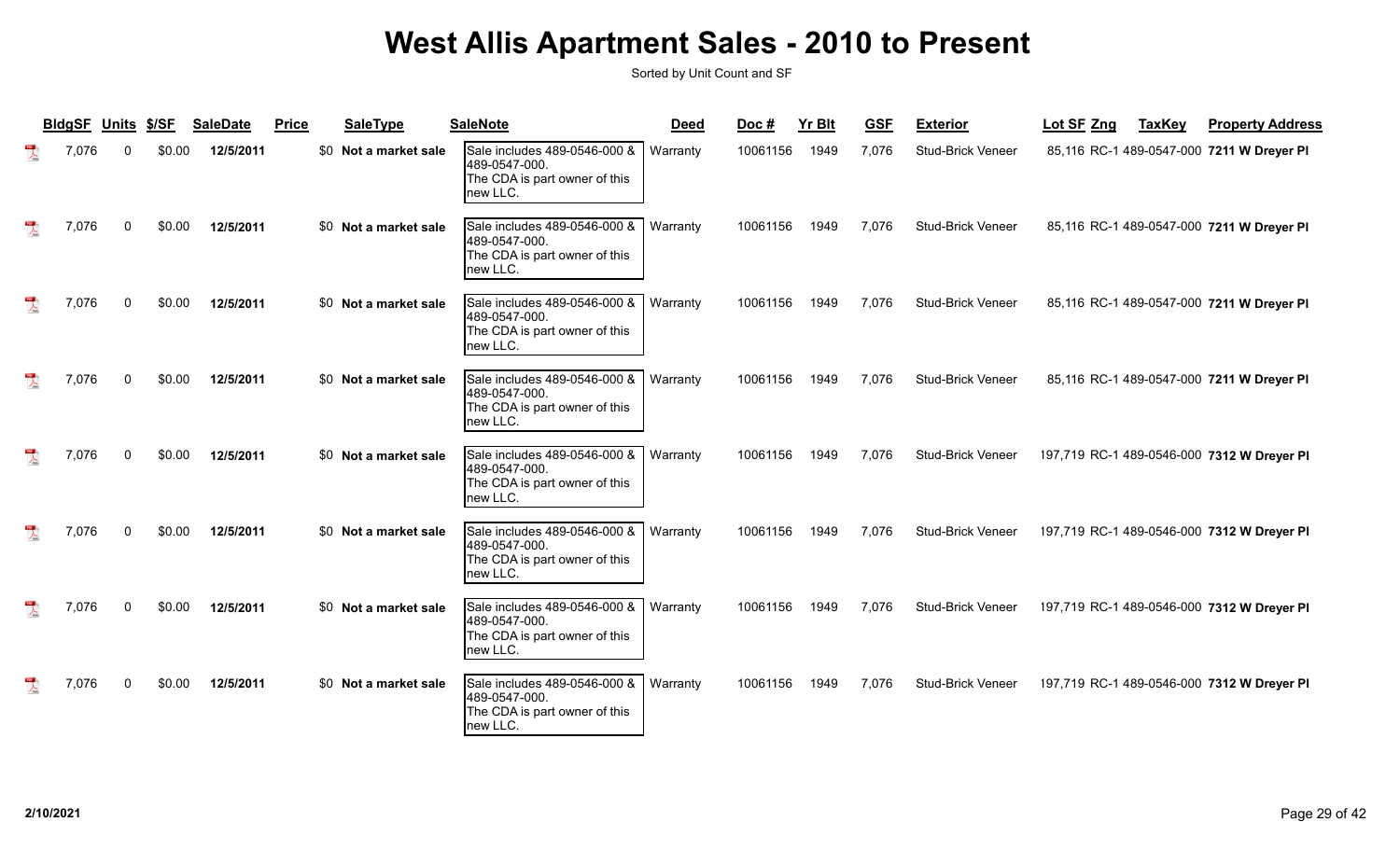| <b>BIdgSF</b> | <b>Units</b> | \$/SF  | <b>SaleDate</b> | <b>Price</b> | SaleType              | <b>SaleNote</b>                                                                            | <b>Deed</b> | Doc#     | <b>Yr Blt</b> | <b>GSF</b> | <b>Exterior</b>          | Lot SF Zng | <b>TaxKey</b> | <b>Property Address</b>                    |
|---------------|--------------|--------|-----------------|--------------|-----------------------|--------------------------------------------------------------------------------------------|-------------|----------|---------------|------------|--------------------------|------------|---------------|--------------------------------------------|
| 7,076         |              | \$0.00 | 12/5/2011       |              | \$0 Not a market sale | Sale includes 489-0546-000 &<br>489-0547-000.<br>The CDA is part owner of this<br>new LLC. | Warranty    | 10061156 | 1949          | 7,076      | <b>Stud-Brick Veneer</b> |            |               | 85,116 RC-1 489-0547-000 7211 W Dreyer PI  |
| 7,076         | $\Omega$     | \$0.00 | 12/5/2011       |              | \$0 Not a market sale | Sale includes 489-0546-000 &<br>489-0547-000.<br>The CDA is part owner of this<br>new LLC. | Warranty    | 10061156 | 1949          | 7.076      | Stud-Brick Veneer        |            |               | 85,116 RC-1 489-0547-000 7211 W Dreyer PI  |
| 7,076         |              | \$0.00 | 12/5/2011       |              | \$0 Not a market sale | Sale includes 489-0546-000 &<br>489-0547-000.<br>The CDA is part owner of this<br>new LLC. | Warranty    | 10061156 | 1949          | 7,076      | <b>Stud-Brick Veneer</b> |            |               | 85,116 RC-1 489-0547-000 7211 W Dreyer PI  |
| 7,076         | $\Omega$     | \$0.00 | 12/5/2011       |              | \$0 Not a market sale | Sale includes 489-0546-000 &<br>489-0547-000.<br>The CDA is part owner of this<br>new LLC. | Warranty    | 10061156 | 1949          | 7,076      | <b>Stud-Brick Veneer</b> |            |               | 85,116 RC-1 489-0547-000 7211 W Dreyer PI  |
| 7,076         |              | \$0.00 | 12/5/2011       |              | \$0 Not a market sale | Sale includes 489-0546-000 &<br>489-0547-000.<br>The CDA is part owner of this<br>new LLC. | Warranty    | 10061156 | 1949          | 7,076      | <b>Stud-Brick Veneer</b> |            |               | 197,719 RC-1 489-0546-000 7312 W Dreyer PI |
| 7,076         | U            | \$0.00 | 12/5/2011       |              | \$0 Not a market sale | Sale includes 489-0546-000 &<br>489-0547-000.<br>The CDA is part owner of this<br>new LLC. | Warranty    | 10061156 | 1949          | 7.076      | <b>Stud-Brick Veneer</b> |            |               | 197,719 RC-1 489-0546-000 7312 W Dreyer PI |
| 7,076         |              | \$0.00 | 12/5/2011       |              | \$0 Not a market sale | Sale includes 489-0546-000 &<br>489-0547-000.<br>The CDA is part owner of this<br>new LLC. | Warranty    | 10061156 | 1949          | 7,076      | <b>Stud-Brick Veneer</b> |            |               | 197,719 RC-1 489-0546-000 7312 W Dreyer PI |
| 7,076         |              | \$0.00 | 12/5/2011       |              | \$0 Not a market sale | Sale includes 489-0546-000 &<br>489-0547-000.<br>The CDA is part owner of this<br>new LLC. | Warranty    | 10061156 | 1949          | 7,076      | <b>Stud-Brick Veneer</b> |            |               | 197,719 RC-1 489-0546-000 7312 W Dreyer PI |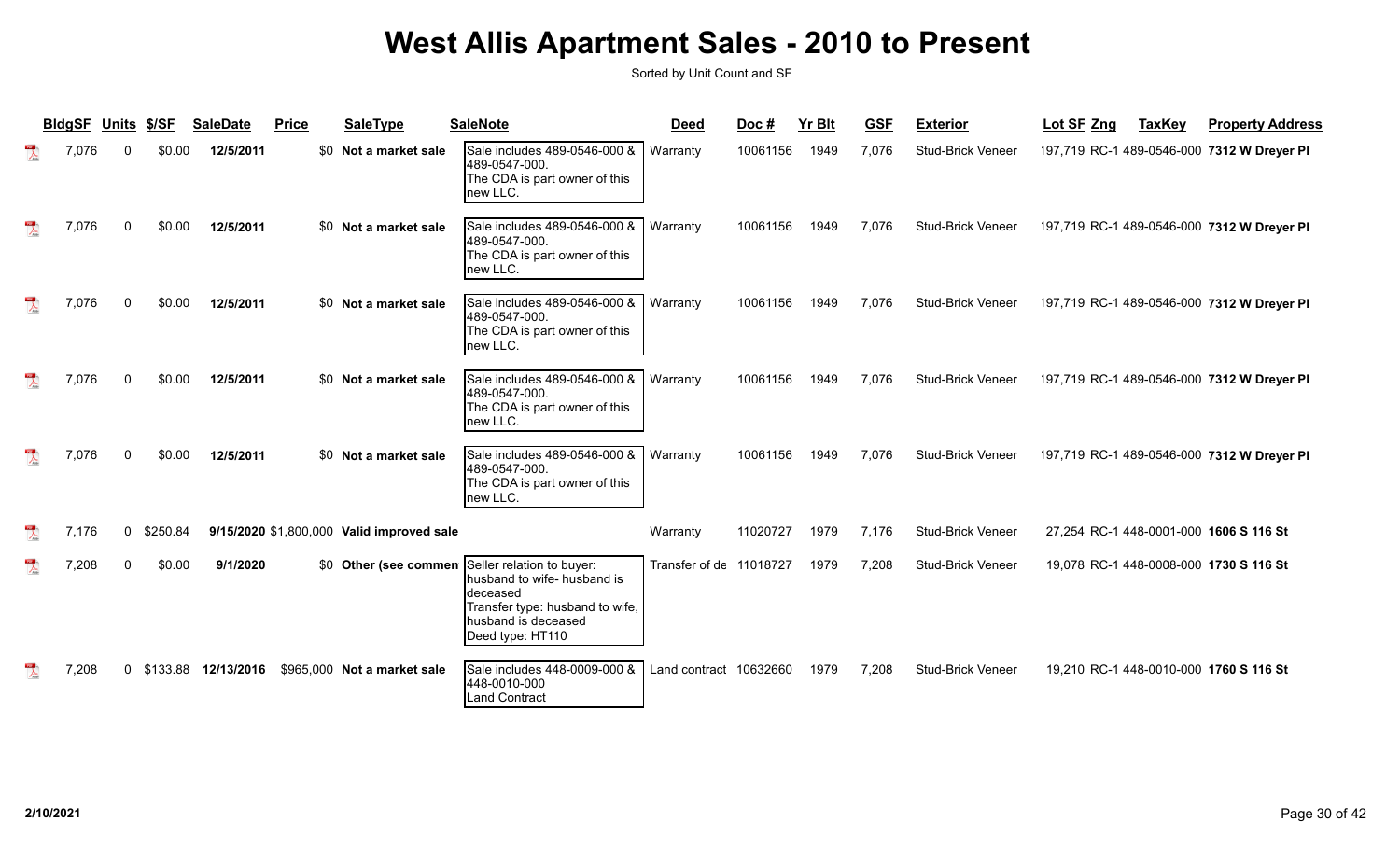| <b>BIdgSF</b> | Units        | \$/SF      | <b>SaleDate</b> | <b>Price</b> | <b>SaleType</b>                           | <b>SaleNote</b>                                                                                                                                                          | <b>Deed</b>             | Doc#     | <b>Yr Blt</b> | <b>GSF</b> | <b>Exterior</b>          | Lot SF Zng | <b>TaxKey</b> | <b>Property Address</b>                    |
|---------------|--------------|------------|-----------------|--------------|-------------------------------------------|--------------------------------------------------------------------------------------------------------------------------------------------------------------------------|-------------------------|----------|---------------|------------|--------------------------|------------|---------------|--------------------------------------------|
| 7,076         |              | \$0.00     | 12/5/2011       | \$0          | Not a market sale                         | Sale includes 489-0546-000 &<br>489-0547-000.<br>The CDA is part owner of this<br>new LLC.                                                                               | Warranty                | 10061156 | 1949          | 7,076      | Stud-Brick Veneer        |            |               | 197,719 RC-1 489-0546-000 7312 W Dreyer PI |
| 7,076         | $\Omega$     | \$0.00     | 12/5/2011       |              | \$0 Not a market sale                     | Sale includes 489-0546-000 &<br>489-0547-000.<br>The CDA is part owner of this<br>new LLC.                                                                               | Warranty                | 10061156 | 1949          | 7.076      | <b>Stud-Brick Veneer</b> |            |               | 197,719 RC-1 489-0546-000 7312 W Dreyer PI |
| 7,076         | 0            | \$0.00     | 12/5/2011       |              | \$0 Not a market sale                     | Sale includes 489-0546-000 &<br>489-0547-000.<br>The CDA is part owner of this<br>Inew LLC.                                                                              | Warranty                | 10061156 | 1949          | 7,076      | <b>Stud-Brick Veneer</b> |            |               | 197,719 RC-1 489-0546-000 7312 W Dreyer PI |
| 7,076         |              | \$0.00     | 12/5/2011       |              | \$0 Not a market sale                     | Sale includes 489-0546-000 &<br>489-0547-000.<br>The CDA is part owner of this<br>Inew LLC.                                                                              | Warranty                | 10061156 | 1949          | 7,076      | <b>Stud-Brick Veneer</b> |            |               | 197,719 RC-1 489-0546-000 7312 W Dreyer PI |
| 7,076         |              | \$0.00     | 12/5/2011       |              | \$0 Not a market sale                     | Sale includes 489-0546-000 &<br>489-0547-000.<br>The CDA is part owner of this<br>new LLC.                                                                               | Warranty                | 10061156 | 1949          | 7,076      | <b>Stud-Brick Veneer</b> |            |               | 197,719 RC-1 489-0546-000 7312 W Dreyer PI |
| 7,176         | 0            | \$250.84   |                 |              | 9/15/2020 \$1,800,000 Valid improved sale |                                                                                                                                                                          | Warranty                | 11020727 | 1979          | 7.176      | Stud-Brick Veneer        |            |               | 27,254 RC-1 448-0001-000 1606 S 116 St     |
| 7,208         | <sup>0</sup> | \$0.00     | 9/1/2020        |              |                                           | \$0 Other (see commen Seller relation to buyer:<br>husband to wife- husband is<br>deceased<br>Transfer type: husband to wife,<br>husband is deceased<br>Deed type: HT110 | Transfer of de 11018727 |          | 1979          | 7,208      | <b>Stud-Brick Veneer</b> |            |               | 19,078 RC-1 448-0008-000 1730 S 116 St     |
| 7,208         |              | 0 \$133.88 | 12/13/2016      |              | \$965,000 Not a market sale               | Sale includes 448-0009-000 &<br>448-0010-000<br>Land Contract                                                                                                            | Land contract 10632660  |          | 1979          | 7,208      | <b>Stud-Brick Veneer</b> |            |               | 19,210 RC-1 448-0010-000 1760 S 116 St     |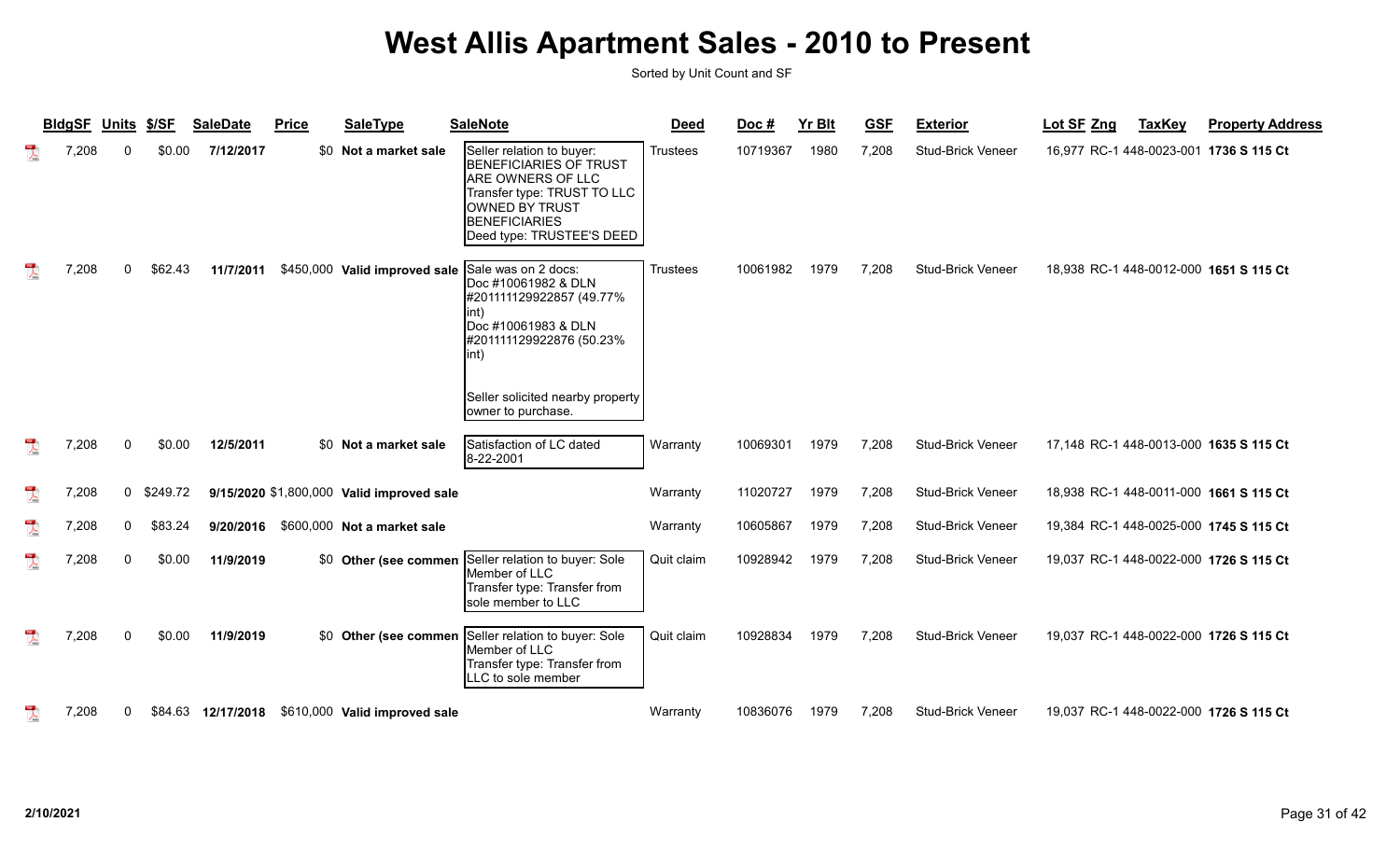|                                      | <b>BIdgSF</b> | Units       | \$/SF    | <b>SaleDate</b>    | <b>Price</b> | <b>SaleType</b>                           | <b>SaleNote</b>                                                                                                                                                                              | <b>Deed</b>     | Doc#     | <b>Yr Blt</b> | <b>GSF</b> | <b>Exterior</b>          | Lot SF Zng                             | <b>TaxKey</b> | <b>Property Address</b> |
|--------------------------------------|---------------|-------------|----------|--------------------|--------------|-------------------------------------------|----------------------------------------------------------------------------------------------------------------------------------------------------------------------------------------------|-----------------|----------|---------------|------------|--------------------------|----------------------------------------|---------------|-------------------------|
| 人                                    | 7,208         | $\Omega$    | \$0.00   | 7/12/2017          |              | \$0 Not a market sale                     | Seller relation to buyer:<br><b>BENEFICIARIES OF TRUST</b><br>ARE OWNERS OF LLC<br>Transfer type: TRUST TO LLC<br><b>OWNED BY TRUST</b><br><b>BENEFICIARIES</b><br>Deed type: TRUSTEE'S DEED | <b>Trustees</b> | 10719367 | 1980          | 7.208      | <b>Stud-Brick Veneer</b> | 16,977 RC-1 448-0023-001 1736 S 115 Ct |               |                         |
|                                      | 7,208         | 0           | \$62.43  | 11/7/2011          |              | \$450,000 Valid improved sale             | Sale was on 2 docs:<br>Doc #10061982 & DLN<br>#201111129922857 (49.77%<br>int)<br>Doc #10061983 & DLN<br> #201111129922876 (50.23%<br>int)                                                   | <b>Trustees</b> | 10061982 | 1979          | 7,208      | <b>Stud-Brick Veneer</b> | 18,938 RC-1 448-0012-000 1651 S 115 Ct |               |                         |
|                                      |               |             |          |                    |              |                                           | Seller solicited nearby property<br>owner to purchase.                                                                                                                                       |                 |          |               |            |                          |                                        |               |                         |
|                                      | 7,208         | 0           | \$0.00   | 12/5/2011          |              | \$0 Not a market sale                     | Satisfaction of LC dated<br>8-22-2001                                                                                                                                                        | Warranty        | 10069301 | 1979          | 7.208      | <b>Stud-Brick Veneer</b> | 17,148 RC-1 448-0013-000 1635 S 115 Ct |               |                         |
| $\overline{\mathbf{r}}$              | 7,208         | $\mathbf 0$ | \$249.72 |                    |              | 9/15/2020 \$1,800,000 Valid improved sale |                                                                                                                                                                                              | Warranty        | 11020727 | 1979          | 7,208      | Stud-Brick Veneer        | 18,938 RC-1 448-0011-000 1661 S 115 Ct |               |                         |
| $\overline{\mathbf{r}}$              | 7,208         | $\mathbf 0$ | \$83.24  | 9/20/2016          |              | \$600,000 Not a market sale               |                                                                                                                                                                                              | Warranty        | 10605867 | 1979          | 7,208      | <b>Stud-Brick Veneer</b> | 19,384 RC-1 448-0025-000 1745 S 115 Ct |               |                         |
| $\frac{105}{\lambda_{\text{total}}}$ | 7,208         | 0           | \$0.00   | 11/9/2019          |              | Other (see commen                         | Seller relation to buyer: Sole<br>Member of LLC<br>Transfer type: Transfer from<br>sole member to LLC                                                                                        | Quit claim      | 10928942 | 1979          | 7,208      | <b>Stud-Brick Veneer</b> | 19,037 RC-1 448-0022-000 1726 S 115 Ct |               |                         |
|                                      | 7,208         | $\mathbf 0$ | \$0.00   | 11/9/2019          |              | \$0 Other (see commen                     | Seller relation to buyer: Sole<br>Member of LLC<br>Transfer type: Transfer from<br>LC to sole member                                                                                         | Quit claim      | 10928834 | 1979          | 7,208      | Stud-Brick Veneer        | 19,037 RC-1 448-0022-000 1726 S 115 Ct |               |                         |
|                                      | 7,208         | 0           |          | \$84.63 12/17/2018 |              | \$610,000 Valid improved sale             |                                                                                                                                                                                              | Warranty        | 10836076 | 1979          | 7,208      | <b>Stud-Brick Veneer</b> | 19,037 RC-1 448-0022-000 1726 S 115 Ct |               |                         |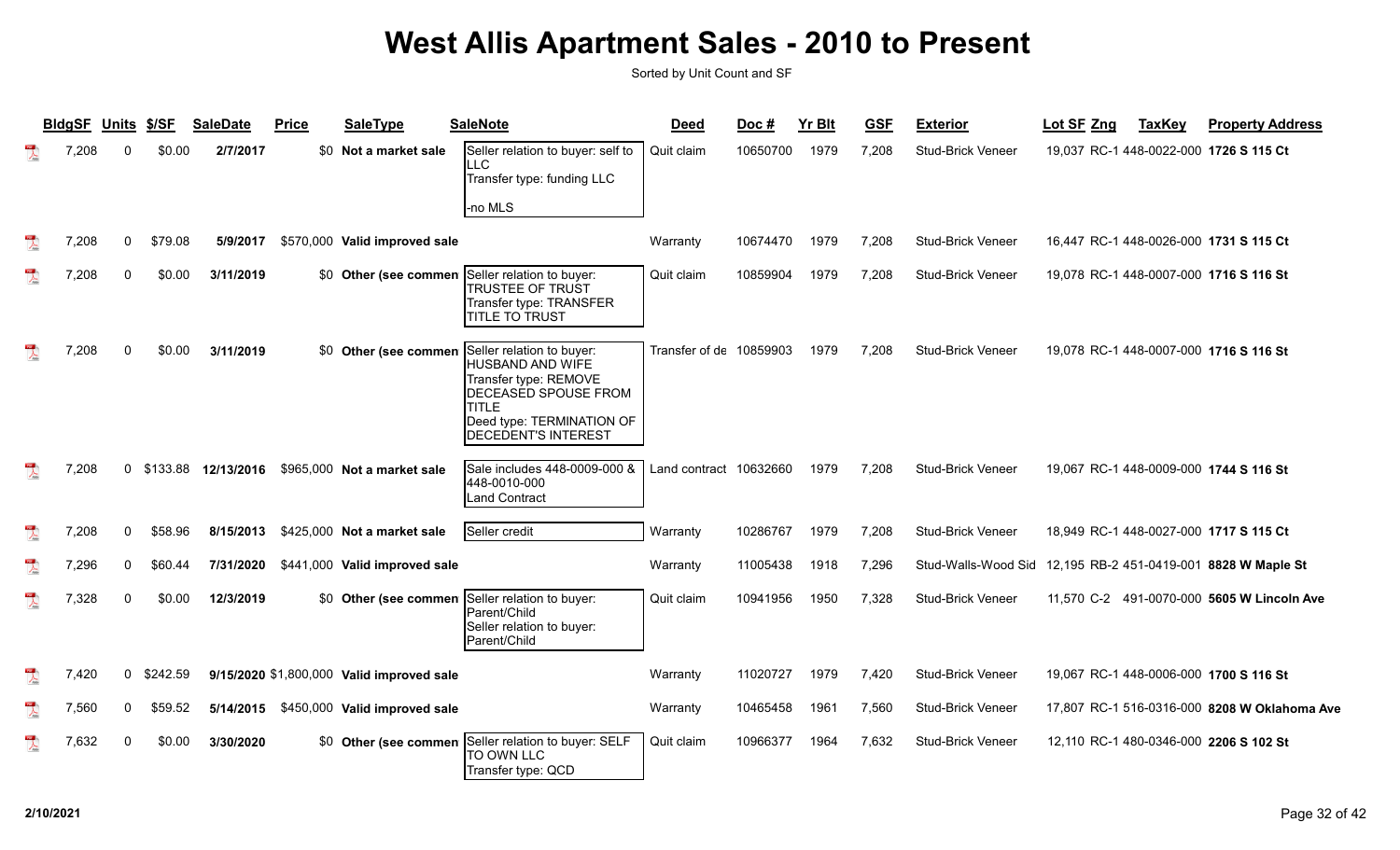|                         | <b>BIdgSF</b> | <b>Units</b> | \$/SF    | <b>SaleDate</b> | <b>Price</b> | <b>SaleType</b>                           | <b>SaleNote</b>                                                                                                                                                     | <b>Deed</b>             | Doc#     | <b>Yr Blt</b> | <b>GSF</b> | <b>Exterior</b>          | Lot SF Zng<br><b>TaxKey</b>                  | <b>Property Address</b> |
|-------------------------|---------------|--------------|----------|-----------------|--------------|-------------------------------------------|---------------------------------------------------------------------------------------------------------------------------------------------------------------------|-------------------------|----------|---------------|------------|--------------------------|----------------------------------------------|-------------------------|
|                         | 7,208         | $\Omega$     | \$0.00   | 2/7/2017        |              | \$0 Not a market sale                     | Seller relation to buyer: self to<br>LLC<br>Transfer type: funding LLC<br>no MLS-                                                                                   | Quit claim              | 10650700 | 1979          | 7,208      | <b>Stud-Brick Veneer</b> | 19,037 RC-1 448-0022-000 1726 S 115 Ct       |                         |
| $\overline{\mathbf{r}}$ | 7,208         | $\mathbf{0}$ | \$79.08  | 5/9/2017        |              | \$570,000 Valid improved sale             |                                                                                                                                                                     | Warranty                | 10674470 | 1979          | 7,208      | <b>Stud-Brick Veneer</b> | 16,447 RC-1 448-0026-000 1731 S 115 Ct       |                         |
| $\mathbb{R}$            | 7,208         | $\Omega$     | \$0.00   | 3/11/2019       |              |                                           | \$0 Other (see commen Seller relation to buyer:<br><b>TRUSTEE OF TRUST</b><br>Transfer type: TRANSFER<br><b>TITLE TO TRUST</b>                                      | Quit claim              | 10859904 | 1979          | 7,208      | Stud-Brick Veneer        | 19,078 RC-1 448-0007-000 1716 S 116 St       |                         |
|                         | 7,208         | $\Omega$     | \$0.00   | 3/11/2019       |              | \$0 Other (see commen                     | Seller relation to buyer:<br>HUSBAND AND WIFE<br>Transfer type: REMOVE<br>DECEASED SPOUSE FROM<br>TITI F<br>Deed type: TERMINATION OF<br><b>DECEDENT'S INTEREST</b> | Transfer of de 10859903 |          | 1979          | 7,208      | <b>Stud-Brick Veneer</b> | 19,078 RC-1 448-0007-000 1716 S 116 St       |                         |
| $\mathbb{R}$            | 7,208         | $\Omega$     | \$133.88 | 12/13/2016      |              | \$965,000 Not a market sale               | Sale includes 448-0009-000 &<br>448-0010-000<br><b>Land Contract</b>                                                                                                | Land contract 10632660  |          | 1979          | 7.208      | <b>Stud-Brick Veneer</b> | 19.067 RC-1 448-0009-000 1744 S 116 St       |                         |
| $\overline{\mathbf{r}}$ | 7,208         | $\mathbf{0}$ | \$58.96  | 8/15/2013       |              | \$425,000 Not a market sale               | Seller credit                                                                                                                                                       | Warranty                | 10286767 | 1979          | 7,208      | <b>Stud-Brick Veneer</b> | 18,949 RC-1 448-0027-000 1717 S 115 Ct       |                         |
| $\overline{\mathbf{r}}$ | 7,296         | $\mathbf{0}$ | \$60.44  | 7/31/2020       |              | \$441,000 Valid improved sale             |                                                                                                                                                                     | Warranty                | 11005438 | 1918          | 7,296      | Stud-Walls-Wood Sid      | 12,195 RB-2 451-0419-001 8828 W Maple St     |                         |
| $\mathbb{R}$            | 7,328         | $\Omega$     | \$0.00   | 12/3/2019       |              | \$0 Other (see commen                     | Seller relation to buyer:<br>Parent/Child<br>Seller relation to buyer:<br>Parent/Child                                                                              | Quit claim              | 10941956 | 1950          | 7,328      | <b>Stud-Brick Veneer</b> | 11,570 C-2 491-0070-000 5605 W Lincoln Ave   |                         |
|                         | 7.420         | $\mathbf{0}$ | \$242.59 |                 |              | 9/15/2020 \$1,800,000 Valid improved sale |                                                                                                                                                                     | Warranty                | 11020727 | 1979          | 7,420      | <b>Stud-Brick Veneer</b> | 19,067 RC-1 448-0006-000 1700 S 116 St       |                         |
| $\overline{\mathbf{r}}$ | 7,560         | 0            | \$59.52  | 5/14/2015       |              | \$450,000 Valid improved sale             |                                                                                                                                                                     | Warranty                | 10465458 | 1961          | 7,560      | Stud-Brick Veneer        | 17,807 RC-1 516-0316-000 8208 W Oklahoma Ave |                         |
| $\mathbb{R}$            | 7,632         | $\Omega$     | \$0.00   | 3/30/2020       |              | \$0 Other (see commen                     | Seller relation to buyer: SELF<br>TO OWN LLC<br>Transfer type: QCD                                                                                                  | Quit claim              | 10966377 | 1964          | 7,632      | <b>Stud-Brick Veneer</b> | 12,110 RC-1 480-0346-000 2206 S 102 St       |                         |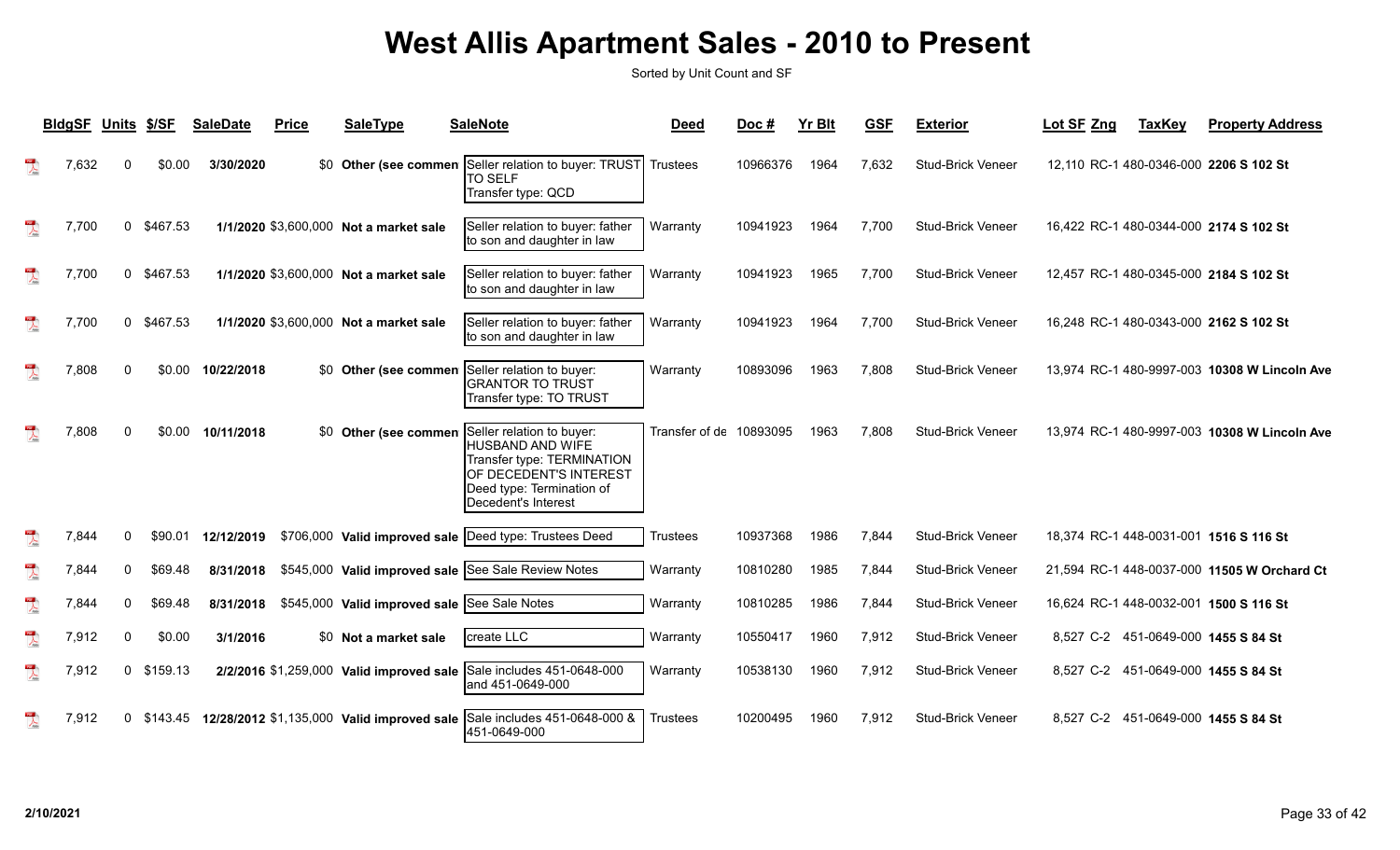|                                                                                                                                                                                                                                                                                                                                                                             | <b>BIdgSF</b> | Units \$/SF  |          | <b>SaleDate</b> | <b>Price</b> | <b>SaleType</b>                              | <b>SaleNote</b>                                                                                                                                           | <b>Deed</b>             | Doc#     | <b>Yr Blt</b> | <b>GSF</b> | <b>Exterior</b>          | Lot SF Zng                             | <b>TaxKey</b> | <b>Property Address</b>                      |
|-----------------------------------------------------------------------------------------------------------------------------------------------------------------------------------------------------------------------------------------------------------------------------------------------------------------------------------------------------------------------------|---------------|--------------|----------|-----------------|--------------|----------------------------------------------|-----------------------------------------------------------------------------------------------------------------------------------------------------------|-------------------------|----------|---------------|------------|--------------------------|----------------------------------------|---------------|----------------------------------------------|
| 人                                                                                                                                                                                                                                                                                                                                                                           | 7,632         | $\Omega$     | \$0.00   | 3/30/2020       |              | \$0 Other (see commen                        | Seller relation to buyer: TRUST<br><b>TO SELF</b><br>Transfer type: QCD                                                                                   | Trustees                | 10966376 | 1964          | 7,632      | <b>Stud-Brick Veneer</b> |                                        |               | 12,110 RC-1 480-0346-000 2206 S 102 St       |
| 閃                                                                                                                                                                                                                                                                                                                                                                           | 7,700         | $\mathbf{0}$ | \$467.53 |                 |              | 1/1/2020 \$3,600,000 Not a market sale       | Seller relation to buyer: father<br>to son and daughter in law                                                                                            | Warranty                | 10941923 | 1964          | 7,700      | <b>Stud-Brick Veneer</b> |                                        |               | 16.422 RC-1 480-0344-000 2174 S 102 St       |
| $\overline{\mathbf{r}}$                                                                                                                                                                                                                                                                                                                                                     | 7,700         | $\mathbf 0$  | \$467.53 |                 |              | 1/1/2020 \$3,600,000 Not a market sale       | Seller relation to buyer: father<br>to son and daughter in law                                                                                            | Warranty                | 10941923 | 1965          | 7,700      | Stud-Brick Veneer        |                                        |               | 12,457 RC-1 480-0345-000 2184 S 102 St       |
| $\overline{\mathbf{r}}$                                                                                                                                                                                                                                                                                                                                                     | 7,700         | $\Omega$     | \$467.53 |                 |              | 1/1/2020 \$3,600,000 Not a market sale       | Seller relation to buyer: father<br>to son and daughter in law                                                                                            | Warranty                | 10941923 | 1964          | 7,700      | <b>Stud-Brick Veneer</b> |                                        |               | 16,248 RC-1 480-0343-000 2162 S 102 St       |
| $\mathbb{R}$                                                                                                                                                                                                                                                                                                                                                                | 7,808         | $\Omega$     | \$0.00   | 10/22/2018      |              | \$0 Other (see commen                        | Seller relation to buyer:<br><b>IGRANTOR TO TRUST</b><br>Transfer type: TO TRUST                                                                          | Warranty                | 10893096 | 1963          | 7,808      | <b>Stud-Brick Veneer</b> |                                        |               | 13,974 RC-1 480-9997-003 10308 W Lincoln Ave |
| $\overline{\mathbf{r}}$                                                                                                                                                                                                                                                                                                                                                     | 7,808         | $\Omega$     | \$0.00   | 10/11/2018      |              | \$0 Other (see commen                        | Seller relation to buyer:<br>HUSBAND AND WIFE<br>Transfer type: TERMINATION<br>OF DECEDENT'S INTEREST<br>Deed type: Termination of<br>Decedent's Interest | Transfer of de 10893095 |          | 1963          | 7,808      | Stud-Brick Veneer        |                                        |               | 13,974 RC-1 480-9997-003 10308 W Lincoln Ave |
| $\overline{\lambda}$                                                                                                                                                                                                                                                                                                                                                        | 7,844         | $\Omega$     | \$90.01  | 12/12/2019      |              |                                              | \$706,000 Valid improved sale Deed type: Trustees Deed                                                                                                    | Trustees                | 10937368 | 1986          | 7.844      | <b>Stud-Brick Veneer</b> | 18,374 RC-1 448-0031-001 1516 S 116 St |               |                                              |
| $\begin{picture}(20,20) \put(0,0){\vector(1,0){10}} \put(15,0){\vector(1,0){10}} \put(15,0){\vector(1,0){10}} \put(15,0){\vector(1,0){10}} \put(15,0){\vector(1,0){10}} \put(15,0){\vector(1,0){10}} \put(15,0){\vector(1,0){10}} \put(15,0){\vector(1,0){10}} \put(15,0){\vector(1,0){10}} \put(15,0){\vector(1,0){10}} \put(15,0){\vector(1,0){10}} \put(15,0){\vector(1$ | 7,844         | $\mathbf{0}$ | \$69.48  | 8/31/2018       |              |                                              | \$545,000 Valid improved sale See Sale Review Notes                                                                                                       | Warranty                | 10810280 | 1985          | 7,844      | <b>Stud-Brick Veneer</b> |                                        |               | 21,594 RC-1 448-0037-000 11505 W Orchard Ct  |
| $\overline{\mathbf{r}}$                                                                                                                                                                                                                                                                                                                                                     | 7,844         | $\Omega$     | \$69.48  | 8/31/2018       |              | \$545,000 Valid improved sale See Sale Notes |                                                                                                                                                           | Warranty                | 10810285 | 1986          | 7,844      | <b>Stud-Brick Veneer</b> | 16,624 RC-1 448-0032-001 1500 S 116 St |               |                                              |
| $\overline{\mathbf{r}}$                                                                                                                                                                                                                                                                                                                                                     | 7,912         | $\Omega$     | \$0.00   | 3/1/2016        |              | \$0 Not a market sale                        | create LLC                                                                                                                                                | Warranty                | 10550417 | 1960          | 7,912      | Stud-Brick Veneer        |                                        |               | 8,527 C-2 451-0649-000 1455 S 84 St          |
| $\mathbb{R}$                                                                                                                                                                                                                                                                                                                                                                | 7,912         | $\Omega$     | \$159.13 |                 |              | 2/2/2016 \$1,259,000 Valid improved sale     | Sale includes 451-0648-000<br>and 451-0649-000                                                                                                            | Warranty                | 10538130 | 1960          | 7,912      | Stud-Brick Veneer        |                                        |               | 8,527 C-2 451-0649-000 1455 S 84 St          |
| 쀗                                                                                                                                                                                                                                                                                                                                                                           | 7,912         | $\mathbf{0}$ | \$143.45 |                 |              | 12/28/2012 \$1,135,000 Valid improved sale   | Sale includes 451-0648-000 &<br>451-0649-000                                                                                                              | <b>Trustees</b>         | 10200495 | 1960          | 7,912      | <b>Stud-Brick Veneer</b> |                                        |               | 8,527 C-2 451-0649-000 1455 S 84 St          |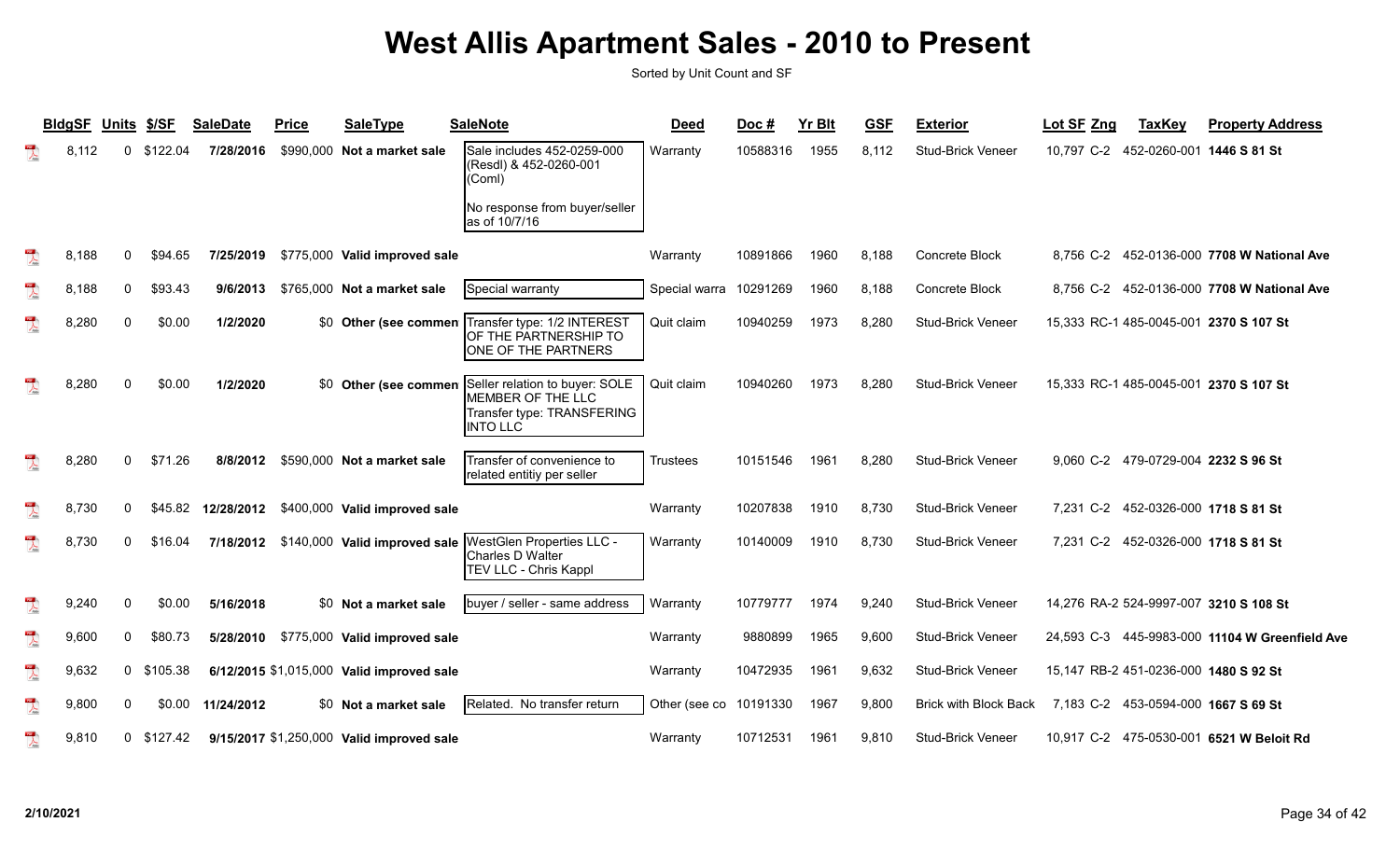|                                                                                                                                                                                                                                                                                                                                                                                                                             | <b>BldgSF</b> | Units       | \$/SF        | <b>SaleDate</b> | <b>Price</b> | <b>SaleType</b>                           | <b>SaleNote</b>                                                                                                            | <b>Deed</b>   | Doc#     | <b>Yr Blt</b> | <b>GSF</b> | <b>Exterior</b>              | Lot SF Zng<br><b>TaxKey</b>                    | <b>Property Address</b>          |
|-----------------------------------------------------------------------------------------------------------------------------------------------------------------------------------------------------------------------------------------------------------------------------------------------------------------------------------------------------------------------------------------------------------------------------|---------------|-------------|--------------|-----------------|--------------|-------------------------------------------|----------------------------------------------------------------------------------------------------------------------------|---------------|----------|---------------|------------|------------------------------|------------------------------------------------|----------------------------------|
| $\mathbb{R}$                                                                                                                                                                                                                                                                                                                                                                                                                | 8,112         | 0           | \$122.04     | 7/28/2016       |              | \$990,000 Not a market sale               | Sale includes 452-0259-000<br>(Resdl) & 452-0260-001<br>(Coml)                                                             | Warranty      | 10588316 | 1955          | 8,112      | Stud-Brick Veneer            | 10,797 C-2<br>452-0260-001 1446 S 81 St        |                                  |
|                                                                                                                                                                                                                                                                                                                                                                                                                             |               |             |              |                 |              |                                           | No response from buyer/seller<br>as of 10/7/16                                                                             |               |          |               |            |                              |                                                |                                  |
| $\lambda$                                                                                                                                                                                                                                                                                                                                                                                                                   | 8,188         | 0           | \$94.65      | 7/25/2019       |              | \$775,000 Valid improved sale             |                                                                                                                            | Warranty      | 10891866 | 1960          | 8,188      | Concrete Block               | 8,756 C-2                                      | 452-0136-000 7708 W National Ave |
| $\overline{\mathbf{r}}$                                                                                                                                                                                                                                                                                                                                                                                                     | 8,188         | 0           | \$93.43      | 9/6/2013        |              | \$765,000 Not a market sale               | Special warranty                                                                                                           | Special warra | 10291269 | 1960          | 8,188      | Concrete Block               | 8,756 C-2                                      | 452-0136-000 7708 W National Ave |
| $\lambda$                                                                                                                                                                                                                                                                                                                                                                                                                   | 8,280         | 0           | \$0.00       | 1/2/2020        |              | \$0 Other (see commen                     | Transfer type: 1/2 INTEREST<br>OF THE PARTNERSHIP TO<br>ONE OF THE PARTNERS                                                | Quit claim    | 10940259 | 1973          | 8,280      | <b>Stud-Brick Veneer</b>     | 15,333 RC-1 485-0045-001 2370 S 107 St         |                                  |
| $\mathbb{R}$                                                                                                                                                                                                                                                                                                                                                                                                                | 8,280         | $\mathbf 0$ | \$0.00       | 1/2/2020        |              |                                           | \$0 Other (see commen Seller relation to buyer: SOLE<br>MEMBER OF THE LLC<br>Transfer type: TRANSFERING<br><b>INTO LLC</b> | Quit claim    | 10940260 | 1973          | 8,280      | Stud-Brick Veneer            | 15,333 RC-1 485-0045-001 2370 S 107 St         |                                  |
|                                                                                                                                                                                                                                                                                                                                                                                                                             | 8,280         | 0           | \$71.26      | 8/8/2012        |              | \$590,000 Not a market sale               | Transfer of convenience to<br>related entitiy per seller                                                                   | Trustees      | 10151546 | 1961          | 8,280      | Stud-Brick Veneer            | 9,060 C-2 479-0729-004 2232 S 96 St            |                                  |
| $\sum_{i=1}^{100}$                                                                                                                                                                                                                                                                                                                                                                                                          | 8,730         | 0           | \$45.82      | 12/28/2012      |              | \$400,000 Valid improved sale             |                                                                                                                            | Warranty      | 10207838 | 1910          | 8,730      | <b>Stud-Brick Veneer</b>     | 7,231 C-2<br>452-0326-000 1718 S 81 St         |                                  |
| $\overline{\mathbf{r}}$                                                                                                                                                                                                                                                                                                                                                                                                     | 8,730         | 0           | \$16.04      | 7/18/2012       |              | \$140,000 Valid improved sale             | WestGlen Properties LLC -<br>Charles D Walter<br>TEV LLC - Chris Kappl                                                     | Warranty      | 10140009 | 1910          | 8,730      | <b>Stud-Brick Veneer</b>     | 7,231 C-2<br>452-0326-000 1718 S 81 St         |                                  |
| $\overline{\mathbf{r}}$                                                                                                                                                                                                                                                                                                                                                                                                     | 9,240         | 0           | \$0.00       | 5/16/2018       |              | \$0 Not a market sale                     | buyer / seller - same address                                                                                              | Warranty      | 10779777 | 1974          | 9,240      | <b>Stud-Brick Veneer</b>     | 14,276 RA-2 524-9997-007 3210 S 108 St         |                                  |
| $\begin{array}{c} \mathbf{1} \mathbf{1} \mathbf{1} \mathbf{1} \mathbf{1} \mathbf{1} \mathbf{1} \mathbf{1} \mathbf{1} \mathbf{1} \mathbf{1} \mathbf{1} \mathbf{1} \mathbf{1} \mathbf{1} \mathbf{1} \mathbf{1} \mathbf{1} \mathbf{1} \mathbf{1} \mathbf{1} \mathbf{1} \mathbf{1} \mathbf{1} \mathbf{1} \mathbf{1} \mathbf{1} \mathbf{1} \mathbf{1} \mathbf{1} \mathbf{1} \mathbf{1} \mathbf{1} \mathbf{1} \mathbf{1} \mathbf$ | 9,600         | 0           | \$80.73      | 5/28/2010       |              | \$775,000 Valid improved sale             |                                                                                                                            | Warranty      | 9880899  | 1965          | 9,600      | <b>Stud-Brick Veneer</b>     | 24,593 C-3 445-9983-000 11104 W Greenfield Ave |                                  |
| $\overline{\mathbf{r}}$                                                                                                                                                                                                                                                                                                                                                                                                     | 9,632         | 0           | \$105.38     |                 |              | 6/12/2015 \$1,015,000 Valid improved sale |                                                                                                                            | Warranty      | 10472935 | 1961          | 9,632      | <b>Stud-Brick Veneer</b>     | 15.147 RB-2 451-0236-000 1480 S 92 St          |                                  |
| $\overline{\mathcal{L}}$                                                                                                                                                                                                                                                                                                                                                                                                    | 9,800         | 0           | \$0.00       | 11/24/2012      |              | \$0 Not a market sale                     | Related. No transfer return                                                                                                | Other (see co | 10191330 | 1967          | 9,800      | <b>Brick with Block Back</b> | 7,183 C-2 453-0594-000 1667 S 69 St            |                                  |
| $\mathbb{R}$                                                                                                                                                                                                                                                                                                                                                                                                                | 9,810         |             | $0$ \$127.42 |                 |              | 9/15/2017 \$1,250,000 Valid improved sale |                                                                                                                            | Warranty      | 10712531 | 1961          | 9.810      | <b>Stud-Brick Veneer</b>     | 10,917 C-2 475-0530-001 6521 W Beloit Rd       |                                  |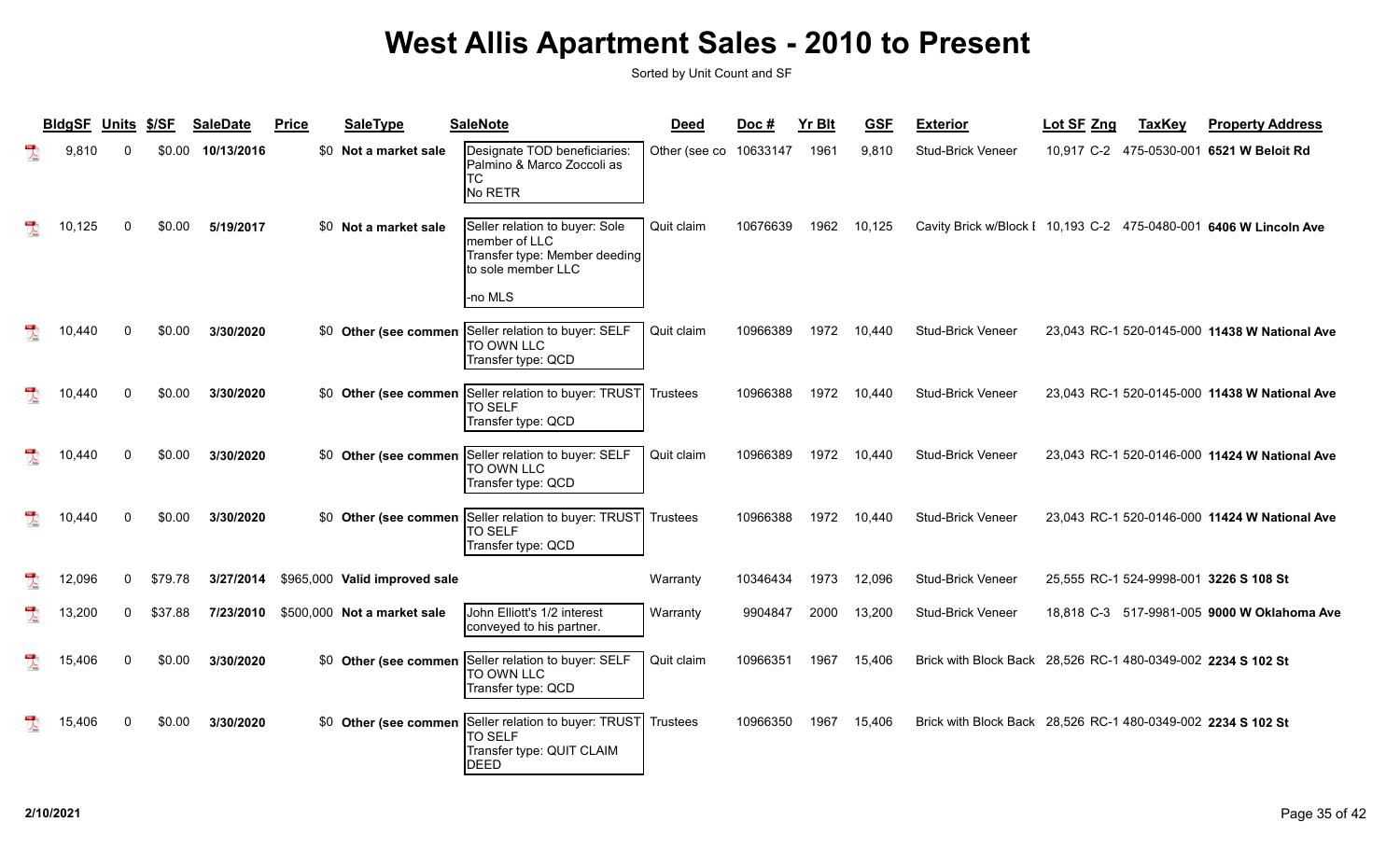| <b>BldgSF</b> | Units    | \$/SF   | <b>SaleDate</b> | <b>Price</b> | <b>SaleType</b>               | <b>SaleNote</b>                                                                                                    | <b>Deed</b>     | Doc#     | <b>Yr Blt</b> | <b>GSF</b> | <b>Exterior</b>                                                   | Lot SF Zng | <b>TaxKey</b> | <b>Property Address</b>                       |
|---------------|----------|---------|-----------------|--------------|-------------------------------|--------------------------------------------------------------------------------------------------------------------|-----------------|----------|---------------|------------|-------------------------------------------------------------------|------------|---------------|-----------------------------------------------|
| 9,810         |          | \$0.00  | 10/13/2016      |              | \$0 Not a market sale         | Designate TOD beneficiaries:<br>Palmino & Marco Zoccoli as<br>ТC<br>No RETR                                        | Other (see co   | 10633147 | 1961          | 9,810      | <b>Stud-Brick Veneer</b>                                          |            |               | 10,917 C-2 475-0530-001 6521 W Beloit Rd      |
| 10,125        |          | \$0.00  | 5/19/2017       |              | \$0 Not a market sale         | Seller relation to buyer: Sole<br>member of LLC<br>Transfer type: Member deeding<br>to sole member LLC<br>l-no MLS | Quit claim      | 10676639 | 1962          | 10,125     | Cavity Brick w/Block I 10,193 C-2 475-0480-001 6406 W Lincoln Ave |            |               |                                               |
| 10.440        |          | \$0.00  | 3/30/2020       |              | \$0 Other (see commen         | Seller relation to buyer: SELF<br>TO OWN LLC<br>Transfer type: QCD                                                 | Quit claim      | 10966389 | 1972          | 10,440     | <b>Stud-Brick Veneer</b>                                          |            |               | 23,043 RC-1 520-0145-000 11438 W National Ave |
| 10,440        |          | \$0.00  | 3/30/2020       |              | \$0 Other (see commen         | Seller relation to buyer: TRUST<br>TO SELF<br>Transfer type: QCD                                                   | Trustees        | 10966388 | 1972          | 10,440     | <b>Stud-Brick Veneer</b>                                          |            |               | 23,043 RC-1 520-0145-000 11438 W National Ave |
| 10.440        |          | \$0.00  | 3/30/2020       |              | \$0 Other (see commen         | Seller relation to buyer: SELF<br>TO OWN LLC<br>Transfer type: QCD                                                 | Quit claim      | 10966389 | 1972          | 10,440     | <b>Stud-Brick Veneer</b>                                          |            |               | 23,043 RC-1 520-0146-000 11424 W National Ave |
| 10.440        |          | \$0.00  | 3/30/2020       |              | \$0 Other (see commen         | Seller relation to buyer: TRUST<br>TO SELF<br>Transfer type: QCD                                                   | Trustees        | 10966388 | 1972          | 10,440     | Stud-Brick Veneer                                                 |            |               | 23,043 RC-1 520-0146-000 11424 W National Ave |
| 12,096        | 0        | \$79.78 | 3/27/2014       |              | \$965,000 Valid improved sale |                                                                                                                    | Warranty        | 10346434 | 1973          | 12,096     | Stud-Brick Veneer                                                 |            |               | 25,555 RC-1 524-9998-001 3226 S 108 St        |
| 13,200        | $\Omega$ | \$37.88 | 7/23/2010       |              | \$500,000 Not a market sale   | John Elliott's 1/2 interest<br>conveyed to his partner.                                                            | Warranty        | 9904847  | 2000          | 13,200     | <b>Stud-Brick Veneer</b>                                          |            |               | 18,818 C-3 517-9981-005 9000 W Oklahoma Ave   |
| 15,406        |          | \$0.00  | 3/30/2020       |              | \$0 Other (see commen         | Seller relation to buyer: SELF<br>TO OWN LLC<br>Transfer type: QCD                                                 | Quit claim      | 10966351 | 1967          | 15,406     | Brick with Block Back 28,526 RC-1 480-0349-002 2234 S 102 St      |            |               |                                               |
| 15.406        |          | \$0.00  | 3/30/2020       |              | \$0 Other (see commen         | Seller relation to buyer: TRUST<br><b>TO SELF</b><br>Transfer type: QUIT CLAIM<br>DEED                             | <b>Trustees</b> | 10966350 | 1967          | 15,406     | Brick with Block Back 28,526 RC-1 480-0349-002 2234 S 102 St      |            |               |                                               |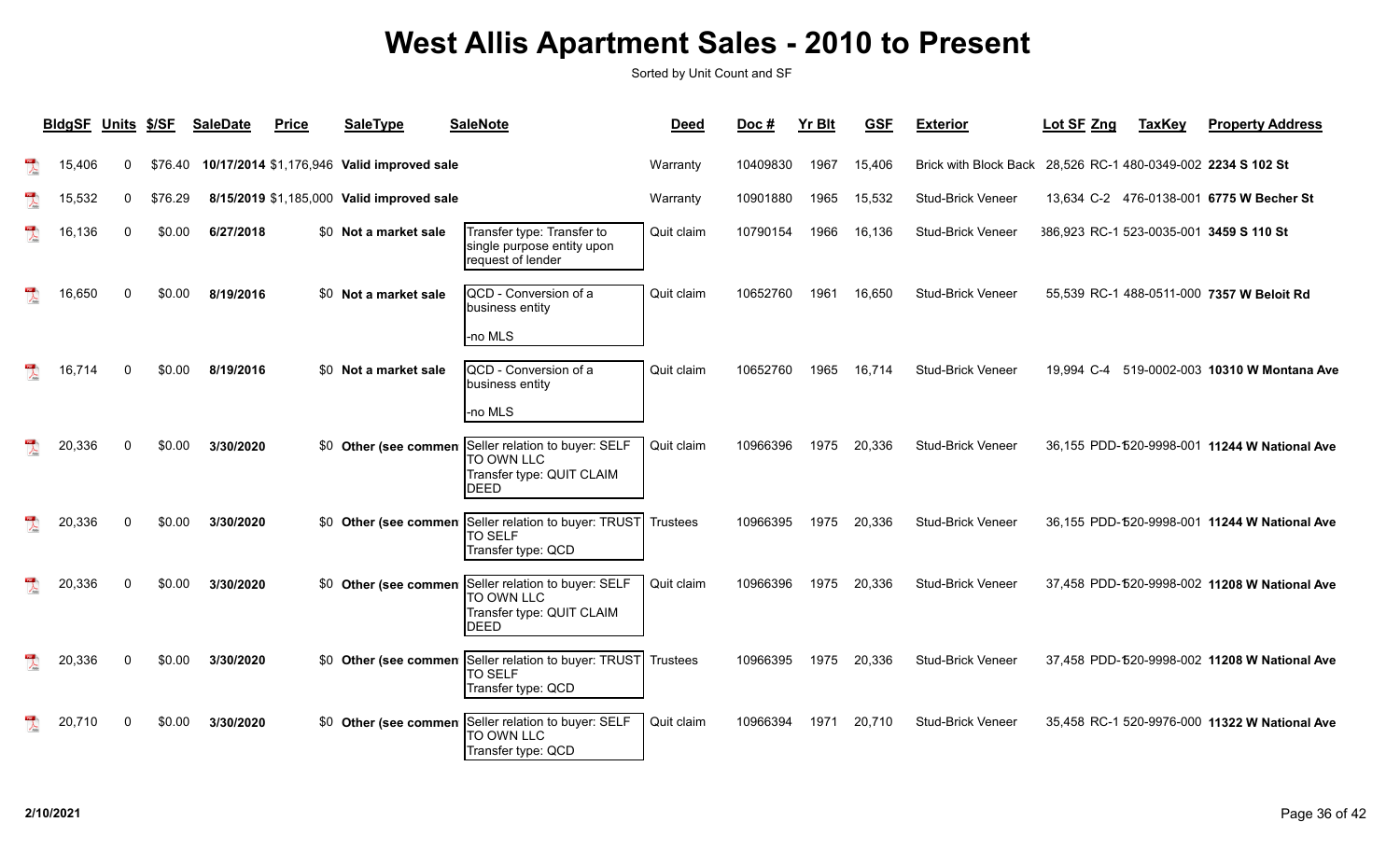| <b>BIdgSF</b> | <b>Units</b> | \$/SF   | <b>SaleDate</b> | <b>Price</b> | <b>SaleType</b>                            | <b>SaleNote</b>                                                                          | <b>Deed</b> | Doc#     | <b>Yr Blt</b> | <b>GSF</b> | <b>Exterior</b>              | Lot SF Zng | <b>TaxKey</b> | <b>Property Address</b>                       |
|---------------|--------------|---------|-----------------|--------------|--------------------------------------------|------------------------------------------------------------------------------------------|-------------|----------|---------------|------------|------------------------------|------------|---------------|-----------------------------------------------|
| 15.406        | 0            | \$76.40 |                 |              | 10/17/2014 \$1,176,946 Valid improved sale |                                                                                          | Warranty    | 10409830 | 1967          | 15,406     | <b>Brick with Block Back</b> |            |               | 28,526 RC-1 480-0349-002 2234 S 102 St        |
| 15,532        | 0            | \$76.29 |                 |              | 8/15/2019 \$1,185,000 Valid improved sale  |                                                                                          | Warranty    | 10901880 | 1965          | 15,532     | Stud-Brick Veneer            |            |               | 13,634 C-2 476-0138-001 6775 W Becher St      |
| 16,136        |              | \$0.00  | 6/27/2018       |              | \$0 Not a market sale                      | Transfer type: Transfer to<br>single purpose entity upon<br>request of lender            | Quit claim  | 10790154 | 1966          | 16,136     | Stud-Brick Veneer            |            |               | 386,923 RC-1 523-0035-001 3459 S 110 St       |
| 16.650        |              | \$0.00  | 8/19/2016       |              | \$0 Not a market sale                      | QCD - Conversion of a<br>business entity                                                 | Quit claim  | 10652760 | 1961          | 16.650     | <b>Stud-Brick Veneer</b>     |            |               | 55,539 RC-1 488-0511-000 7357 W Beloit Rd     |
|               |              |         |                 |              |                                            | no MLS                                                                                   |             |          |               |            |                              |            |               |                                               |
| 16,714        |              | \$0.00  | 8/19/2016       |              | \$0 Not a market sale                      | QCD - Conversion of a<br>business entity                                                 | Quit claim  | 10652760 | 1965          | 16,714     | <b>Stud-Brick Veneer</b>     | 19.994 C-4 |               | 519-0002-003 10310 W Montana Ave              |
|               |              |         |                 |              |                                            | -no MLS                                                                                  |             |          |               |            |                              |            |               |                                               |
| 20,336        | ∩            | \$0.00  | 3/30/2020       |              | \$0 Other (see commen                      | Seller relation to buyer: SELF<br>TO OWN LLC<br>Transfer type: QUIT CLAIM<br><b>DEED</b> | Quit claim  | 10966396 | 1975          | 20,336     | Stud-Brick Veneer            |            |               | 36,155 PDD-520-9998-001 11244 W National Ave  |
| 20,336        |              | \$0.00  | 3/30/2020       |              | \$0 Other (see commen                      | Seller relation to buyer: TRUST<br><b>TO SELF</b><br>Transfer type: QCD                  | Trustees    | 10966395 | 1975          | 20,336     | Stud-Brick Veneer            |            |               | 36,155 PDD-520-9998-001 11244 W National Ave  |
| 20,336        | ∩            | \$0.00  | 3/30/2020       |              | \$0 Other (see commen                      | Seller relation to buyer: SELF<br>TO OWN LLC<br>Transfer type: QUIT CLAIM<br>DEED        | Quit claim  | 10966396 | 1975          | 20,336     | Stud-Brick Veneer            |            |               | 37,458 PDD-520-9998-002 11208 W National Ave  |
| 20,336        |              | \$0.00  | 3/30/2020       |              | \$0 Other (see commen                      | Seller relation to buyer: TRUST Trustees<br><b>TO SELF</b><br>Transfer type: QCD         |             | 10966395 | 1975          | 20,336     | Stud-Brick Veneer            |            |               | 37,458 PDD-520-9998-002 11208 W National Ave  |
| 20,710        | ∩            | \$0.00  | 3/30/2020       |              | \$0 Other (see commen                      | Seller relation to buyer: SELF<br>TO OWN LLC<br>Transfer type: QCD                       | Quit claim  | 10966394 | 1971          | 20,710     | <b>Stud-Brick Veneer</b>     |            |               | 35,458 RC-1 520-9976-000 11322 W National Ave |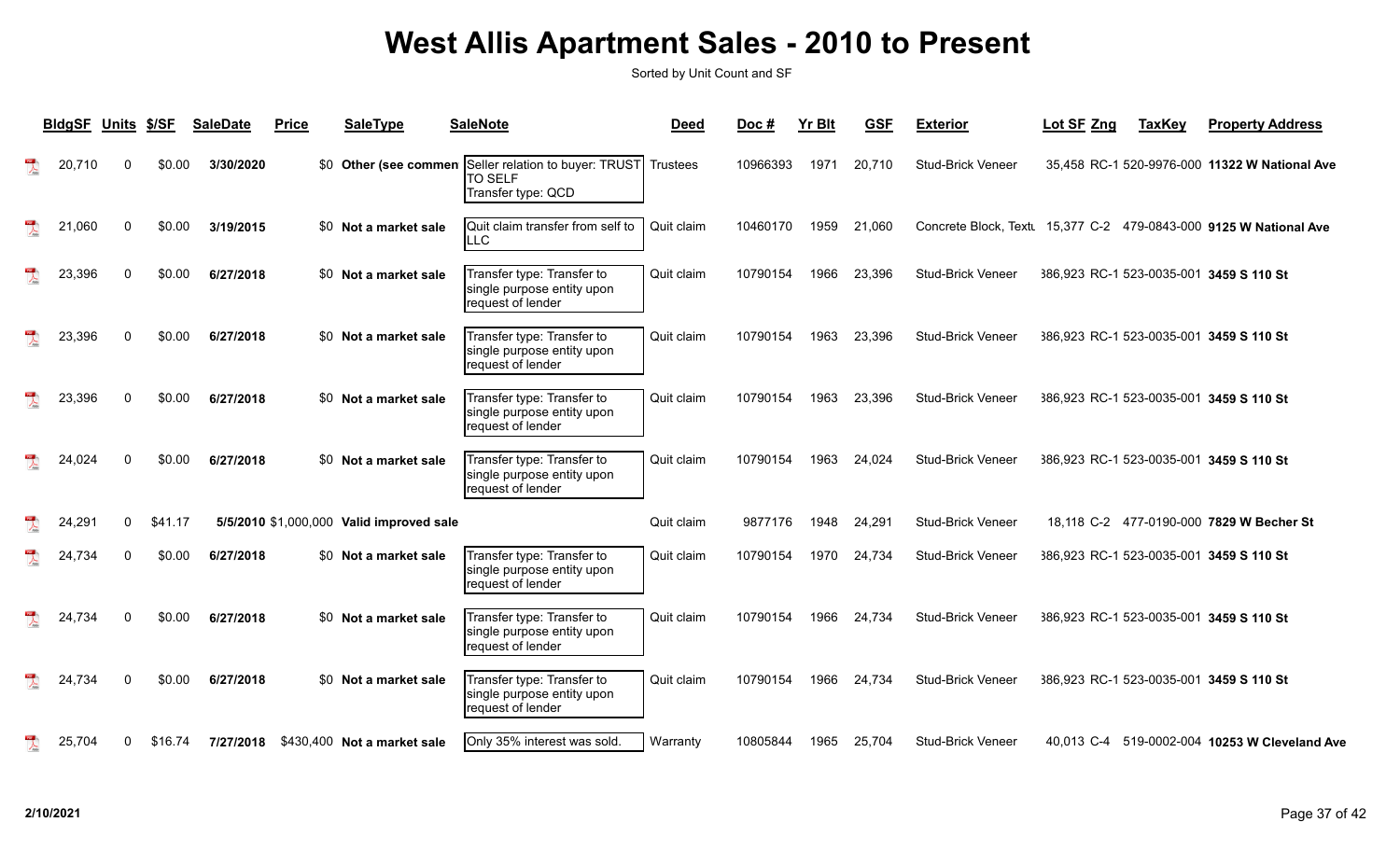| <b>BIdgSF</b> | Units        | \$/SF   | <b>SaleDate</b> | <b>Price</b> | <b>SaleType</b>                          | <b>SaleNote</b>                                                                               | <b>Deed</b> | Doc #    | <b>Yr Blt</b> | <b>GSF</b> | <b>Exterior</b>          | Lot SF Zng                              | <b>TaxKey</b> | <b>Property Address</b>                                             |
|---------------|--------------|---------|-----------------|--------------|------------------------------------------|-----------------------------------------------------------------------------------------------|-------------|----------|---------------|------------|--------------------------|-----------------------------------------|---------------|---------------------------------------------------------------------|
| 20,710        | 0            | \$0.00  | 3/30/2020       |              |                                          | \$0 Other (see commen Seller relation to buyer: TRUST<br><b>TO SELF</b><br>Transfer type: QCD | Trustees    | 10966393 | 1971          | 20,710     | <b>Stud-Brick Veneer</b> |                                         |               | 35,458 RC-1 520-9976-000 11322 W National Ave                       |
| 21,060        | $\mathbf{0}$ | \$0.00  | 3/19/2015       |              | \$0 Not a market sale                    | Quit claim transfer from self to<br>LLC                                                       | Quit claim  | 10460170 | 1959          | 21,060     |                          |                                         |               | Concrete Block, Text  15,377 C-2  479-0843-000  9125 W National Ave |
| 23,396        | $\mathbf{0}$ | \$0.00  | 6/27/2018       |              | \$0 Not a market sale                    | Transfer type: Transfer to<br>single purpose entity upon<br>request of lender                 | Quit claim  | 10790154 | 1966          | 23,396     | <b>Stud-Brick Veneer</b> | 386,923 RC-1 523-0035-001 3459 S 110 St |               |                                                                     |
| 23,396        | $\Omega$     | \$0.00  | 6/27/2018       |              | \$0 Not a market sale                    | Transfer type: Transfer to<br>single purpose entity upon<br>request of lender                 | Quit claim  | 10790154 | 1963          | 23,396     | <b>Stud-Brick Veneer</b> | 386.923 RC-1 523-0035-001 3459 S 110 St |               |                                                                     |
| 23,396        | 0            | \$0.00  | 6/27/2018       |              | \$0 Not a market sale                    | Transfer type: Transfer to<br>single purpose entity upon<br>request of lender                 | Quit claim  | 10790154 | 1963          | 23,396     | <b>Stud-Brick Veneer</b> | 386.923 RC-1 523-0035-001 3459 S 110 St |               |                                                                     |
| 24,024        | $\mathbf{0}$ | \$0.00  | 6/27/2018       |              | \$0 Not a market sale                    | Transfer type: Transfer to<br>single purpose entity upon<br>request of lender                 | Quit claim  | 10790154 | 1963          | 24,024     | Stud-Brick Veneer        | 386,923 RC-1 523-0035-001 3459 S 110 St |               |                                                                     |
| 24,291        | 0            | \$41.17 |                 |              | 5/5/2010 \$1,000,000 Valid improved sale |                                                                                               | Quit claim  | 9877176  | 1948          | 24,291     | <b>Stud-Brick Veneer</b> |                                         |               | 18,118 C-2 477-0190-000 7829 W Becher St                            |
| 24,734        | 0            | \$0.00  | 6/27/2018       |              | \$0 Not a market sale                    | Transfer type: Transfer to<br>single purpose entity upon<br>request of lender                 | Quit claim  | 10790154 | 1970          | 24,734     | <b>Stud-Brick Veneer</b> | 386.923 RC-1 523-0035-001 3459 S 110 St |               |                                                                     |
| 24,734        | 0            | \$0.00  | 6/27/2018       |              | \$0 Not a market sale                    | Transfer type: Transfer to<br>single purpose entity upon<br>request of lender                 | Quit claim  | 10790154 | 1966          | 24,734     | <b>Stud-Brick Veneer</b> | 386,923 RC-1 523-0035-001 3459 S 110 St |               |                                                                     |
| 24,734        | $\Omega$     | \$0.00  | 6/27/2018       |              | \$0 Not a market sale                    | Transfer type: Transfer to<br>single purpose entity upon<br>request of lender                 | Quit claim  | 10790154 | 1966          | 24,734     | <b>Stud-Brick Veneer</b> | 386,923 RC-1 523-0035-001 3459 S 110 St |               |                                                                     |
| 25,704        | 0            | \$16.74 |                 |              | 7/27/2018 \$430,400 Not a market sale    | Only 35% interest was sold.                                                                   | Warranty    | 10805844 | 1965          | 25,704     | <b>Stud-Brick Veneer</b> |                                         |               | 40,013 C-4 519-0002-004 10253 W Cleveland Ave                       |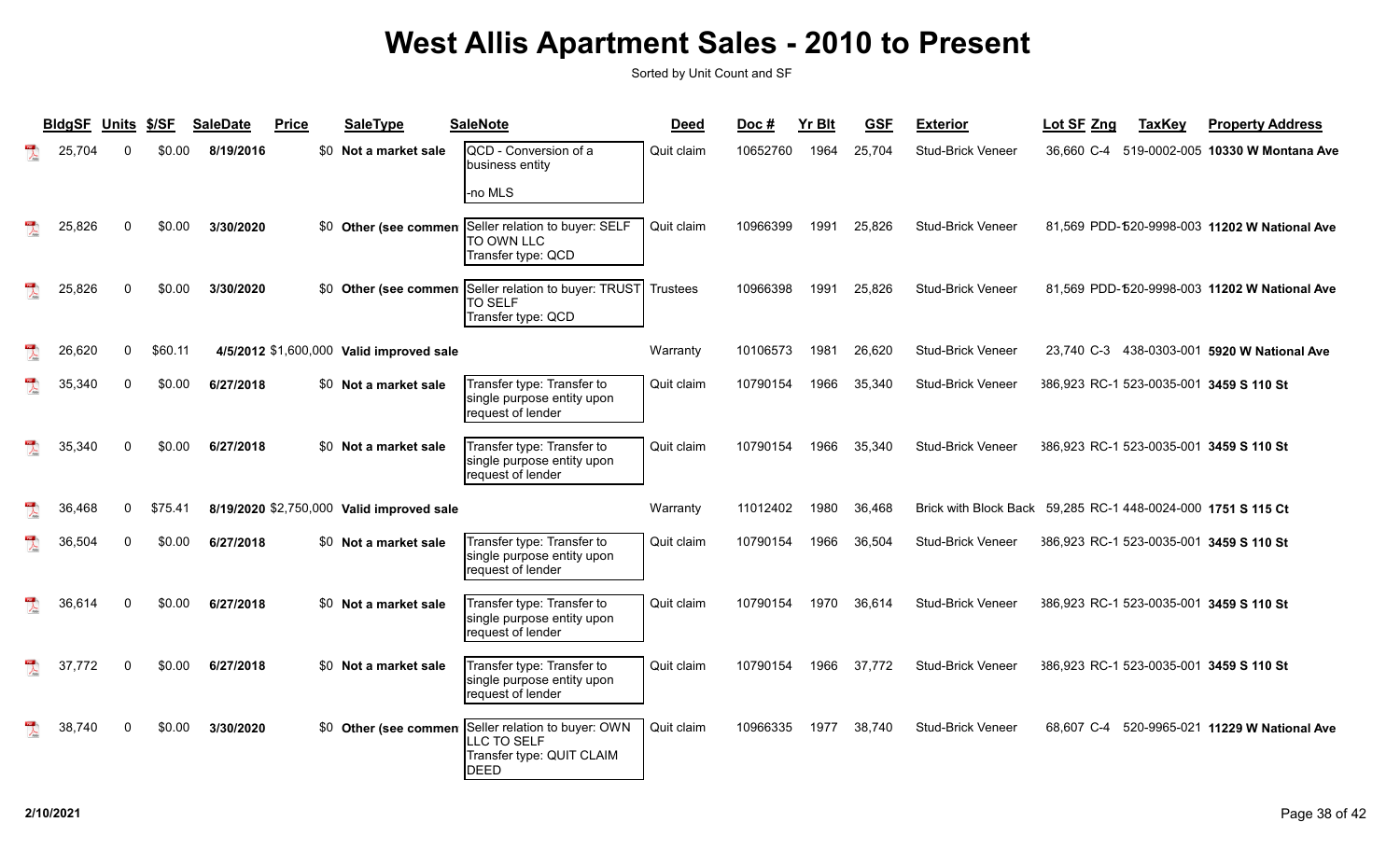| <b>BldgSF</b> | <b>Units</b> | \$/SF   | <b>SaleDate</b> | <b>Price</b> | <b>SaleType</b>                           | <b>SaleNote</b>                                                                          | <b>Deed</b>     | Doc#     | Yr Blt | <b>GSF</b> | <b>Exterior</b>          | Lot SF Zng | <b>TaxKey</b> | <b>Property Address</b>                      |
|---------------|--------------|---------|-----------------|--------------|-------------------------------------------|------------------------------------------------------------------------------------------|-----------------|----------|--------|------------|--------------------------|------------|---------------|----------------------------------------------|
| 25,704        |              | \$0.00  | 8/19/2016       |              | \$0 Not a market sale                     | QCD - Conversion of a<br>business entity                                                 | Quit claim      | 10652760 | 1964   | 25,704     | Stud-Brick Veneer        | 36.660 C-4 |               | 519-0002-005 10330 W Montana Ave             |
|               |              |         |                 |              |                                           | -no MLS                                                                                  |                 |          |        |            |                          |            |               |                                              |
| 25,826        |              | \$0.00  | 3/30/2020       |              | \$0 Other (see commen                     | Seller relation to buyer: SELF<br>TO OWN LLC<br>Transfer type: QCD                       | Quit claim      | 10966399 | 1991   | 25,826     | <b>Stud-Brick Veneer</b> |            |               | 81,569 PDD-520-9998-003 11202 W National Ave |
| 25,826        |              | \$0.00  | 3/30/2020       |              | \$0 Other (see commen                     | Seller relation to buyer: TRUST<br><b>TO SELF</b><br>Transfer type: QCD                  | <b>Trustees</b> | 10966398 | 1991   | 25,826     | <b>Stud-Brick Veneer</b> |            |               | 81,569 PDD-520-9998-003 11202 W National Ave |
| 26,620        | $\mathbf{0}$ | \$60.11 |                 |              | 4/5/2012 \$1,600,000 Valid improved sale  |                                                                                          | Warranty        | 10106573 | 1981   | 26,620     | Stud-Brick Veneer        | 23.740 C-3 |               | 438-0303-001 5920 W National Ave             |
| 35,340        | $\Omega$     | \$0.00  | 6/27/2018       |              | \$0 Not a market sale                     | Transfer type: Transfer to<br>single purpose entity upon<br>request of lender            | Quit claim      | 10790154 | 1966   | 35,340     | <b>Stud-Brick Veneer</b> |            |               | 386,923 RC-1 523-0035-001 3459 S 110 St      |
| 35,340        |              | \$0.00  | 6/27/2018       |              | \$0 Not a market sale                     | Transfer type: Transfer to<br>single purpose entity upon<br>request of lender            | Quit claim      | 10790154 | 1966   | 35,340     | <b>Stud-Brick Veneer</b> |            |               | 386,923 RC-1 523-0035-001 3459 S 110 St      |
| 36,468        | $\Omega$     | \$75.41 |                 |              | 8/19/2020 \$2,750,000 Valid improved sale |                                                                                          | Warranty        | 11012402 | 1980   | 36,468     | Brick with Block Back    |            |               | 59,285 RC-1 448-0024-000 1751 S 115 Ct       |
| 36,504        | $\Omega$     | \$0.00  | 6/27/2018       |              | \$0 Not a market sale                     | Transfer type: Transfer to<br>single purpose entity upon<br>request of lender            | Quit claim      | 10790154 | 1966   | 36,504     | <b>Stud-Brick Veneer</b> |            |               | 386,923 RC-1 523-0035-001 3459 S 110 St      |
| 36,614        |              | \$0.00  | 6/27/2018       |              | \$0 Not a market sale                     | Transfer type: Transfer to<br>single purpose entity upon<br>request of lender            | Quit claim      | 10790154 | 1970   | 36,614     | <b>Stud-Brick Veneer</b> |            |               | 386,923 RC-1 523-0035-001 3459 S 110 St      |
| 37,772        | ∩            | \$0.00  | 6/27/2018       |              | \$0 Not a market sale                     | Transfer type: Transfer to<br>single purpose entity upon<br>request of lender            | Quit claim      | 10790154 | 1966   | 37,772     | <b>Stud-Brick Veneer</b> |            |               | 386,923 RC-1 523-0035-001 3459 S 110 St      |
| 38,740        |              | \$0.00  | 3/30/2020       |              | \$0 Other (see commen                     | Seller relation to buyer: OWN<br>LLC TO SELF<br>Transfer type: QUIT CLAIM<br><b>DEED</b> | Quit claim      | 10966335 | 1977   | 38,740     | <b>Stud-Brick Veneer</b> | 68.607 C-4 |               | 520-9965-021 11229 W National Ave            |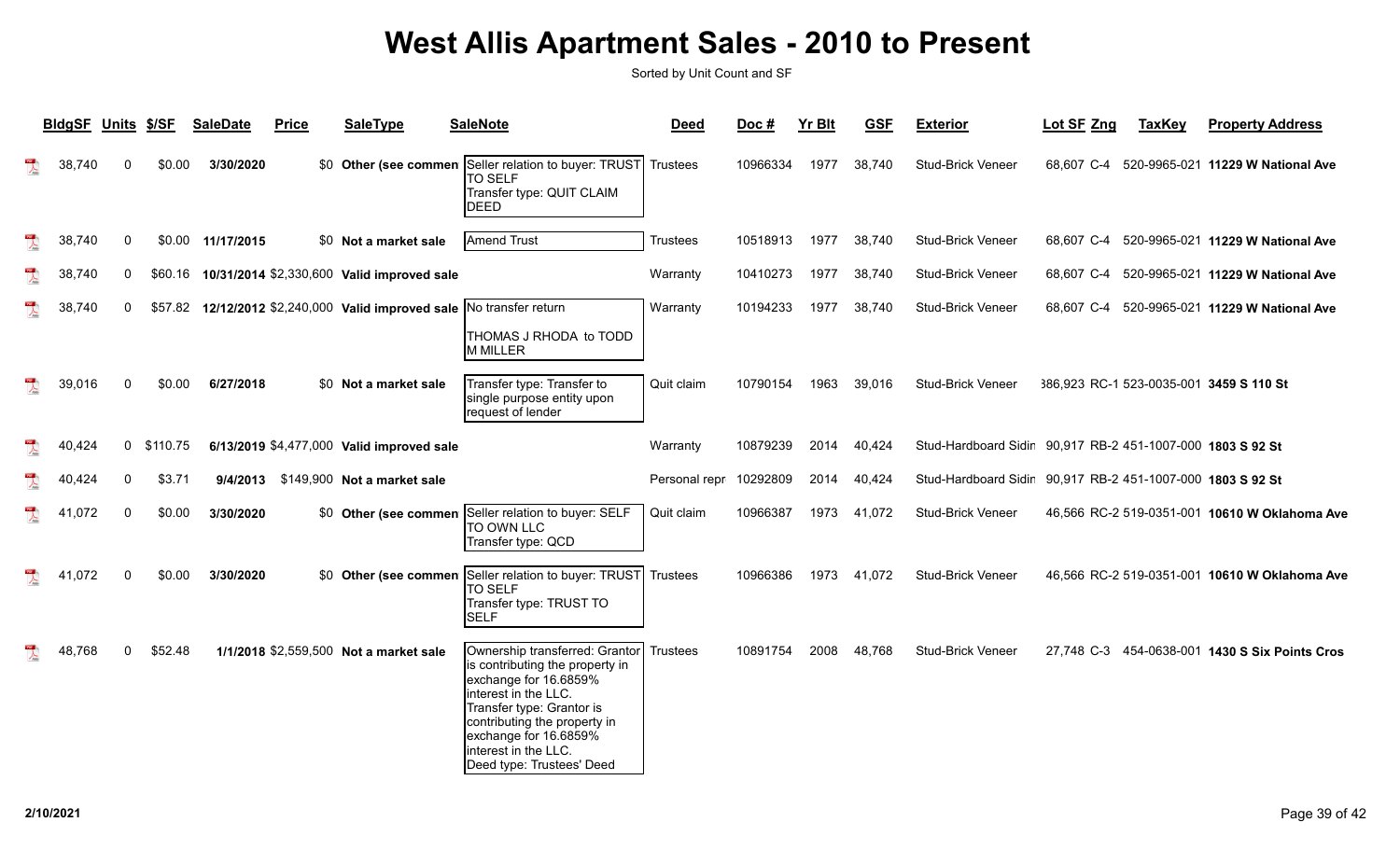| <b>BIdgSF</b> | <b>Units</b> | \$/SF    | <b>SaleDate</b>   | <b>Price</b> | <b>SaleType</b>                                               | <b>SaleNote</b>                                                                                                                                                                                                                                               | <b>Deed</b>     | Doc#     | <b>Yr Blt</b> | <b>GSF</b> | <b>Exterior</b>                                            | Lot SF Zng | <b>TaxKey</b> | <b>Property Address</b>                        |
|---------------|--------------|----------|-------------------|--------------|---------------------------------------------------------------|---------------------------------------------------------------------------------------------------------------------------------------------------------------------------------------------------------------------------------------------------------------|-----------------|----------|---------------|------------|------------------------------------------------------------|------------|---------------|------------------------------------------------|
| 38,740        | $\Omega$     | \$0.00   | 3/30/2020         |              | \$0 Other (see commen                                         | Seller relation to buyer: TRUST<br><b>TO SELF</b><br>Transfer type: QUIT CLAIM<br>DEED                                                                                                                                                                        | Trustees        | 10966334 | 1977          | 38,740     | Stud-Brick Veneer                                          | 68.607 C-4 |               | 520-9965-021 11229 W National Ave              |
| 38,740        | 0            |          | \$0.00 11/17/2015 |              | \$0 Not a market sale                                         | Amend Trust                                                                                                                                                                                                                                                   | Trustees        | 10518913 | 1977          | 38,740     | <b>Stud-Brick Veneer</b>                                   | 68.607 C-4 |               | 520-9965-021 11229 W National Ave              |
| 38,740        | 0            | \$60.16  |                   |              | 10/31/2014 \$2,330,600 Valid improved sale                    |                                                                                                                                                                                                                                                               | Warranty        | 10410273 | 1977          | 38,740     | <b>Stud-Brick Veneer</b>                                   | 68,607 C-4 |               | 520-9965-021 11229 W National Ave              |
| 38,740        | 0            | \$57.82  |                   |              | 12/12/2012 \$2,240,000 Valid improved sale No transfer return | THOMAS J RHODA to TODD<br>M MILLER                                                                                                                                                                                                                            | Warranty        | 10194233 | 1977          | 38,740     | <b>Stud-Brick Veneer</b>                                   | 68,607 C-4 |               | 520-9965-021 11229 W National Ave              |
| 39,016        | $\Omega$     | \$0.00   | 6/27/2018         |              | \$0 Not a market sale                                         | Transfer type: Transfer to<br>single purpose entity upon<br>request of lender                                                                                                                                                                                 | Quit claim      | 10790154 | 1963          | 39,016     | <b>Stud-Brick Veneer</b>                                   |            |               | 386,923 RC-1 523-0035-001 3459 S 110 St        |
| 40,424        | 0            | \$110.75 |                   |              | 6/13/2019 \$4,477,000 Valid improved sale                     |                                                                                                                                                                                                                                                               | Warranty        | 10879239 | 2014          | 40,424     | Stud-Hardboard Sidir 90,917 RB-2 451-1007-000 1803 S 92 St |            |               |                                                |
| 40,424        | $\Omega$     | \$3.71   |                   |              | 9/4/2013 \$149,900 Not a market sale                          |                                                                                                                                                                                                                                                               | Personal repr   | 10292809 | 2014          | 40,424     | Stud-Hardboard Sidir 90,917 RB-2 451-1007-000 1803 S 92 St |            |               |                                                |
| 41,072        | $\Omega$     | \$0.00   | 3/30/2020         |              |                                                               | \$0 Other (see commen Seller relation to buyer: SELF<br>TO OWN LLC<br>Transfer type: QCD                                                                                                                                                                      | Quit claim      | 10966387 | 1973          | 41,072     | <b>Stud-Brick Veneer</b>                                   |            |               | 46,566 RC-2 519-0351-001 10610 W Oklahoma Ave  |
| ,072<br>41    | $\Omega$     | \$0.00   | 3/30/2020         |              | \$0 Other (see commen                                         | Seller relation to buyer: TRUST<br><b>TO SELF</b><br>Transfer type: TRUST TO<br><b>SELF</b>                                                                                                                                                                   | <b>Trustees</b> | 10966386 | 1973          | 41,072     | <b>Stud-Brick Veneer</b>                                   |            |               | 46,566 RC-2 519-0351-001 10610 W Oklahoma Ave  |
| 48,768        | $\Omega$     | \$52.48  |                   |              | 1/1/2018 \$2,559,500 Not a market sale                        | Ownership transferred: Grantor<br>is contributing the property in<br>exchange for 16.6859%<br>interest in the LLC.<br>Transfer type: Grantor is<br>contributing the property in<br>exchange for 16.6859%<br>interest in the LLC.<br>Deed type: Trustees' Deed | <b>Trustees</b> | 10891754 | 2008          | 48,768     | <b>Stud-Brick Veneer</b>                                   |            |               | 27,748 C-3 454-0638-001 1430 S Six Points Cros |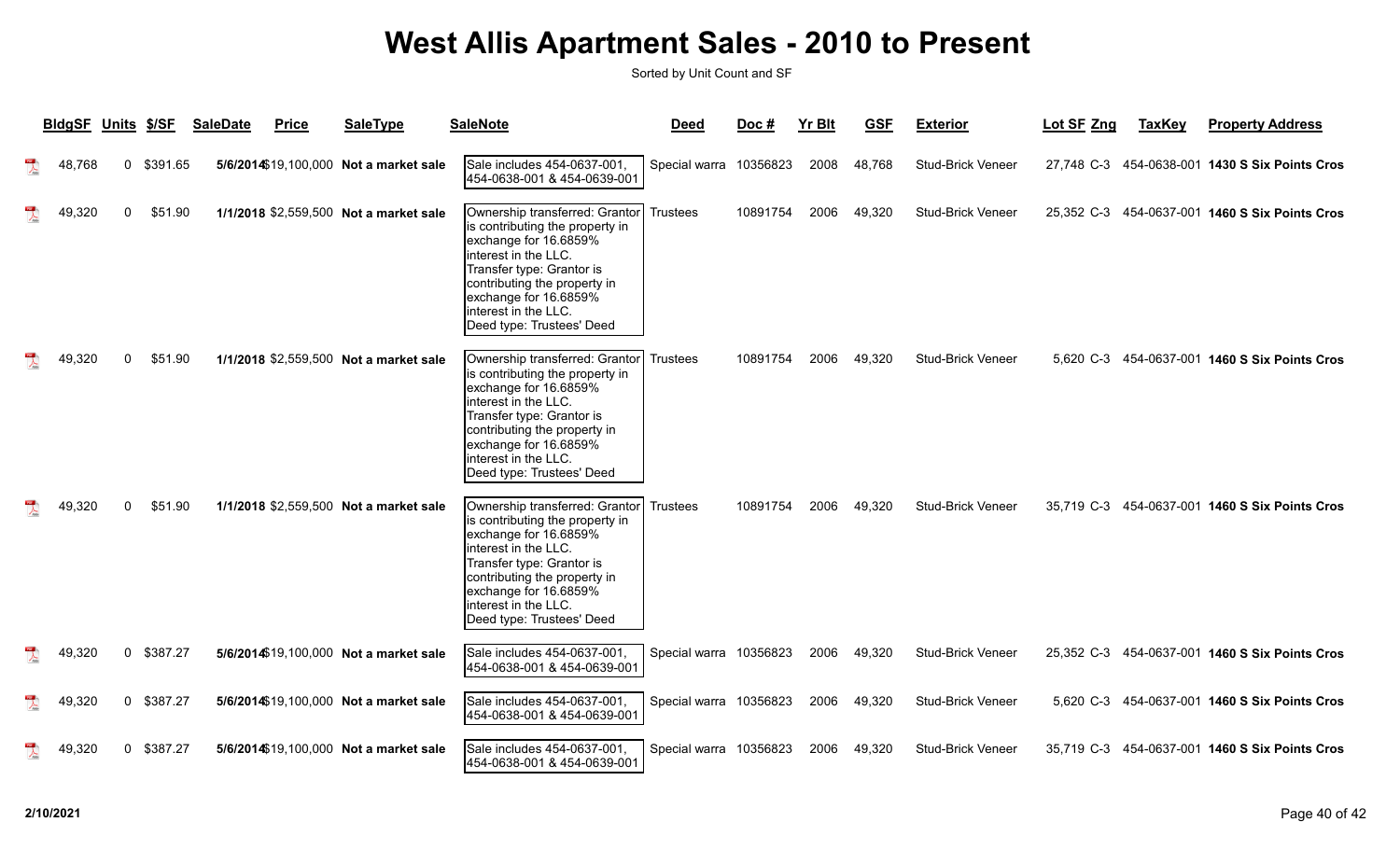| <b>BldgSF</b> | <b>Units</b> | \$/SF    | <b>SaleDate</b> | <b>Price</b> | <b>SaleType</b>                        | <b>SaleNote</b>                                                                                                                                                                                                                                               | <b>Deed</b>            | Doc #    | <b>Yr Blt</b> | <b>GSF</b> | <b>Exterior</b>          | Lot SF Zng | <b>TaxKey</b> | <b>Property Address</b>                        |
|---------------|--------------|----------|-----------------|--------------|----------------------------------------|---------------------------------------------------------------------------------------------------------------------------------------------------------------------------------------------------------------------------------------------------------------|------------------------|----------|---------------|------------|--------------------------|------------|---------------|------------------------------------------------|
| 48,768        | $\mathbf 0$  | \$391.65 |                 |              | 5/6/2014\$19,100,000 Not a market sale | Sale includes 454-0637-001,<br>454-0638-001 & 454-0639-001                                                                                                                                                                                                    | Special warra 10356823 |          | 2008          | 48.768     | <b>Stud-Brick Veneer</b> |            |               | 27,748 C-3 454-0638-001 1430 S Six Points Cros |
| 49,320        | 0            | \$51.90  |                 |              | 1/1/2018 \$2,559,500 Not a market sale | Ownership transferred: Grantor<br>is contributing the property in<br>exchange for 16.6859%<br>interest in the LLC.<br>Transfer type: Grantor is<br>contributing the property in<br>exchange for 16.6859%<br>interest in the LLC.<br>Deed type: Trustees' Deed | <b>Trustees</b>        | 10891754 | 2006          | 49,320     | Stud-Brick Veneer        | 25.352 C-3 |               | 454-0637-001 1460 S Six Points Cros            |
| 49,320        | 0            | \$51.90  |                 |              | 1/1/2018 \$2,559,500 Not a market sale | Ownership transferred: Grantor<br>is contributing the property in<br>exchange for 16.6859%<br>interest in the LLC.<br>Transfer type: Grantor is<br>contributing the property in<br>exchange for 16.6859%<br>interest in the LLC.<br>Deed type: Trustees' Deed | Trustees               | 10891754 | 2006          | 49,320     | <b>Stud-Brick Veneer</b> |            |               | 5,620 C-3 454-0637-001 1460 S Six Points Cros  |
| 49,320        | $\Omega$     | \$51.90  |                 |              | 1/1/2018 \$2,559,500 Not a market sale | Ownership transferred: Grantor<br>is contributing the property in<br>exchange for 16.6859%<br>interest in the LLC.<br>Transfer type: Grantor is<br>contributing the property in<br>exchange for 16.6859%<br>interest in the LLC.<br>Deed type: Trustees' Deed | <b>Trustees</b>        | 10891754 | 2006          | 49,320     | <b>Stud-Brick Veneer</b> |            |               | 35,719 C-3 454-0637-001 1460 S Six Points Cros |
| 49,320        | 0            | \$387.27 |                 |              | 5/6/2014\$19,100,000 Not a market sale | Sale includes 454-0637-001,<br>454-0638-001 & 454-0639-001                                                                                                                                                                                                    | Special warra 10356823 |          | 2006          | 49,320     | <b>Stud-Brick Veneer</b> |            |               | 25,352 C-3 454-0637-001 1460 S Six Points Cros |
| 49,320        | $\mathbf 0$  | \$387.27 |                 |              | 5/6/2014\$19,100,000 Not a market sale | Sale includes 454-0637-001,<br>454-0638-001 & 454-0639-001                                                                                                                                                                                                    | Special warra 10356823 |          | 2006          | 49,320     | <b>Stud-Brick Veneer</b> |            |               | 5,620 C-3 454-0637-001 1460 S Six Points Cros  |
| 49.320        | 0            | \$387.27 |                 |              | 5/6/2014\$19,100,000 Not a market sale | Sale includes 454-0637-001,<br>454-0638-001 & 454-0639-001                                                                                                                                                                                                    | Special warra          | 10356823 | 2006          | 49,320     | <b>Stud-Brick Veneer</b> |            |               | 35,719 C-3 454-0637-001 1460 S Six Points Cros |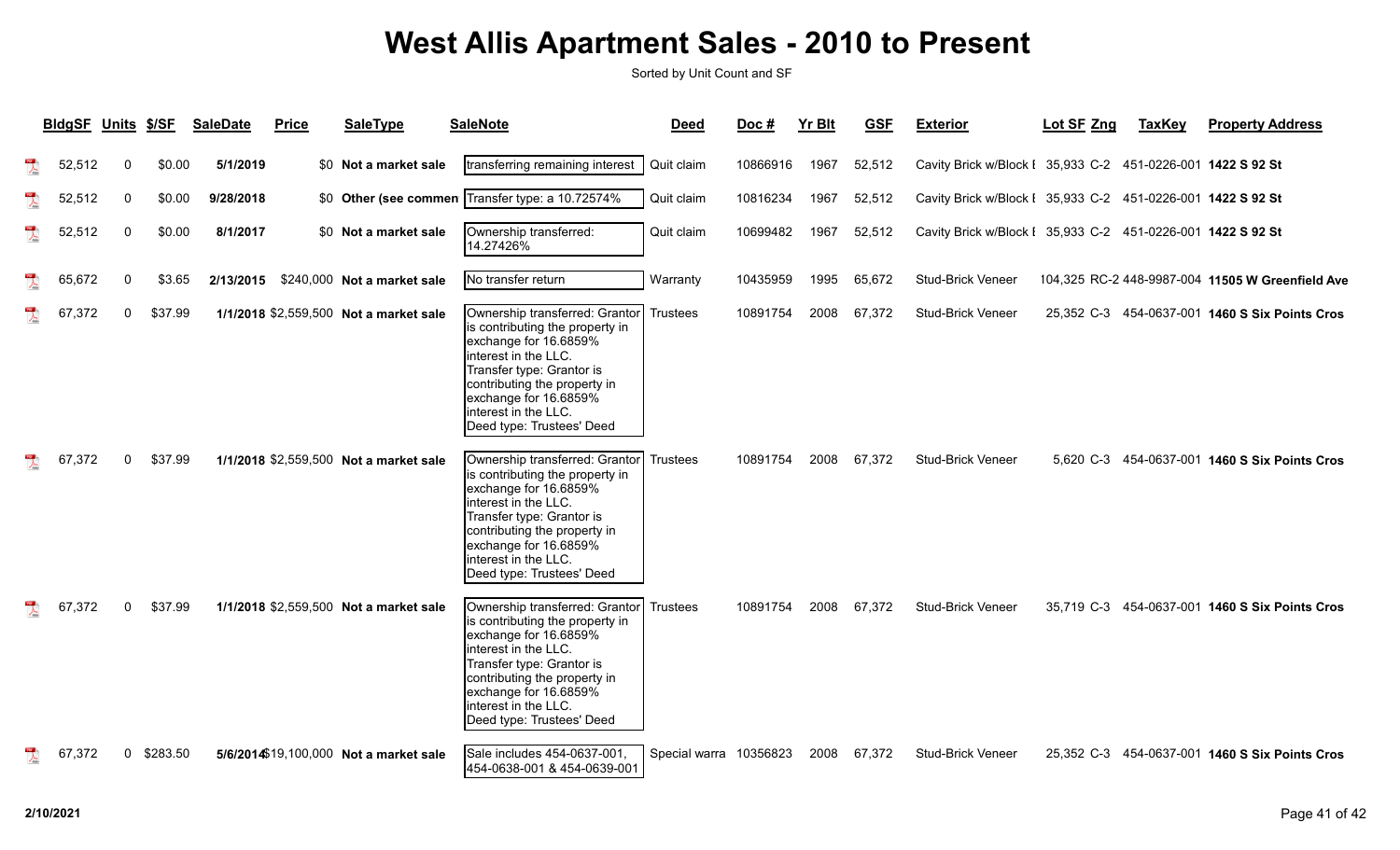|   | <b>BldgSF Units \$/SF</b> |              |          | <b>SaleDate</b> | <b>Price</b> | <b>SaleType</b>                        | <b>SaleNote</b>                                                                                                                                                                                                                                               | <b>Deed</b>            | Doc#     | <b>Yr Blt</b> | <b>GSF</b> | <b>Exterior</b>                                             | Lot SF Zng | <b>TaxKey</b> | <b>Property Address</b>                          |
|---|---------------------------|--------------|----------|-----------------|--------------|----------------------------------------|---------------------------------------------------------------------------------------------------------------------------------------------------------------------------------------------------------------------------------------------------------------|------------------------|----------|---------------|------------|-------------------------------------------------------------|------------|---------------|--------------------------------------------------|
| 乁 | 52,512                    | 0            | \$0.00   | 5/1/2019        |              | \$0 Not a market sale                  | transferring remaining interest                                                                                                                                                                                                                               | Quit claim             | 10866916 | 1967          | 52,512     | Cavity Brick w/Block I 35,933 C-2 451-0226-001 1422 S 92 St |            |               |                                                  |
|   | 52,512                    | $\Omega$     | \$0.00   | 9/28/2018       |              |                                        | \$0 Other (see commen Transfer type: a 10.72574%                                                                                                                                                                                                              | Quit claim             | 10816234 | 1967          | 52,512     | Cavity Brick w/Block I 35,933 C-2 451-0226-001 1422 S 92 St |            |               |                                                  |
|   | 52,512                    | $\Omega$     | \$0.00   | 8/1/2017        |              | \$0 Not a market sale                  | Ownership transferred:<br>14.27426%                                                                                                                                                                                                                           | Quit claim             | 10699482 | 1967          | 52,512     | Cavity Brick w/Block I 35,933 C-2 451-0226-001 1422 S 92 St |            |               |                                                  |
|   | 65,672                    | $\Omega$     | \$3.65   | 2/13/2015       |              | \$240,000 Not a market sale            | No transfer return                                                                                                                                                                                                                                            | Warranty               | 10435959 | 1995          | 65,672     | <b>Stud-Brick Veneer</b>                                    |            |               | 104,325 RC-2 448-9987-004 11505 W Greenfield Ave |
|   | 67,372                    | $\mathbf{0}$ | \$37.99  |                 |              | 1/1/2018 \$2,559,500 Not a market sale | Ownership transferred: Grantor<br>is contributing the property in<br>exchange for 16.6859%<br>interest in the LLC.<br>Transfer type: Grantor is<br>contributing the property in<br>exchange for 16.6859%<br>interest in the LLC.<br>Deed type: Trustees' Deed | <b>Trustees</b>        | 10891754 | 2008          | 67,372     | <b>Stud-Brick Veneer</b>                                    |            |               | 25,352 C-3 454-0637-001 1460 S Six Points Cros   |
|   | 67,372                    | $\Omega$     | \$37.99  |                 |              | 1/1/2018 \$2,559,500 Not a market sale | Ownership transferred: Grantor<br>is contributing the property in<br>exchange for 16.6859%<br>interest in the LLC.<br>Transfer type: Grantor is<br>contributing the property in<br>exchange for 16.6859%<br>interest in the LLC.<br>Deed type: Trustees' Deed | Trustees               | 10891754 | 2008          | 67,372     | <b>Stud-Brick Veneer</b>                                    |            |               | 5.620 C-3 454-0637-001 1460 S Six Points Cros    |
|   | 67,372                    | $\mathbf{0}$ | \$37.99  |                 |              | 1/1/2018 \$2,559,500 Not a market sale | Ownership transferred: Grantor<br>is contributing the property in<br>exchange for 16.6859%<br>interest in the LLC.<br>Transfer type: Grantor is<br>contributing the property in<br>exchange for 16.6859%<br>interest in the LLC.<br>Deed type: Trustees' Deed | <b>Trustees</b>        | 10891754 | 2008          | 67,372     | Stud-Brick Veneer                                           |            |               | 35,719 C-3 454-0637-001 1460 S Six Points Cros   |
|   | 67,372                    | 0            | \$283.50 |                 |              | 5/6/2014\$19,100,000 Not a market sale | Sale includes 454-0637-001,<br>454-0638-001 & 454-0639-001                                                                                                                                                                                                    | Special warra 10356823 |          | 2008          | 67,372     | <b>Stud-Brick Veneer</b>                                    | 25.352 C-3 |               | 454-0637-001 1460 S Six Points Cros              |